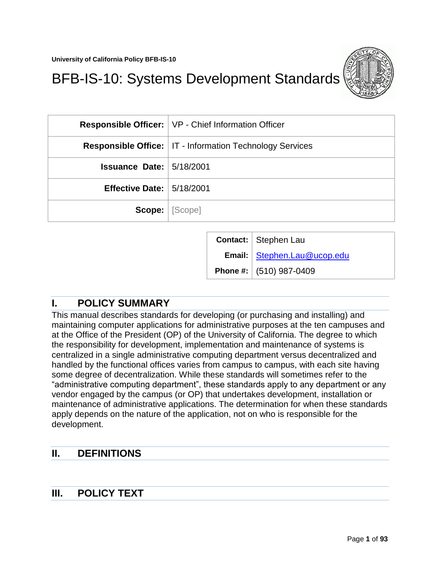

# BFB-IS-10: Systems Development Standards

|                                 | <b>Responsible Officer:</b>   VP - Chief Information Officer      |  |
|---------------------------------|-------------------------------------------------------------------|--|
|                                 | <b>Responsible Office:   IT - Information Technology Services</b> |  |
| <b>Issuance Date: 5/18/2001</b> |                                                                   |  |
| Effective Date: $  5/18/2001$   |                                                                   |  |
|                                 | <b>Scope:</b>   [Scope]                                           |  |

| Contact: Stephen Lau          |
|-------------------------------|
| Email:   Stephen.Lau@ucop.edu |
| Phone #: $(510)$ 987-0409     |

# <span id="page-0-0"></span>**I. POLICY SUMMARY**

This manual describes standards for developing (or purchasing and installing) and maintaining computer applications for administrative purposes at the ten campuses and at the Office of the President (OP) of the University of California. The degree to which the responsibility for development, implementation and maintenance of systems is centralized in a single administrative computing department versus decentralized and handled by the functional offices varies from campus to campus, with each site having some degree of decentralization. While these standards will sometimes refer to the "administrative computing department", these standards apply to any department or any vendor engaged by the campus (or OP) that undertakes development, installation or maintenance of administrative applications. The determination for when these standards apply depends on the nature of the application, not on who is responsible for the development.

# <span id="page-0-1"></span>**II. DEFINITIONS**

# <span id="page-0-2"></span>**III. POLICY TEXT**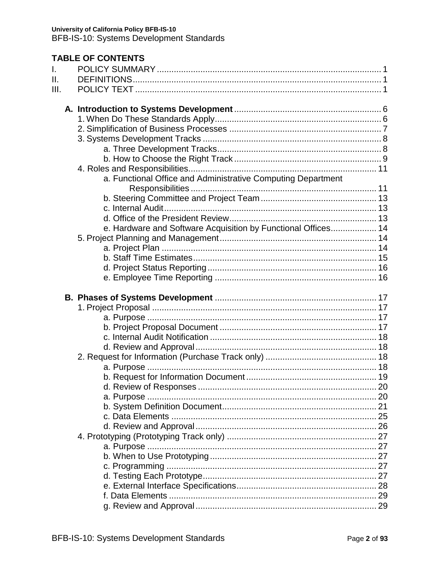### **TABLE OF CONTENTS**  $\mathbf{L}$  $II.$  $III$ a. Functional Office and Administrative Computing Department e. Hardware and Software Acquisition by Functional Offices.................. 14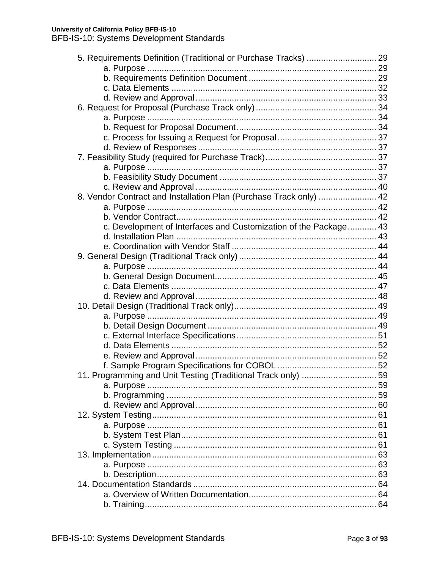| 5. Requirements Definition (Traditional or Purchase Tracks)  29    |  |
|--------------------------------------------------------------------|--|
|                                                                    |  |
|                                                                    |  |
|                                                                    |  |
|                                                                    |  |
|                                                                    |  |
|                                                                    |  |
|                                                                    |  |
|                                                                    |  |
|                                                                    |  |
|                                                                    |  |
|                                                                    |  |
|                                                                    |  |
|                                                                    |  |
| 8. Vendor Contract and Installation Plan (Purchase Track only)  42 |  |
|                                                                    |  |
|                                                                    |  |
| c. Development of Interfaces and Customization of the Package 43   |  |
|                                                                    |  |
|                                                                    |  |
|                                                                    |  |
|                                                                    |  |
|                                                                    |  |
|                                                                    |  |
|                                                                    |  |
|                                                                    |  |
|                                                                    |  |
|                                                                    |  |
|                                                                    |  |
|                                                                    |  |
|                                                                    |  |
|                                                                    |  |
| 11. Programming and Unit Testing (Traditional Track only)  59      |  |
|                                                                    |  |
|                                                                    |  |
|                                                                    |  |
|                                                                    |  |
|                                                                    |  |
|                                                                    |  |
|                                                                    |  |
|                                                                    |  |
|                                                                    |  |
|                                                                    |  |
|                                                                    |  |
|                                                                    |  |
|                                                                    |  |
|                                                                    |  |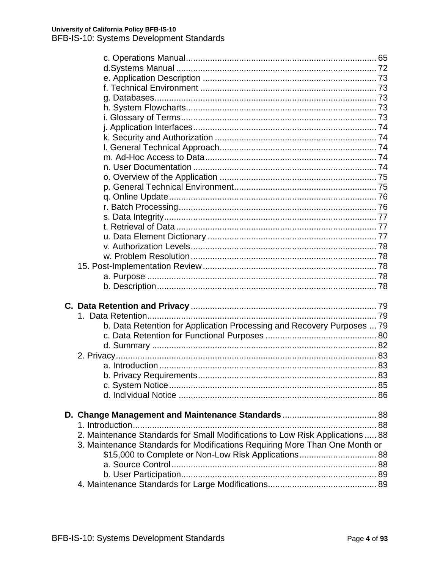| b. Data Retention for Application Processing and Recovery Purposes  79        |  |
|-------------------------------------------------------------------------------|--|
|                                                                               |  |
|                                                                               |  |
|                                                                               |  |
|                                                                               |  |
|                                                                               |  |
|                                                                               |  |
|                                                                               |  |
|                                                                               |  |
|                                                                               |  |
|                                                                               |  |
| 2. Maintenance Standards for Small Modifications to Low Risk Applications  88 |  |
| 3. Maintenance Standards for Modifications Requiring More Than One Month or   |  |
| \$15,000 to Complete or Non-Low Risk Applications 88                          |  |
|                                                                               |  |
|                                                                               |  |
|                                                                               |  |
|                                                                               |  |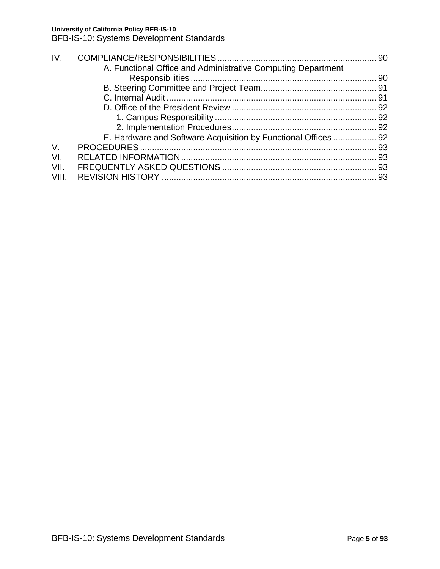BFB-IS-10: Systems Development Standards

| IV.                                                            |  |
|----------------------------------------------------------------|--|
| A. Functional Office and Administrative Computing Department   |  |
|                                                                |  |
|                                                                |  |
|                                                                |  |
|                                                                |  |
|                                                                |  |
|                                                                |  |
| E. Hardware and Software Acquisition by Functional Offices  92 |  |
| $V_{\cdot}$                                                    |  |
| VI.                                                            |  |
| VII.                                                           |  |
| VIII.                                                          |  |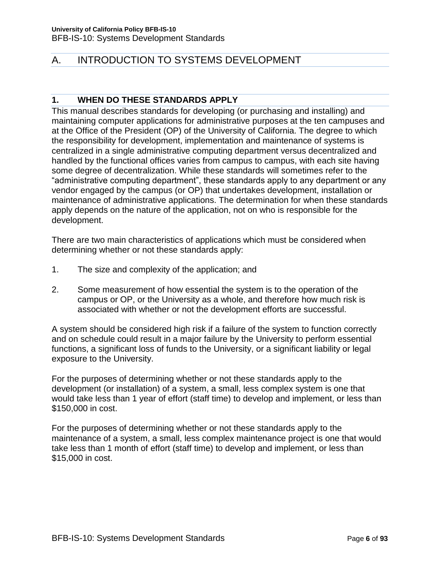# <span id="page-5-0"></span>A. INTRODUCTION TO SYSTEMS DEVELOPMENT

# <span id="page-5-1"></span>**1. WHEN DO THESE STANDARDS APPLY**

This manual describes standards for developing (or purchasing and installing) and maintaining computer applications for administrative purposes at the ten campuses and at the Office of the President (OP) of the University of California. The degree to which the responsibility for development, implementation and maintenance of systems is centralized in a single administrative computing department versus decentralized and handled by the functional offices varies from campus to campus, with each site having some degree of decentralization. While these standards will sometimes refer to the "administrative computing department", these standards apply to any department or any vendor engaged by the campus (or OP) that undertakes development, installation or maintenance of administrative applications. The determination for when these standards apply depends on the nature of the application, not on who is responsible for the development.

There are two main characteristics of applications which must be considered when determining whether or not these standards apply:

- 1. The size and complexity of the application; and
- 2. Some measurement of how essential the system is to the operation of the campus or OP, or the University as a whole, and therefore how much risk is associated with whether or not the development efforts are successful.

A system should be considered high risk if a failure of the system to function correctly and on schedule could result in a major failure by the University to perform essential functions, a significant loss of funds to the University, or a significant liability or legal exposure to the University.

For the purposes of determining whether or not these standards apply to the development (or installation) of a system, a small, less complex system is one that would take less than 1 year of effort (staff time) to develop and implement, or less than \$150,000 in cost.

For the purposes of determining whether or not these standards apply to the maintenance of a system, a small, less complex maintenance project is one that would take less than 1 month of effort (staff time) to develop and implement, or less than \$15,000 in cost.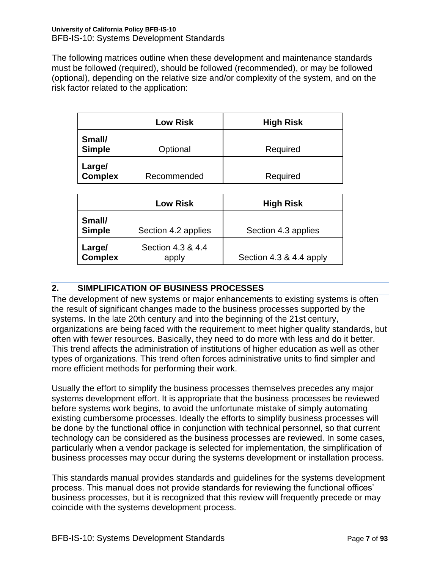The following matrices outline when these development and maintenance standards must be followed (required), should be followed (recommended), or may be followed (optional), depending on the relative size and/or complexity of the system, and on the risk factor related to the application:

|                         | <b>Low Risk</b> | <b>High Risk</b> |
|-------------------------|-----------------|------------------|
| Small/<br><b>Simple</b> | Optional        | Required         |
| Large/<br>Complex       | Recommended     | Required         |

|                          | <b>Low Risk</b>            | <b>High Risk</b>        |
|--------------------------|----------------------------|-------------------------|
| Small/<br><b>Simple</b>  | Section 4.2 applies        | Section 4.3 applies     |
| Large/<br><b>Complex</b> | Section 4.3 & 4.4<br>apply | Section 4.3 & 4.4 apply |

# <span id="page-6-0"></span>**2. SIMPLIFICATION OF BUSINESS PROCESSES**

The development of new systems or major enhancements to existing systems is often the result of significant changes made to the business processes supported by the systems. In the late 20th century and into the beginning of the 21st century, organizations are being faced with the requirement to meet higher quality standards, but often with fewer resources. Basically, they need to do more with less and do it better. This trend affects the administration of institutions of higher education as well as other types of organizations. This trend often forces administrative units to find simpler and more efficient methods for performing their work.

Usually the effort to simplify the business processes themselves precedes any major systems development effort. It is appropriate that the business processes be reviewed before systems work begins, to avoid the unfortunate mistake of simply automating existing cumbersome processes. Ideally the efforts to simplify business processes will be done by the functional office in conjunction with technical personnel, so that current technology can be considered as the business processes are reviewed. In some cases, particularly when a vendor package is selected for implementation, the simplification of business processes may occur during the systems development or installation process.

This standards manual provides standards and guidelines for the systems development process. This manual does not provide standards for reviewing the functional offices' business processes, but it is recognized that this review will frequently precede or may coincide with the systems development process.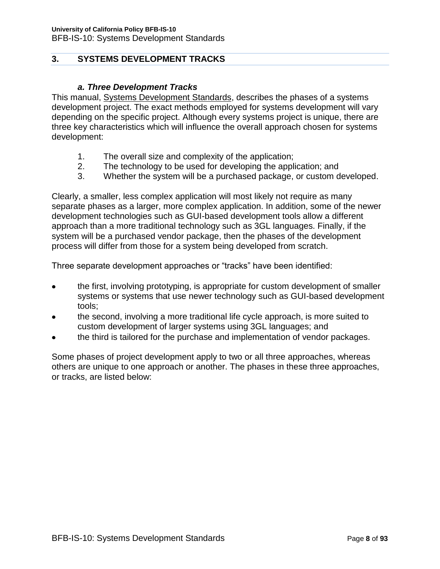# <span id="page-7-0"></span>**3. SYSTEMS DEVELOPMENT TRACKS**

### *a. Three Development Tracks*

<span id="page-7-1"></span>This manual, Systems Development Standards, describes the phases of a systems development project. The exact methods employed for systems development will vary depending on the specific project. Although every systems project is unique, there are three key characteristics which will influence the overall approach chosen for systems development:

- 1. The overall size and complexity of the application;
- 2. The technology to be used for developing the application; and
- 3. Whether the system will be a purchased package, or custom developed.

Clearly, a smaller, less complex application will most likely not require as many separate phases as a larger, more complex application. In addition, some of the newer development technologies such as GUI-based development tools allow a different approach than a more traditional technology such as 3GL languages. Finally, if the system will be a purchased vendor package, then the phases of the development process will differ from those for a system being developed from scratch.

Three separate development approaches or "tracks" have been identified:

- the first, involving prototyping, is appropriate for custom development of smaller systems or systems that use newer technology such as GUI-based development tools;
- the second, involving a more traditional life cycle approach, is more suited to  $\bullet$ custom development of larger systems using 3GL languages; and
- the third is tailored for the purchase and implementation of vendor packages.

Some phases of project development apply to two or all three approaches, whereas others are unique to one approach or another. The phases in these three approaches, or tracks, are listed below: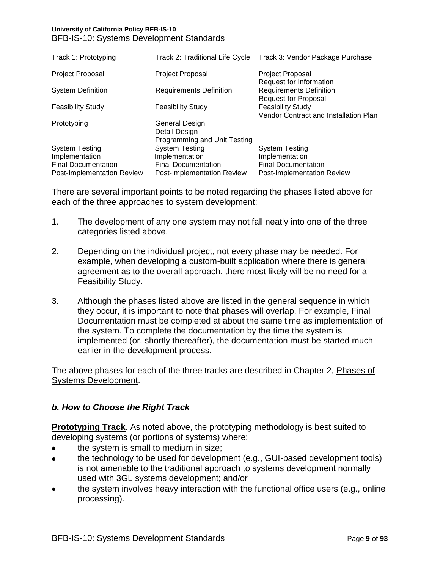| Track 1: Prototyping                                                                                | <b>Track 2: Traditional Life Cycle</b>                                                              | Track 3: Vendor Package Purchase                                                                    |
|-----------------------------------------------------------------------------------------------------|-----------------------------------------------------------------------------------------------------|-----------------------------------------------------------------------------------------------------|
| <b>Project Proposal</b>                                                                             | <b>Project Proposal</b>                                                                             | Project Proposal<br>Request for Information                                                         |
| <b>System Definition</b>                                                                            | <b>Requirements Definition</b>                                                                      | <b>Requirements Definition</b><br><b>Request for Proposal</b>                                       |
| <b>Feasibility Study</b>                                                                            | <b>Feasibility Study</b>                                                                            | <b>Feasibility Study</b><br>Vendor Contract and Installation Plan                                   |
| Prototyping                                                                                         | General Design<br>Detail Design<br>Programming and Unit Testing                                     |                                                                                                     |
| <b>System Testing</b><br>Implementation<br><b>Final Documentation</b><br>Post-Implementation Review | <b>System Testing</b><br>Implementation<br><b>Final Documentation</b><br>Post-Implementation Review | <b>System Testing</b><br>Implementation<br><b>Final Documentation</b><br>Post-Implementation Review |

There are several important points to be noted regarding the phases listed above for each of the three approaches to system development:

- 1. The development of any one system may not fall neatly into one of the three categories listed above.
- 2. Depending on the individual project, not every phase may be needed. For example, when developing a custom-built application where there is general agreement as to the overall approach, there most likely will be no need for a Feasibility Study.
- 3. Although the phases listed above are listed in the general sequence in which they occur, it is important to note that phases will overlap. For example, Final Documentation must be completed at about the same time as implementation of the system. To complete the documentation by the time the system is implemented (or, shortly thereafter), the documentation must be started much earlier in the development process.

The above phases for each of the three tracks are described in Chapter 2, Phases of Systems Development.

# <span id="page-8-0"></span>*b. How to Choose the Right Track*

**Prototyping Track**. As noted above, the prototyping methodology is best suited to developing systems (or portions of systems) where:

- the system is small to medium in size;
- the technology to be used for development (e.g., GUI-based development tools) is not amenable to the traditional approach to systems development normally used with 3GL systems development; and/or
- the system involves heavy interaction with the functional office users (e.g., online processing).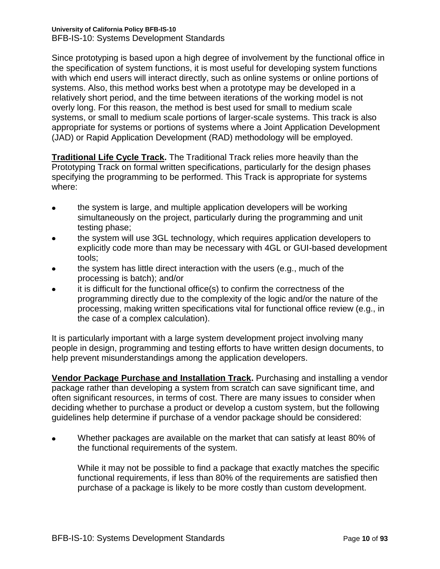Since prototyping is based upon a high degree of involvement by the functional office in the specification of system functions, it is most useful for developing system functions with which end users will interact directly, such as online systems or online portions of systems. Also, this method works best when a prototype may be developed in a relatively short period, and the time between iterations of the working model is not overly long. For this reason, the method is best used for small to medium scale systems, or small to medium scale portions of larger-scale systems. This track is also appropriate for systems or portions of systems where a Joint Application Development (JAD) or Rapid Application Development (RAD) methodology will be employed.

**Traditional Life Cycle Track.** The Traditional Track relies more heavily than the Prototyping Track on formal written specifications, particularly for the design phases specifying the programming to be performed. This Track is appropriate for systems where:

- the system is large, and multiple application developers will be working simultaneously on the project, particularly during the programming and unit testing phase;
- the system will use 3GL technology, which requires application developers to explicitly code more than may be necessary with 4GL or GUI-based development tools;
- the system has little direct interaction with the users (e.g., much of the processing is batch); and/or
- it is difficult for the functional office(s) to confirm the correctness of the programming directly due to the complexity of the logic and/or the nature of the processing, making written specifications vital for functional office review (e.g., in the case of a complex calculation).

It is particularly important with a large system development project involving many people in design, programming and testing efforts to have written design documents, to help prevent misunderstandings among the application developers.

**Vendor Package Purchase and Installation Track.** Purchasing and installing a vendor package rather than developing a system from scratch can save significant time, and often significant resources, in terms of cost. There are many issues to consider when deciding whether to purchase a product or develop a custom system, but the following guidelines help determine if purchase of a vendor package should be considered:

Whether packages are available on the market that can satisfy at least 80% of the functional requirements of the system.

While it may not be possible to find a package that exactly matches the specific functional requirements, if less than 80% of the requirements are satisfied then purchase of a package is likely to be more costly than custom development.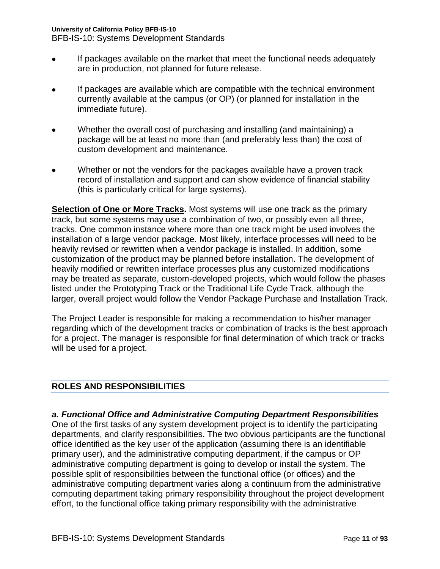BFB-IS-10: Systems Development Standards

- If packages available on the market that meet the functional needs adequately are in production, not planned for future release.
- If packages are available which are compatible with the technical environment currently available at the campus (or OP) (or planned for installation in the immediate future).
- Whether the overall cost of purchasing and installing (and maintaining) a package will be at least no more than (and preferably less than) the cost of custom development and maintenance.
- Whether or not the vendors for the packages available have a proven track record of installation and support and can show evidence of financial stability (this is particularly critical for large systems).

**Selection of One or More Tracks.** Most systems will use one track as the primary track, but some systems may use a combination of two, or possibly even all three, tracks. One common instance where more than one track might be used involves the installation of a large vendor package. Most likely, interface processes will need to be heavily revised or rewritten when a vendor package is installed. In addition, some customization of the product may be planned before installation. The development of heavily modified or rewritten interface processes plus any customized modifications may be treated as separate, custom-developed projects, which would follow the phases listed under the Prototyping Track or the Traditional Life Cycle Track, although the larger, overall project would follow the Vendor Package Purchase and Installation Track.

The Project Leader is responsible for making a recommendation to his/her manager regarding which of the development tracks or combination of tracks is the best approach for a project. The manager is responsible for final determination of which track or tracks will be used for a project.

# <span id="page-10-0"></span>**ROLES AND RESPONSIBILITIES**

<span id="page-10-1"></span>*a. Functional Office and Administrative Computing Department Responsibilities* One of the first tasks of any system development project is to identify the participating departments, and clarify responsibilities. The two obvious participants are the functional office identified as the key user of the application (assuming there is an identifiable primary user), and the administrative computing department, if the campus or OP administrative computing department is going to develop or install the system. The possible split of responsibilities between the functional office (or offices) and the administrative computing department varies along a continuum from the administrative computing department taking primary responsibility throughout the project development effort, to the functional office taking primary responsibility with the administrative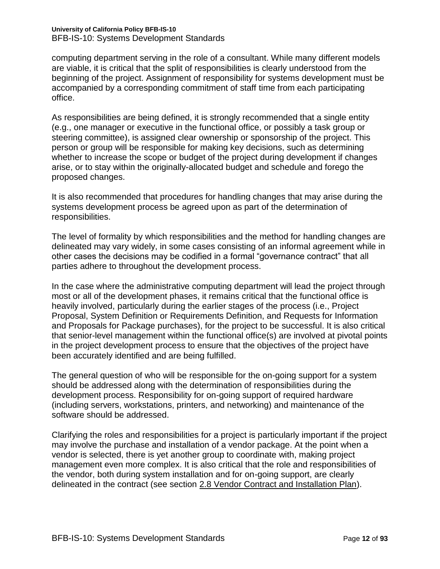computing department serving in the role of a consultant. While many different models are viable, it is critical that the split of responsibilities is clearly understood from the beginning of the project. Assignment of responsibility for systems development must be accompanied by a corresponding commitment of staff time from each participating office.

As responsibilities are being defined, it is strongly recommended that a single entity (e.g., one manager or executive in the functional office, or possibly a task group or steering committee), is assigned clear ownership or sponsorship of the project. This person or group will be responsible for making key decisions, such as determining whether to increase the scope or budget of the project during development if changes arise, or to stay within the originally-allocated budget and schedule and forego the proposed changes.

It is also recommended that procedures for handling changes that may arise during the systems development process be agreed upon as part of the determination of responsibilities.

The level of formality by which responsibilities and the method for handling changes are delineated may vary widely, in some cases consisting of an informal agreement while in other cases the decisions may be codified in a formal "governance contract" that all parties adhere to throughout the development process.

In the case where the administrative computing department will lead the project through most or all of the development phases, it remains critical that the functional office is heavily involved, particularly during the earlier stages of the process (i.e., Project Proposal, System Definition or Requirements Definition, and Requests for Information and Proposals for Package purchases), for the project to be successful. It is also critical that senior-level management within the functional office(s) are involved at pivotal points in the project development process to ensure that the objectives of the project have been accurately identified and are being fulfilled.

The general question of who will be responsible for the on-going support for a system should be addressed along with the determination of responsibilities during the development process. Responsibility for on-going support of required hardware (including servers, workstations, printers, and networking) and maintenance of the software should be addressed.

Clarifying the roles and responsibilities for a project is particularly important if the project may involve the purchase and installation of a vendor package. At the point when a vendor is selected, there is yet another group to coordinate with, making project management even more complex. It is also critical that the role and responsibilities of the vendor, both during system installation and for on-going support, are clearly delineated in the contract (see section 2.8 Vendor Contract and Installation Plan).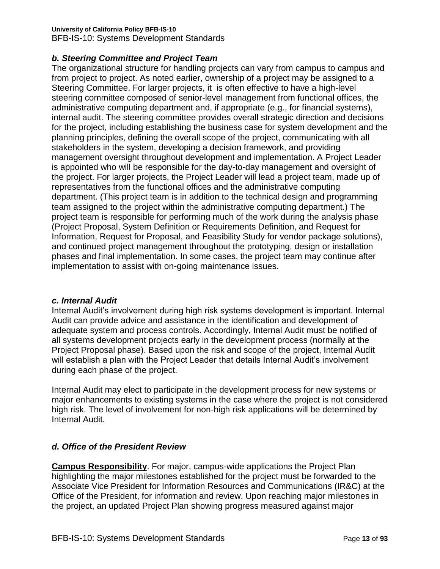# **University of California Policy BFB-IS-10**

BFB-IS-10: Systems Development Standards

# <span id="page-12-0"></span>*b. Steering Committee and Project Team*

The organizational structure for handling projects can vary from campus to campus and from project to project. As noted earlier, ownership of a project may be assigned to a Steering Committee. For larger projects, it is often effective to have a high-level steering committee composed of senior-level management from functional offices, the administrative computing department and, if appropriate (e.g., for financial systems), internal audit. The steering committee provides overall strategic direction and decisions for the project, including establishing the business case for system development and the planning principles, defining the overall scope of the project, communicating with all stakeholders in the system, developing a decision framework, and providing management oversight throughout development and implementation. A Project Leader is appointed who will be responsible for the day-to-day management and oversight of the project. For larger projects, the Project Leader will lead a project team, made up of representatives from the functional offices and the administrative computing department. (This project team is in addition to the technical design and programming team assigned to the project within the administrative computing department.) The project team is responsible for performing much of the work during the analysis phase (Project Proposal, System Definition or Requirements Definition, and Request for Information, Request for Proposal, and Feasibility Study for vendor package solutions), and continued project management throughout the prototyping, design or installation phases and final implementation. In some cases, the project team may continue after implementation to assist with on-going maintenance issues.

# <span id="page-12-1"></span>*c. Internal Audit*

Internal Audit's involvement during high risk systems development is important. Internal Audit can provide advice and assistance in the identification and development of adequate system and process controls. Accordingly, Internal Audit must be notified of all systems development projects early in the development process (normally at the Project Proposal phase). Based upon the risk and scope of the project, Internal Audit will establish a plan with the Project Leader that details Internal Audit's involvement during each phase of the project.

Internal Audit may elect to participate in the development process for new systems or major enhancements to existing systems in the case where the project is not considered high risk. The level of involvement for non-high risk applications will be determined by Internal Audit.

# <span id="page-12-2"></span>*d. Office of the President Review*

**Campus Responsibility**. For major, campus-wide applications the Project Plan highlighting the major milestones established for the project must be forwarded to the Associate Vice President for Information Resources and Communications (IR&C) at the Office of the President, for information and review. Upon reaching major milestones in the project, an updated Project Plan showing progress measured against major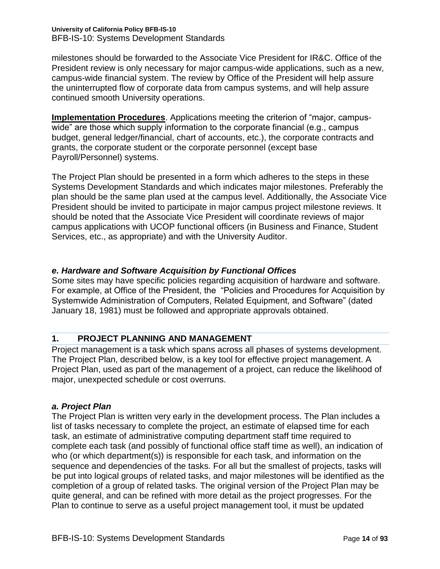milestones should be forwarded to the Associate Vice President for IR&C. Office of the President review is only necessary for major campus-wide applications, such as a new, campus-wide financial system. The review by Office of the President will help assure the uninterrupted flow of corporate data from campus systems, and will help assure continued smooth University operations.

**Implementation Procedures**. Applications meeting the criterion of "major, campuswide" are those which supply information to the corporate financial (e.g., campus budget, general ledger/financial, chart of accounts, etc.), the corporate contracts and grants, the corporate student or the corporate personnel (except base Payroll/Personnel) systems.

The Project Plan should be presented in a form which adheres to the steps in these Systems Development Standards and which indicates major milestones. Preferably the plan should be the same plan used at the campus level. Additionally, the Associate Vice President should be invited to participate in major campus project milestone reviews. It should be noted that the Associate Vice President will coordinate reviews of major campus applications with UCOP functional officers (in Business and Finance, Student Services, etc., as appropriate) and with the University Auditor.

# <span id="page-13-0"></span>*e. Hardware and Software Acquisition by Functional Offices*

Some sites may have specific policies regarding acquisition of hardware and software. For example, at Office of the President, the "Policies and Procedures for Acquisition by Systemwide Administration of Computers, Related Equipment, and Software" (dated January 18, 1981) must be followed and appropriate approvals obtained.

# <span id="page-13-1"></span>**1. PROJECT PLANNING AND MANAGEMENT**

Project management is a task which spans across all phases of systems development. The Project Plan, described below, is a key tool for effective project management. A Project Plan, used as part of the management of a project, can reduce the likelihood of major, unexpected schedule or cost overruns.

#### <span id="page-13-2"></span>*a. Project Plan*

The Project Plan is written very early in the development process. The Plan includes a list of tasks necessary to complete the project, an estimate of elapsed time for each task, an estimate of administrative computing department staff time required to complete each task (and possibly of functional office staff time as well), an indication of who (or which department(s)) is responsible for each task, and information on the sequence and dependencies of the tasks. For all but the smallest of projects, tasks will be put into logical groups of related tasks, and major milestones will be identified as the completion of a group of related tasks. The original version of the Project Plan may be quite general, and can be refined with more detail as the project progresses. For the Plan to continue to serve as a useful project management tool, it must be updated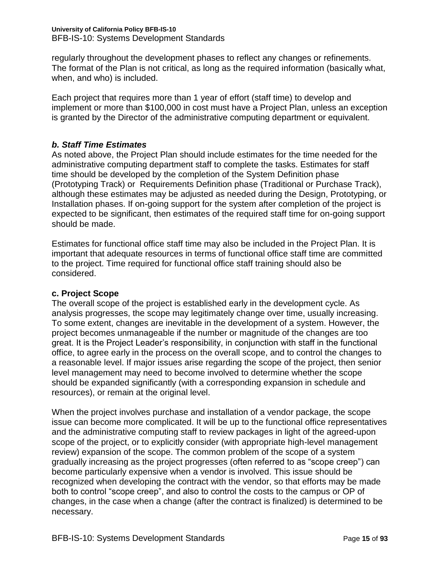regularly throughout the development phases to reflect any changes or refinements. The format of the Plan is not critical, as long as the required information (basically what, when, and who) is included.

Each project that requires more than 1 year of effort (staff time) to develop and implement or more than \$100,000 in cost must have a Project Plan, unless an exception is granted by the Director of the administrative computing department or equivalent.

# <span id="page-14-0"></span>*b. Staff Time Estimates*

As noted above, the Project Plan should include estimates for the time needed for the administrative computing department staff to complete the tasks. Estimates for staff time should be developed by the completion of the System Definition phase (Prototyping Track) or Requirements Definition phase (Traditional or Purchase Track), although these estimates may be adjusted as needed during the Design, Prototyping, or Installation phases. If on-going support for the system after completion of the project is expected to be significant, then estimates of the required staff time for on-going support should be made.

Estimates for functional office staff time may also be included in the Project Plan. It is important that adequate resources in terms of functional office staff time are committed to the project. Time required for functional office staff training should also be considered.

# **c. Project Scope**

The overall scope of the project is established early in the development cycle. As analysis progresses, the scope may legitimately change over time, usually increasing. To some extent, changes are inevitable in the development of a system. However, the project becomes unmanageable if the number or magnitude of the changes are too great. It is the Project Leader's responsibility, in conjunction with staff in the functional office, to agree early in the process on the overall scope, and to control the changes to a reasonable level. If major issues arise regarding the scope of the project, then senior level management may need to become involved to determine whether the scope should be expanded significantly (with a corresponding expansion in schedule and resources), or remain at the original level.

When the project involves purchase and installation of a vendor package, the scope issue can become more complicated. It will be up to the functional office representatives and the administrative computing staff to review packages in light of the agreed-upon scope of the project, or to explicitly consider (with appropriate high-level management review) expansion of the scope. The common problem of the scope of a system gradually increasing as the project progresses (often referred to as "scope creep") can become particularly expensive when a vendor is involved. This issue should be recognized when developing the contract with the vendor, so that efforts may be made both to control "scope creep", and also to control the costs to the campus or OP of changes, in the case when a change (after the contract is finalized) is determined to be necessary.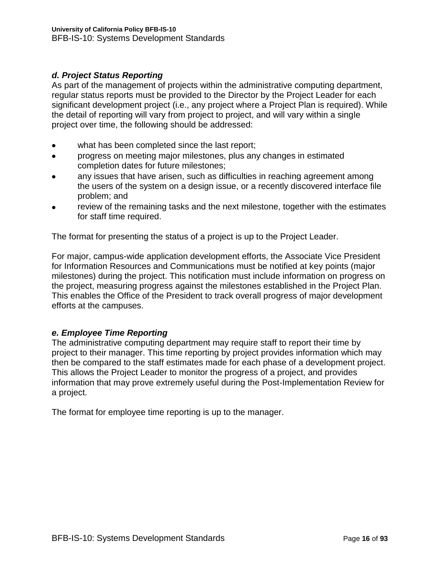# <span id="page-15-0"></span>*d. Project Status Reporting*

As part of the management of projects within the administrative computing department, regular status reports must be provided to the Director by the Project Leader for each significant development project (i.e., any project where a Project Plan is required). While the detail of reporting will vary from project to project, and will vary within a single project over time, the following should be addressed:

- what has been completed since the last report;
- progress on meeting major milestones, plus any changes in estimated  $\bullet$ completion dates for future milestones;
- any issues that have arisen, such as difficulties in reaching agreement among the users of the system on a design issue, or a recently discovered interface file problem; and
- review of the remaining tasks and the next milestone, together with the estimates for staff time required.

The format for presenting the status of a project is up to the Project Leader.

For major, campus-wide application development efforts, the Associate Vice President for Information Resources and Communications must be notified at key points (major milestones) during the project. This notification must include information on progress on the project, measuring progress against the milestones established in the Project Plan. This enables the Office of the President to track overall progress of major development efforts at the campuses.

# <span id="page-15-1"></span>*e. Employee Time Reporting*

The administrative computing department may require staff to report their time by project to their manager. This time reporting by project provides information which may then be compared to the staff estimates made for each phase of a development project. This allows the Project Leader to monitor the progress of a project, and provides information that may prove extremely useful during the Post-Implementation Review for a project.

The format for employee time reporting is up to the manager.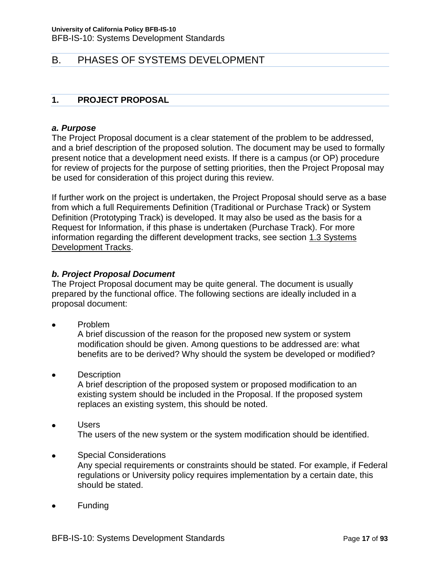# <span id="page-16-0"></span>B. PHASES OF SYSTEMS DEVELOPMENT

# <span id="page-16-1"></span>**1. PROJECT PROPOSAL**

### <span id="page-16-2"></span>*a. Purpose*

The Project Proposal document is a clear statement of the problem to be addressed, and a brief description of the proposed solution. The document may be used to formally present notice that a development need exists. If there is a campus (or OP) procedure for review of projects for the purpose of setting priorities, then the Project Proposal may be used for consideration of this project during this review.

If further work on the project is undertaken, the Project Proposal should serve as a base from which a full Requirements Definition (Traditional or Purchase Track) or System Definition (Prototyping Track) is developed. It may also be used as the basis for a Request for Information, if this phase is undertaken (Purchase Track). For more information regarding the different development tracks, see section 1.3 Systems Development Tracks.

# <span id="page-16-3"></span>*b. Project Proposal Document*

The Project Proposal document may be quite general. The document is usually prepared by the functional office. The following sections are ideally included in a proposal document:

Problem

A brief discussion of the reason for the proposed new system or system modification should be given. Among questions to be addressed are: what benefits are to be derived? Why should the system be developed or modified?

**Description** 

A brief description of the proposed system or proposed modification to an existing system should be included in the Proposal. If the proposed system replaces an existing system, this should be noted.

- Users The users of the new system or the system modification should be identified.
- Special Considerations Any special requirements or constraints should be stated. For example, if Federal regulations or University policy requires implementation by a certain date, this should be stated.
- Funding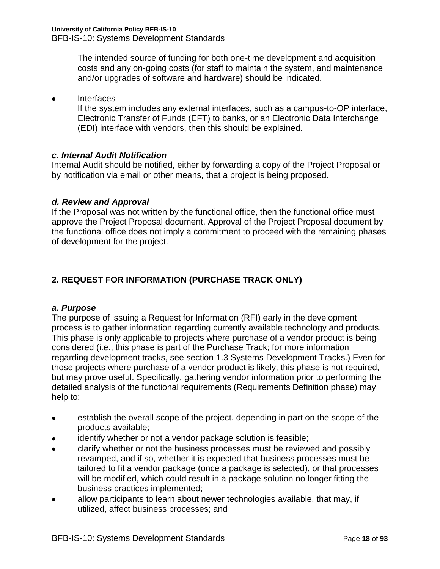The intended source of funding for both one-time development and acquisition costs and any on-going costs (for staff to maintain the system, and maintenance and/or upgrades of software and hardware) should be indicated.

**Interfaces**  $\bullet$ 

If the system includes any external interfaces, such as a campus-to-OP interface, Electronic Transfer of Funds (EFT) to banks, or an Electronic Data Interchange (EDI) interface with vendors, then this should be explained.

# <span id="page-17-0"></span>*c. Internal Audit Notification*

Internal Audit should be notified, either by forwarding a copy of the Project Proposal or by notification via email or other means, that a project is being proposed.

# <span id="page-17-1"></span>*d. Review and Approval*

If the Proposal was not written by the functional office, then the functional office must approve the Project Proposal document. Approval of the Project Proposal document by the functional office does not imply a commitment to proceed with the remaining phases of development for the project.

# <span id="page-17-2"></span>**2. REQUEST FOR INFORMATION (PURCHASE TRACK ONLY)**

# <span id="page-17-3"></span>*a. Purpose*

The purpose of issuing a Request for Information (RFI) early in the development process is to gather information regarding currently available technology and products. This phase is only applicable to projects where purchase of a vendor product is being considered (i.e., this phase is part of the Purchase Track; for more information regarding development tracks, see section 1.3 Systems Development Tracks.) Even for those projects where purchase of a vendor product is likely, this phase is not required, but may prove useful. Specifically, gathering vendor information prior to performing the detailed analysis of the functional requirements (Requirements Definition phase) may help to:

- $\bullet$ establish the overall scope of the project, depending in part on the scope of the products available;
- identify whether or not a vendor package solution is feasible;
- clarify whether or not the business processes must be reviewed and possibly  $\bullet$ revamped, and if so, whether it is expected that business processes must be tailored to fit a vendor package (once a package is selected), or that processes will be modified, which could result in a package solution no longer fitting the business practices implemented;
- allow participants to learn about newer technologies available, that may, if  $\bullet$ utilized, affect business processes; and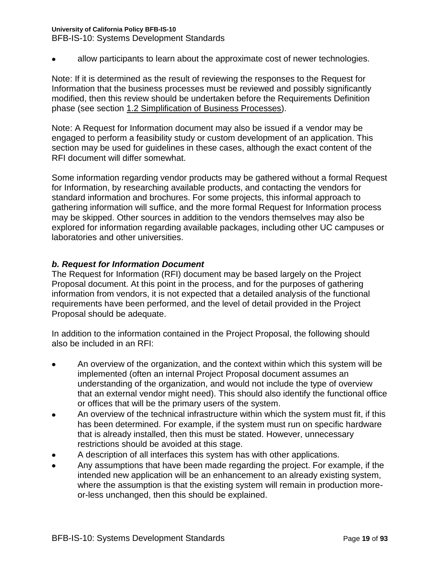### **University of California Policy BFB-IS-10**

BFB-IS-10: Systems Development Standards

allow participants to learn about the approximate cost of newer technologies.

Note: If it is determined as the result of reviewing the responses to the Request for Information that the business processes must be reviewed and possibly significantly modified, then this review should be undertaken before the Requirements Definition phase (see section 1.2 Simplification of Business Processes).

Note: A Request for Information document may also be issued if a vendor may be engaged to perform a feasibility study or custom development of an application. This section may be used for guidelines in these cases, although the exact content of the RFI document will differ somewhat.

Some information regarding vendor products may be gathered without a formal Request for Information, by researching available products, and contacting the vendors for standard information and brochures. For some projects, this informal approach to gathering information will suffice, and the more formal Request for Information process may be skipped. Other sources in addition to the vendors themselves may also be explored for information regarding available packages, including other UC campuses or laboratories and other universities.

# <span id="page-18-0"></span>*b. Request for Information Document*

The Request for Information (RFI) document may be based largely on the Project Proposal document. At this point in the process, and for the purposes of gathering information from vendors, it is not expected that a detailed analysis of the functional requirements have been performed, and the level of detail provided in the Project Proposal should be adequate.

In addition to the information contained in the Project Proposal, the following should also be included in an RFI:

- An overview of the organization, and the context within which this system will be implemented (often an internal Project Proposal document assumes an understanding of the organization, and would not include the type of overview that an external vendor might need). This should also identify the functional office or offices that will be the primary users of the system.
- An overview of the technical infrastructure within which the system must fit, if this  $\bullet$ has been determined. For example, if the system must run on specific hardware that is already installed, then this must be stated. However, unnecessary restrictions should be avoided at this stage.
- A description of all interfaces this system has with other applications.
- Any assumptions that have been made regarding the project. For example, if the intended new application will be an enhancement to an already existing system, where the assumption is that the existing system will remain in production moreor-less unchanged, then this should be explained.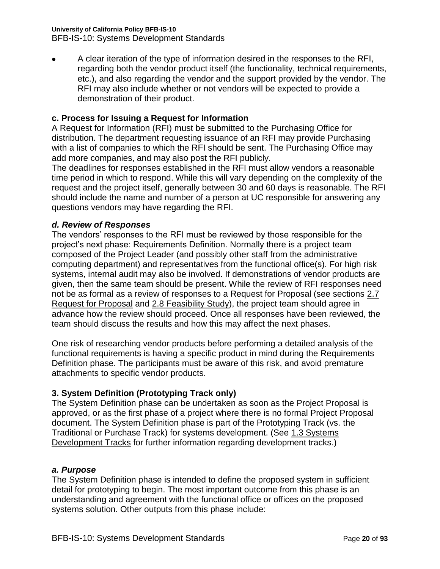#### **University of California Policy BFB-IS-10**

BFB-IS-10: Systems Development Standards

A clear iteration of the type of information desired in the responses to the RFI, regarding both the vendor product itself (the functionality, technical requirements, etc.), and also regarding the vendor and the support provided by the vendor. The RFI may also include whether or not vendors will be expected to provide a demonstration of their product.

# **c. Process for Issuing a Request for Information**

A Request for Information (RFI) must be submitted to the Purchasing Office for distribution. The department requesting issuance of an RFI may provide Purchasing with a list of companies to which the RFI should be sent. The Purchasing Office may add more companies, and may also post the RFI publicly.

The deadlines for responses established in the RFI must allow vendors a reasonable time period in which to respond. While this will vary depending on the complexity of the request and the project itself, generally between 30 and 60 days is reasonable. The RFI should include the name and number of a person at UC responsible for answering any questions vendors may have regarding the RFI.

# <span id="page-19-0"></span>*d. Review of Responses*

The vendors' responses to the RFI must be reviewed by those responsible for the project's next phase: Requirements Definition. Normally there is a project team composed of the Project Leader (and possibly other staff from the administrative computing department) and representatives from the functional office(s). For high risk systems, internal audit may also be involved. If demonstrations of vendor products are given, then the same team should be present. While the review of RFI responses need not be as formal as a review of responses to a Request for Proposal (see sections 2.7 Request for Proposal and 2.8 Feasibility Study), the project team should agree in advance how the review should proceed. Once all responses have been reviewed, the team should discuss the results and how this may affect the next phases.

One risk of researching vendor products before performing a detailed analysis of the functional requirements is having a specific product in mind during the Requirements Definition phase. The participants must be aware of this risk, and avoid premature attachments to specific vendor products.

# **3. System Definition (Prototyping Track only)**

The System Definition phase can be undertaken as soon as the Project Proposal is approved, or as the first phase of a project where there is no formal Project Proposal document. The System Definition phase is part of the Prototyping Track (vs. the Traditional or Purchase Track) for systems development. (See 1.3 Systems Development Tracks for further information regarding development tracks.)

# <span id="page-19-1"></span>*a. Purpose*

The System Definition phase is intended to define the proposed system in sufficient detail for prototyping to begin. The most important outcome from this phase is an understanding and agreement with the functional office or offices on the proposed systems solution. Other outputs from this phase include: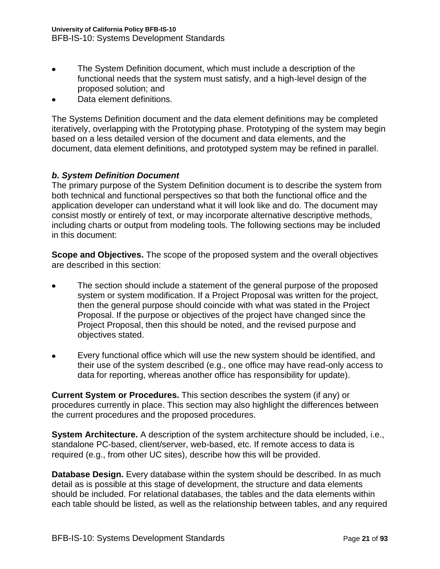- The System Definition document, which must include a description of the  $\bullet$ functional needs that the system must satisfy, and a high-level design of the proposed solution; and
- Data element definitions.

The Systems Definition document and the data element definitions may be completed iteratively, overlapping with the Prototyping phase. Prototyping of the system may begin based on a less detailed version of the document and data elements, and the document, data element definitions, and prototyped system may be refined in parallel.

# <span id="page-20-0"></span>*b. System Definition Document*

The primary purpose of the System Definition document is to describe the system from both technical and functional perspectives so that both the functional office and the application developer can understand what it will look like and do. The document may consist mostly or entirely of text, or may incorporate alternative descriptive methods, including charts or output from modeling tools. The following sections may be included in this document:

**Scope and Objectives.** The scope of the proposed system and the overall objectives are described in this section:

- The section should include a statement of the general purpose of the proposed system or system modification. If a Project Proposal was written for the project, then the general purpose should coincide with what was stated in the Project Proposal. If the purpose or objectives of the project have changed since the Project Proposal, then this should be noted, and the revised purpose and objectives stated.
- Every functional office which will use the new system should be identified, and their use of the system described (e.g., one office may have read-only access to data for reporting, whereas another office has responsibility for update).

**Current System or Procedures.** This section describes the system (if any) or procedures currently in place. This section may also highlight the differences between the current procedures and the proposed procedures.

**System Architecture.** A description of the system architecture should be included, i.e., standalone PC-based, client/server, web-based, etc. If remote access to data is required (e.g., from other UC sites), describe how this will be provided.

**Database Design.** Every database within the system should be described. In as much detail as is possible at this stage of development, the structure and data elements should be included. For relational databases, the tables and the data elements within each table should be listed, as well as the relationship between tables, and any required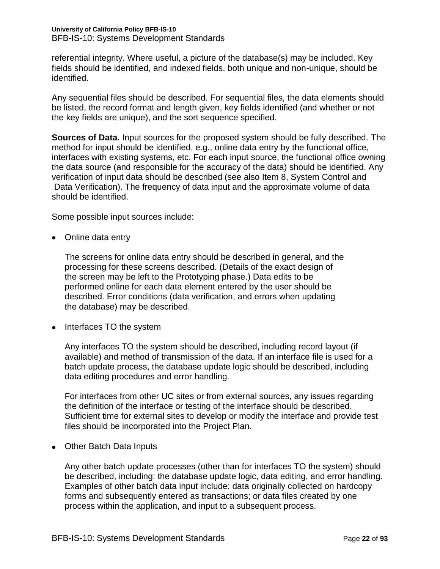referential integrity. Where useful, a picture of the database(s) may be included. Key fields should be identified, and indexed fields, both unique and non-unique, should be identified.

Any sequential files should be described. For sequential files, the data elements should be listed, the record format and length given, key fields identified (and whether or not the key fields are unique), and the sort sequence specified.

**Sources of Data.** Input sources for the proposed system should be fully described. The method for input should be identified, e.g., online data entry by the functional office, interfaces with existing systems, etc. For each input source, the functional office owning the data source (and responsible for the accuracy of the data) should be identified. Any verification of input data should be described (see also Item 8, System Control and Data Verification). The frequency of data input and the approximate volume of data should be identified.

Some possible input sources include:

• Online data entry

The screens for online data entry should be described in general, and the processing for these screens described. (Details of the exact design of the screen may be left to the Prototyping phase.) Data edits to be performed online for each data element entered by the user should be described. Error conditions (data verification, and errors when updating the database) may be described.

• Interfaces TO the system

Any interfaces TO the system should be described, including record layout (if available) and method of transmission of the data. If an interface file is used for a batch update process, the database update logic should be described, including data editing procedures and error handling.

For interfaces from other UC sites or from external sources, any issues regarding the definition of the interface or testing of the interface should be described. Sufficient time for external sites to develop or modify the interface and provide test files should be incorporated into the Project Plan.

• Other Batch Data Inputs

Any other batch update processes (other than for interfaces TO the system) should be described, including: the database update logic, data editing, and error handling. Examples of other batch data input include: data originally collected on hardcopy forms and subsequently entered as transactions; or data files created by one process within the application, and input to a subsequent process.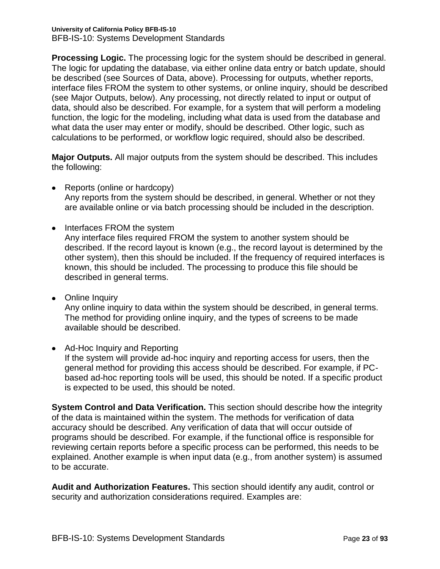**Processing Logic.** The processing logic for the system should be described in general. The logic for updating the database, via either online data entry or batch update, should be described (see Sources of Data, above). Processing for outputs, whether reports, interface files FROM the system to other systems, or online inquiry, should be described (see Major Outputs, below). Any processing, not directly related to input or output of data, should also be described. For example, for a system that will perform a modeling function, the logic for the modeling, including what data is used from the database and what data the user may enter or modify, should be described. Other logic, such as calculations to be performed, or workflow logic required, should also be described.

**Major Outputs.** All major outputs from the system should be described. This includes the following:

- Reports (online or hardcopy) Any reports from the system should be described, in general. Whether or not they are available online or via batch processing should be included in the description.
- Interfaces FROM the system

Any interface files required FROM the system to another system should be described. If the record layout is known (e.g., the record layout is determined by the other system), then this should be included. If the frequency of required interfaces is known, this should be included. The processing to produce this file should be described in general terms.

• Online Inquiry

Any online inquiry to data within the system should be described, in general terms. The method for providing online inquiry, and the types of screens to be made available should be described.

• Ad-Hoc Inquiry and Reporting

If the system will provide ad-hoc inquiry and reporting access for users, then the general method for providing this access should be described. For example, if PCbased ad-hoc reporting tools will be used, this should be noted. If a specific product is expected to be used, this should be noted.

**System Control and Data Verification.** This section should describe how the integrity of the data is maintained within the system. The methods for verification of data accuracy should be described. Any verification of data that will occur outside of programs should be described. For example, if the functional office is responsible for reviewing certain reports before a specific process can be performed, this needs to be explained. Another example is when input data (e.g., from another system) is assumed to be accurate.

**Audit and Authorization Features.** This section should identify any audit, control or security and authorization considerations required. Examples are: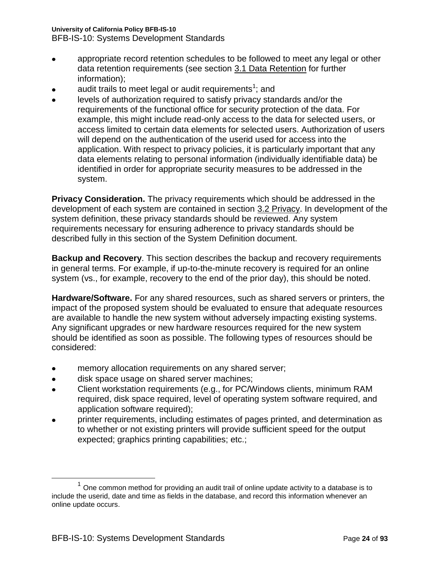### **University of California Policy BFB-IS-10**

BFB-IS-10: Systems Development Standards

- appropriate record retention schedules to be followed to meet any legal or other  $\bullet$ data retention requirements (see section 3.1 Data Retention for further information);
- audit trails to meet legal or audit requirements<sup>1</sup>; and
- levels of authorization required to satisfy privacy standards and/or the  $\bullet$ requirements of the functional office for security protection of the data. For example, this might include read-only access to the data for selected users, or access limited to certain data elements for selected users. Authorization of users will depend on the authentication of the userid used for access into the application. With respect to privacy policies, it is particularly important that any data elements relating to personal information (individually identifiable data) be identified in order for appropriate security measures to be addressed in the system.

**Privacy Consideration.** The privacy requirements which should be addressed in the development of each system are contained in section 3.2 Privacy. In development of the system definition, these privacy standards should be reviewed. Any system requirements necessary for ensuring adherence to privacy standards should be described fully in this section of the System Definition document.

**Backup and Recovery**. This section describes the backup and recovery requirements in general terms. For example, if up-to-the-minute recovery is required for an online system (vs., for example, recovery to the end of the prior day), this should be noted.

**Hardware/Software.** For any shared resources, such as shared servers or printers, the impact of the proposed system should be evaluated to ensure that adequate resources are available to handle the new system without adversely impacting existing systems. Any significant upgrades or new hardware resources required for the new system should be identified as soon as possible. The following types of resources should be considered:

- memory allocation requirements on any shared server;  $\bullet$
- disk space usage on shared server machines;  $\bullet$
- Client workstation requirements (e.g., for PC/Windows clients, minimum RAM required, disk space required, level of operating system software required, and application software required);
- printer requirements, including estimates of pages printed, and determination as to whether or not existing printers will provide sufficient speed for the output expected; graphics printing capabilities; etc.;

 $\overline{a}$ 

 $1$  One common method for providing an audit trail of online update activity to a database is to include the userid, date and time as fields in the database, and record this information whenever an online update occurs.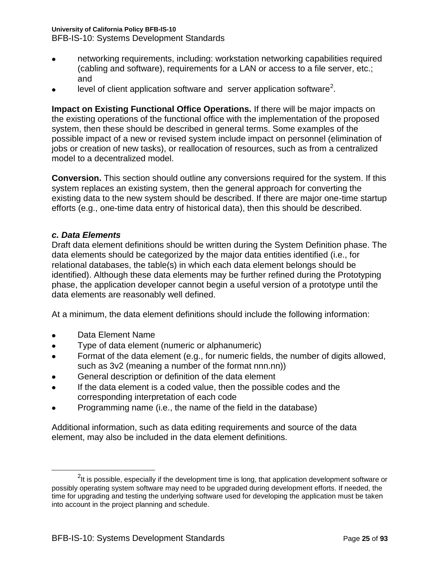BFB-IS-10: Systems Development Standards

- networking requirements, including: workstation networking capabilities required (cabling and software), requirements for a LAN or access to a file server, etc.; and
- level of client application software and server application software<sup>2</sup>.

**Impact on Existing Functional Office Operations.** If there will be major impacts on the existing operations of the functional office with the implementation of the proposed system, then these should be described in general terms. Some examples of the possible impact of a new or revised system include impact on personnel (elimination of jobs or creation of new tasks), or reallocation of resources, such as from a centralized model to a decentralized model.

**Conversion.** This section should outline any conversions required for the system. If this system replaces an existing system, then the general approach for converting the existing data to the new system should be described. If there are major one-time startup efforts (e.g., one-time data entry of historical data), then this should be described.

# <span id="page-24-0"></span>*c. Data Elements*

Draft data element definitions should be written during the System Definition phase. The data elements should be categorized by the major data entities identified (i.e., for relational databases, the table(s) in which each data element belongs should be identified). Although these data elements may be further refined during the Prototyping phase, the application developer cannot begin a useful version of a prototype until the data elements are reasonably well defined.

At a minimum, the data element definitions should include the following information:

Data Element Name

 $\overline{a}$ 

- Type of data element (numeric or alphanumeric)  $\bullet$
- Format of the data element (e.g., for numeric fields, the number of digits allowed,  $\bullet$ such as 3v2 (meaning a number of the format nnn.nn))
- General description or definition of the data element  $\bullet$
- If the data element is a coded value, then the possible codes and the corresponding interpretation of each code
- Programming name (i.e., the name of the field in the database)

Additional information, such as data editing requirements and source of the data element, may also be included in the data element definitions.

 $^{2}$ It is possible, especially if the development time is long, that application development software or possibly operating system software may need to be upgraded during development efforts. If needed, the time for upgrading and testing the underlying software used for developing the application must be taken into account in the project planning and schedule.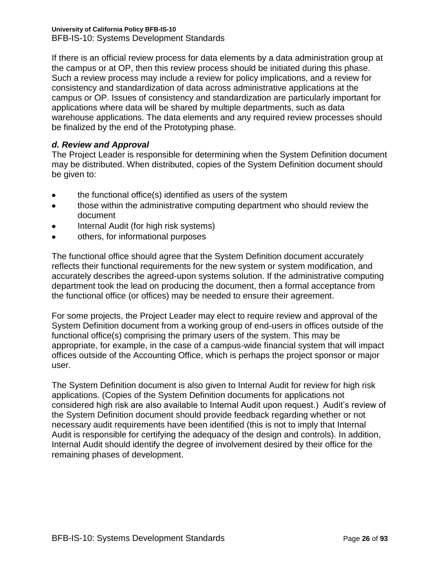If there is an official review process for data elements by a data administration group at the campus or at OP, then this review process should be initiated during this phase. Such a review process may include a review for policy implications, and a review for consistency and standardization of data across administrative applications at the campus or OP. Issues of consistency and standardization are particularly important for applications where data will be shared by multiple departments, such as data warehouse applications. The data elements and any required review processes should be finalized by the end of the Prototyping phase.

# <span id="page-25-0"></span>*d. Review and Approval*

The Project Leader is responsible for determining when the System Definition document may be distributed. When distributed, copies of the System Definition document should be given to:

- the functional office(s) identified as users of the system  $\bullet$
- those within the administrative computing department who should review the  $\bullet$ document
- Internal Audit (for high risk systems)
- others, for informational purposes  $\bullet$

The functional office should agree that the System Definition document accurately reflects their functional requirements for the new system or system modification, and accurately describes the agreed-upon systems solution. If the administrative computing department took the lead on producing the document, then a formal acceptance from the functional office (or offices) may be needed to ensure their agreement.

For some projects, the Project Leader may elect to require review and approval of the System Definition document from a working group of end-users in offices outside of the functional office(s) comprising the primary users of the system. This may be appropriate, for example, in the case of a campus-wide financial system that will impact offices outside of the Accounting Office, which is perhaps the project sponsor or major user.

The System Definition document is also given to Internal Audit for review for high risk applications. (Copies of the System Definition documents for applications not considered high risk are also available to Internal Audit upon request.) Audit's review of the System Definition document should provide feedback regarding whether or not necessary audit requirements have been identified (this is not to imply that Internal Audit is responsible for certifying the adequacy of the design and controls). In addition, Internal Audit should identify the degree of involvement desired by their office for the remaining phases of development.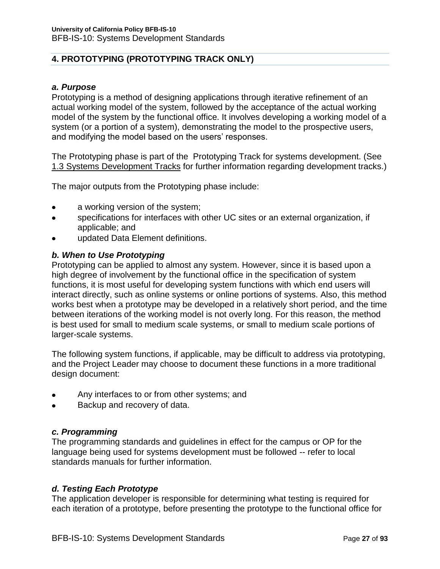# <span id="page-26-0"></span>**4. PROTOTYPING (PROTOTYPING TRACK ONLY)**

### <span id="page-26-1"></span>*a. Purpose*

Prototyping is a method of designing applications through iterative refinement of an actual working model of the system, followed by the acceptance of the actual working model of the system by the functional office. It involves developing a working model of a system (or a portion of a system), demonstrating the model to the prospective users, and modifying the model based on the users' responses.

The Prototyping phase is part of the Prototyping Track for systems development. (See 1.3 Systems Development Tracks for further information regarding development tracks.)

The major outputs from the Prototyping phase include:

- a working version of the system;
- specifications for interfaces with other UC sites or an external organization, if  $\bullet$ applicable; and
- updated Data Element definitions.

# <span id="page-26-2"></span>*b. When to Use Prototyping*

Prototyping can be applied to almost any system. However, since it is based upon a high degree of involvement by the functional office in the specification of system functions, it is most useful for developing system functions with which end users will interact directly, such as online systems or online portions of systems. Also, this method works best when a prototype may be developed in a relatively short period, and the time between iterations of the working model is not overly long. For this reason, the method is best used for small to medium scale systems, or small to medium scale portions of larger-scale systems.

The following system functions, if applicable, may be difficult to address via prototyping, and the Project Leader may choose to document these functions in a more traditional design document:

- Any interfaces to or from other systems; and
- Backup and recovery of data.  $\bullet$

# <span id="page-26-3"></span>*c. Programming*

The programming standards and guidelines in effect for the campus or OP for the language being used for systems development must be followed -- refer to local standards manuals for further information.

# <span id="page-26-4"></span>*d. Testing Each Prototype*

The application developer is responsible for determining what testing is required for each iteration of a prototype, before presenting the prototype to the functional office for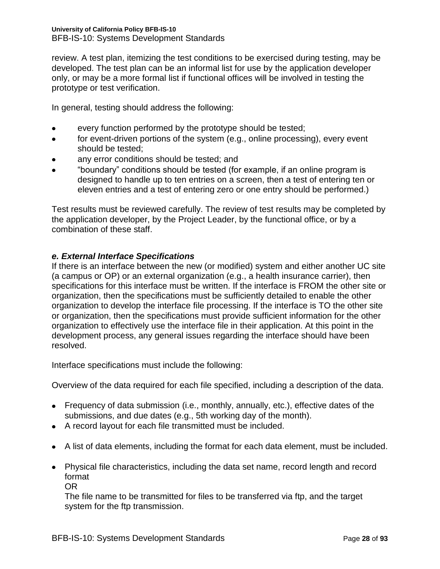review. A test plan, itemizing the test conditions to be exercised during testing, may be developed. The test plan can be an informal list for use by the application developer only, or may be a more formal list if functional offices will be involved in testing the prototype or test verification.

In general, testing should address the following:

- every function performed by the prototype should be tested;  $\bullet$
- for event-driven portions of the system (e.g., online processing), every event  $\bullet$ should be tested;
- any error conditions should be tested; and
- "boundary" conditions should be tested (for example, if an online program is designed to handle up to ten entries on a screen, then a test of entering ten or eleven entries and a test of entering zero or one entry should be performed.)

Test results must be reviewed carefully. The review of test results may be completed by the application developer, by the Project Leader, by the functional office, or by a combination of these staff.

# <span id="page-27-0"></span>*e. External Interface Specifications*

If there is an interface between the new (or modified) system and either another UC site (a campus or OP) or an external organization (e.g., a health insurance carrier), then specifications for this interface must be written. If the interface is FROM the other site or organization, then the specifications must be sufficiently detailed to enable the other organization to develop the interface file processing. If the interface is TO the other site or organization, then the specifications must provide sufficient information for the other organization to effectively use the interface file in their application. At this point in the development process, any general issues regarding the interface should have been resolved.

Interface specifications must include the following:

Overview of the data required for each file specified, including a description of the data.

- Frequency of data submission (i.e., monthly, annually, etc.), effective dates of the submissions, and due dates (e.g., 5th working day of the month).
- A record layout for each file transmitted must be included.
- A list of data elements, including the format for each data element, must be included.
- Physical file characteristics, including the data set name, record length and record format

OR

The file name to be transmitted for files to be transferred via ftp, and the target system for the ftp transmission.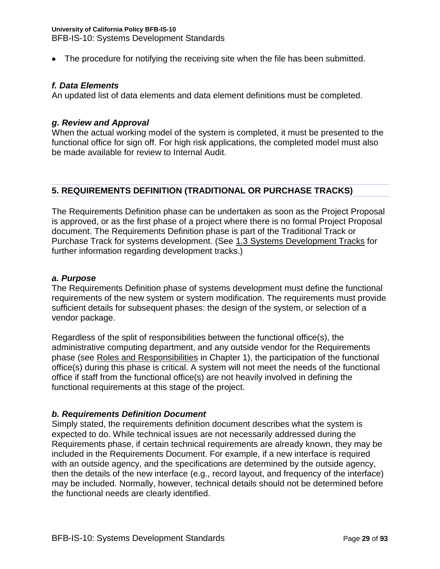The procedure for notifying the receiving site when the file has been submitted.

#### <span id="page-28-0"></span>*f. Data Elements*

An updated list of data elements and data element definitions must be completed.

#### <span id="page-28-1"></span>*g. Review and Approval*

When the actual working model of the system is completed, it must be presented to the functional office for sign off. For high risk applications, the completed model must also be made available for review to Internal Audit.

#### <span id="page-28-2"></span>**5. REQUIREMENTS DEFINITION (TRADITIONAL OR PURCHASE TRACKS)**

The Requirements Definition phase can be undertaken as soon as the Project Proposal is approved, or as the first phase of a project where there is no formal Project Proposal document. The Requirements Definition phase is part of the Traditional Track or Purchase Track for systems development. (See 1.3 Systems Development Tracks for further information regarding development tracks.)

### <span id="page-28-3"></span>*a. Purpose*

The Requirements Definition phase of systems development must define the functional requirements of the new system or system modification. The requirements must provide sufficient details for subsequent phases: the design of the system, or selection of a vendor package.

Regardless of the split of responsibilities between the functional office(s), the administrative computing department, and any outside vendor for the Requirements phase (see Roles and Responsibilities in Chapter 1), the participation of the functional office(s) during this phase is critical. A system will not meet the needs of the functional office if staff from the functional office(s) are not heavily involved in defining the functional requirements at this stage of the project.

#### <span id="page-28-4"></span>*b. Requirements Definition Document*

Simply stated, the requirements definition document describes what the system is expected to do. While technical issues are not necessarily addressed during the Requirements phase, if certain technical requirements are already known, they may be included in the Requirements Document. For example, if a new interface is required with an outside agency, and the specifications are determined by the outside agency, then the details of the new interface (e.g., record layout, and frequency of the interface) may be included. Normally, however, technical details should not be determined before the functional needs are clearly identified.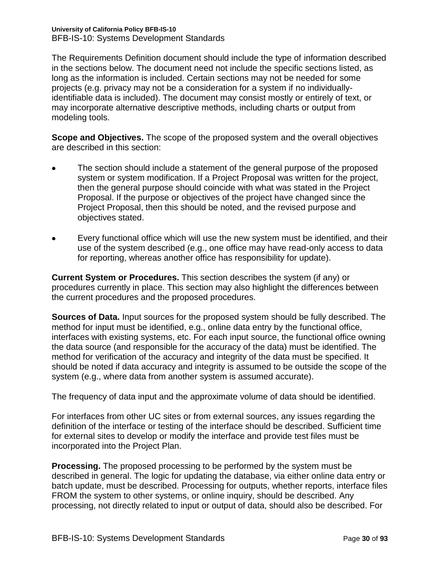The Requirements Definition document should include the type of information described in the sections below. The document need not include the specific sections listed, as long as the information is included. Certain sections may not be needed for some projects (e.g. privacy may not be a consideration for a system if no individuallyidentifiable data is included). The document may consist mostly or entirely of text, or may incorporate alternative descriptive methods, including charts or output from modeling tools.

**Scope and Objectives.** The scope of the proposed system and the overall objectives are described in this section:

- The section should include a statement of the general purpose of the proposed system or system modification. If a Project Proposal was written for the project, then the general purpose should coincide with what was stated in the Project Proposal. If the purpose or objectives of the project have changed since the Project Proposal, then this should be noted, and the revised purpose and objectives stated.
- Every functional office which will use the new system must be identified, and their use of the system described (e.g., one office may have read-only access to data for reporting, whereas another office has responsibility for update).

**Current System or Procedures.** This section describes the system (if any) or procedures currently in place. This section may also highlight the differences between the current procedures and the proposed procedures.

**Sources of Data.** Input sources for the proposed system should be fully described. The method for input must be identified, e.g., online data entry by the functional office, interfaces with existing systems, etc. For each input source, the functional office owning the data source (and responsible for the accuracy of the data) must be identified. The method for verification of the accuracy and integrity of the data must be specified. It should be noted if data accuracy and integrity is assumed to be outside the scope of the system (e.g., where data from another system is assumed accurate).

The frequency of data input and the approximate volume of data should be identified.

For interfaces from other UC sites or from external sources, any issues regarding the definition of the interface or testing of the interface should be described. Sufficient time for external sites to develop or modify the interface and provide test files must be incorporated into the Project Plan.

**Processing.** The proposed processing to be performed by the system must be described in general. The logic for updating the database, via either online data entry or batch update, must be described. Processing for outputs, whether reports, interface files FROM the system to other systems, or online inquiry, should be described. Any processing, not directly related to input or output of data, should also be described. For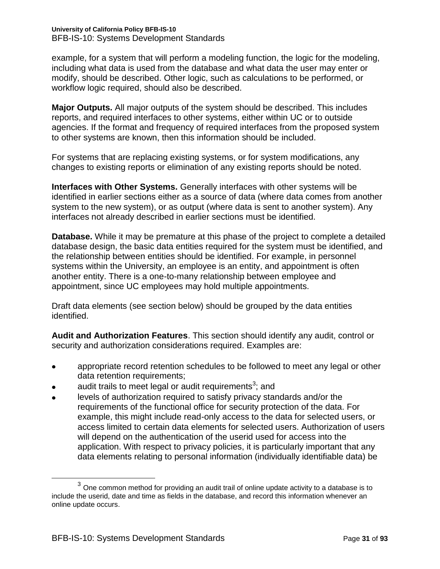example, for a system that will perform a modeling function, the logic for the modeling, including what data is used from the database and what data the user may enter or modify, should be described. Other logic, such as calculations to be performed, or workflow logic required, should also be described.

**Major Outputs.** All major outputs of the system should be described. This includes reports, and required interfaces to other systems, either within UC or to outside agencies. If the format and frequency of required interfaces from the proposed system to other systems are known, then this information should be included.

For systems that are replacing existing systems, or for system modifications, any changes to existing reports or elimination of any existing reports should be noted.

**Interfaces with Other Systems.** Generally interfaces with other systems will be identified in earlier sections either as a source of data (where data comes from another system to the new system), or as output (where data is sent to another system). Any interfaces not already described in earlier sections must be identified.

**Database.** While it may be premature at this phase of the project to complete a detailed database design, the basic data entities required for the system must be identified, and the relationship between entities should be identified. For example, in personnel systems within the University, an employee is an entity, and appointment is often another entity. There is a one-to-many relationship between employee and appointment, since UC employees may hold multiple appointments.

Draft data elements (see section below) should be grouped by the data entities identified.

**Audit and Authorization Features**. This section should identify any audit, control or security and authorization considerations required. Examples are:

- appropriate record retention schedules to be followed to meet any legal or other data retention requirements;
- audit trails to meet legal or audit requirements<sup>3</sup>; and
- levels of authorization required to satisfy privacy standards and/or the requirements of the functional office for security protection of the data. For example, this might include read-only access to the data for selected users, or access limited to certain data elements for selected users. Authorization of users will depend on the authentication of the userid used for access into the application. With respect to privacy policies, it is particularly important that any data elements relating to personal information (individually identifiable data) be

 $\overline{a}$ 

 $3$  One common method for providing an audit trail of online update activity to a database is to include the userid, date and time as fields in the database, and record this information whenever an online update occurs.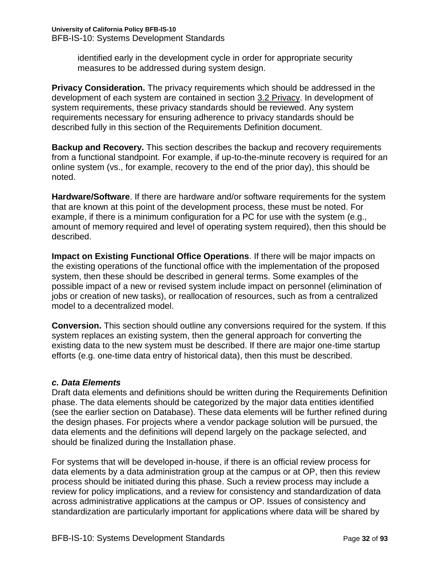identified early in the development cycle in order for appropriate security measures to be addressed during system design.

**Privacy Consideration.** The privacy requirements which should be addressed in the development of each system are contained in section 3.2 Privacy. In development of system requirements, these privacy standards should be reviewed. Any system requirements necessary for ensuring adherence to privacy standards should be described fully in this section of the Requirements Definition document.

**Backup and Recovery.** This section describes the backup and recovery requirements from a functional standpoint. For example, if up-to-the-minute recovery is required for an online system (vs., for example, recovery to the end of the prior day), this should be noted.

**Hardware/Software**. If there are hardware and/or software requirements for the system that are known at this point of the development process, these must be noted. For example, if there is a minimum configuration for a PC for use with the system (e.g., amount of memory required and level of operating system required), then this should be described.

**Impact on Existing Functional Office Operations**. If there will be major impacts on the existing operations of the functional office with the implementation of the proposed system, then these should be described in general terms. Some examples of the possible impact of a new or revised system include impact on personnel (elimination of jobs or creation of new tasks), or reallocation of resources, such as from a centralized model to a decentralized model.

**Conversion.** This section should outline any conversions required for the system. If this system replaces an existing system, then the general approach for converting the existing data to the new system must be described. If there are major one-time startup efforts (e.g. one-time data entry of historical data), then this must be described.

# <span id="page-31-0"></span>*c. Data Elements*

Draft data elements and definitions should be written during the Requirements Definition phase. The data elements should be categorized by the major data entities identified (see the earlier section on Database). These data elements will be further refined during the design phases. For projects where a vendor package solution will be pursued, the data elements and the definitions will depend largely on the package selected, and should be finalized during the Installation phase.

For systems that will be developed in-house, if there is an official review process for data elements by a data administration group at the campus or at OP, then this review process should be initiated during this phase. Such a review process may include a review for policy implications, and a review for consistency and standardization of data across administrative applications at the campus or OP. Issues of consistency and standardization are particularly important for applications where data will be shared by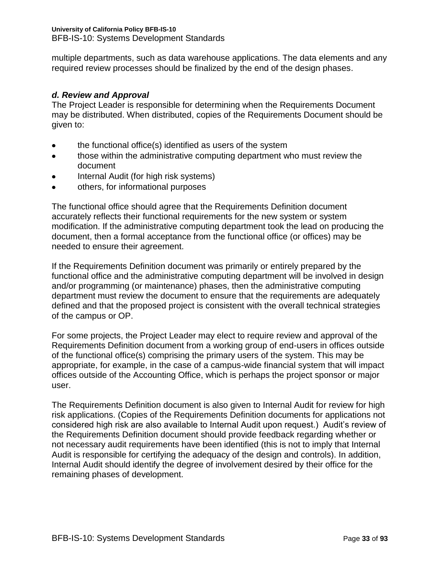multiple departments, such as data warehouse applications. The data elements and any required review processes should be finalized by the end of the design phases.

# <span id="page-32-0"></span>*d. Review and Approval*

The Project Leader is responsible for determining when the Requirements Document may be distributed. When distributed, copies of the Requirements Document should be given to:

- the functional office(s) identified as users of the system
- those within the administrative computing department who must review the  $\bullet$ document
- Internal Audit (for high risk systems)
- others, for informational purposes  $\bullet$

The functional office should agree that the Requirements Definition document accurately reflects their functional requirements for the new system or system modification. If the administrative computing department took the lead on producing the document, then a formal acceptance from the functional office (or offices) may be needed to ensure their agreement.

If the Requirements Definition document was primarily or entirely prepared by the functional office and the administrative computing department will be involved in design and/or programming (or maintenance) phases, then the administrative computing department must review the document to ensure that the requirements are adequately defined and that the proposed project is consistent with the overall technical strategies of the campus or OP.

For some projects, the Project Leader may elect to require review and approval of the Requirements Definition document from a working group of end-users in offices outside of the functional office(s) comprising the primary users of the system. This may be appropriate, for example, in the case of a campus-wide financial system that will impact offices outside of the Accounting Office, which is perhaps the project sponsor or major user.

The Requirements Definition document is also given to Internal Audit for review for high risk applications. (Copies of the Requirements Definition documents for applications not considered high risk are also available to Internal Audit upon request.) Audit's review of the Requirements Definition document should provide feedback regarding whether or not necessary audit requirements have been identified (this is not to imply that Internal Audit is responsible for certifying the adequacy of the design and controls). In addition, Internal Audit should identify the degree of involvement desired by their office for the remaining phases of development.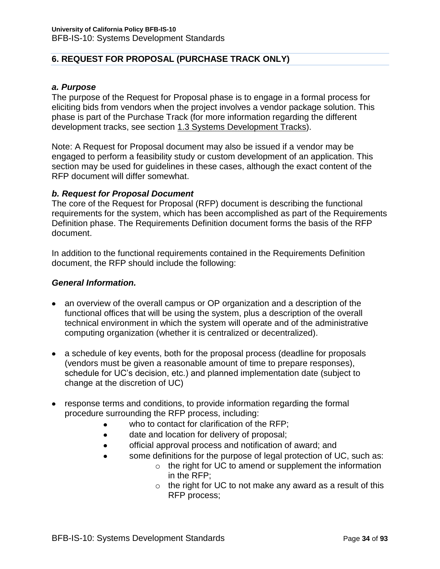# <span id="page-33-0"></span>**6. REQUEST FOR PROPOSAL (PURCHASE TRACK ONLY)**

#### <span id="page-33-1"></span>*a. Purpose*

The purpose of the Request for Proposal phase is to engage in a formal process for eliciting bids from vendors when the project involves a vendor package solution. This phase is part of the Purchase Track (for more information regarding the different development tracks, see section 1.3 Systems Development Tracks).

Note: A Request for Proposal document may also be issued if a vendor may be engaged to perform a feasibility study or custom development of an application. This section may be used for guidelines in these cases, although the exact content of the RFP document will differ somewhat.

#### <span id="page-33-2"></span>*b. Request for Proposal Document*

The core of the Request for Proposal (RFP) document is describing the functional requirements for the system, which has been accomplished as part of the Requirements Definition phase. The Requirements Definition document forms the basis of the RFP document.

In addition to the functional requirements contained in the Requirements Definition document, the RFP should include the following:

#### *General Information.*

- an overview of the overall campus or OP organization and a description of the functional offices that will be using the system, plus a description of the overall technical environment in which the system will operate and of the administrative computing organization (whether it is centralized or decentralized).
- a schedule of key events, both for the proposal process (deadline for proposals (vendors must be given a reasonable amount of time to prepare responses), schedule for UC's decision, etc.) and planned implementation date (subject to change at the discretion of UC)
- response terms and conditions, to provide information regarding the formal procedure surrounding the RFP process, including:
	- who to contact for clarification of the RFP;
	- date and location for delivery of proposal;  $\bullet$
	- official approval process and notification of award; and  $\bullet$
	- some definitions for the purpose of legal protection of UC, such as:
		- o the right for UC to amend or supplement the information in the RFP;
		- $\circ$  the right for UC to not make any award as a result of this RFP process;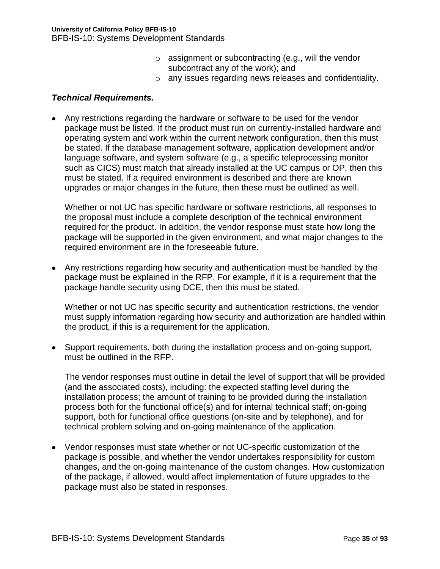- o assignment or subcontracting (e.g., will the vendor subcontract any of the work); and
- o any issues regarding news releases and confidentiality.

### *Technical Requirements.*

Any restrictions regarding the hardware or software to be used for the vendor package must be listed. If the product must run on currently-installed hardware and operating system and work within the current network configuration, then this must be stated. If the database management software, application development and/or language software, and system software (e.g., a specific teleprocessing monitor such as CICS) must match that already installed at the UC campus or OP, then this must be stated. If a required environment is described and there are known upgrades or major changes in the future, then these must be outlined as well.

Whether or not UC has specific hardware or software restrictions, all responses to the proposal must include a complete description of the technical environment required for the product. In addition, the vendor response must state how long the package will be supported in the given environment, and what major changes to the required environment are in the foreseeable future.

Any restrictions regarding how security and authentication must be handled by the package must be explained in the RFP. For example, if it is a requirement that the package handle security using DCE, then this must be stated.

Whether or not UC has specific security and authentication restrictions, the vendor must supply information regarding how security and authorization are handled within the product, if this is a requirement for the application.

Support requirements, both during the installation process and on-going support, must be outlined in the RFP.

The vendor responses must outline in detail the level of support that will be provided (and the associated costs), including: the expected staffing level during the installation process; the amount of training to be provided during the installation process both for the functional office(s) and for internal technical staff; on-going support, both for functional office questions (on-site and by telephone), and for technical problem solving and on-going maintenance of the application.

Vendor responses must state whether or not UC-specific customization of the package is possible, and whether the vendor undertakes responsibility for custom changes, and the on-going maintenance of the custom changes. How customization of the package, if allowed, would affect implementation of future upgrades to the package must also be stated in responses.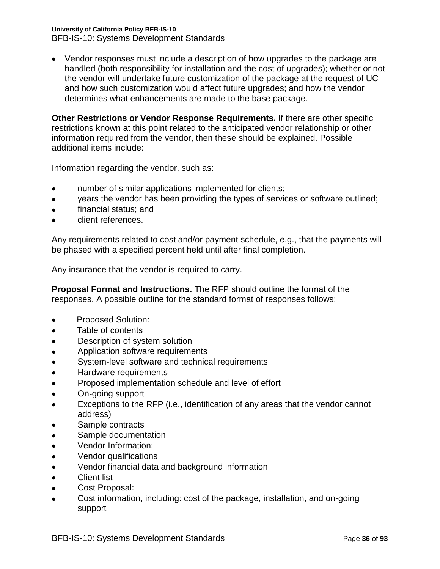**University of California Policy BFB-IS-10**

BFB-IS-10: Systems Development Standards

Vendor responses must include a description of how upgrades to the package are handled (both responsibility for installation and the cost of upgrades); whether or not the vendor will undertake future customization of the package at the request of UC and how such customization would affect future upgrades; and how the vendor determines what enhancements are made to the base package.

**Other Restrictions or Vendor Response Requirements.** If there are other specific restrictions known at this point related to the anticipated vendor relationship or other information required from the vendor, then these should be explained. Possible additional items include:

Information regarding the vendor, such as:

- number of similar applications implemented for clients;  $\bullet$
- years the vendor has been providing the types of services or software outlined;  $\bullet$
- financial status; and  $\bullet$
- client references.

Any requirements related to cost and/or payment schedule, e.g., that the payments will be phased with a specified percent held until after final completion.

Any insurance that the vendor is required to carry.

**Proposal Format and Instructions.** The RFP should outline the format of the responses. A possible outline for the standard format of responses follows:

- Proposed Solution:  $\bullet$
- Table of contents  $\bullet$
- Description of system solution  $\bullet$
- Application software requirements  $\bullet$
- System-level software and technical requirements  $\bullet$
- Hardware requirements  $\bullet$
- Proposed implementation schedule and level of effort  $\bullet$
- $\bullet$ On-going support
- Exceptions to the RFP (i.e., identification of any areas that the vendor cannot address)
- Sample contracts
- Sample documentation  $\bullet$
- Vendor Information:  $\bullet$
- Vendor qualifications  $\bullet$
- Vendor financial data and background information  $\bullet$
- $\bullet$ Client list
- $\bullet$ Cost Proposal:
- Cost information, including: cost of the package, installation, and on-going  $\bullet$ support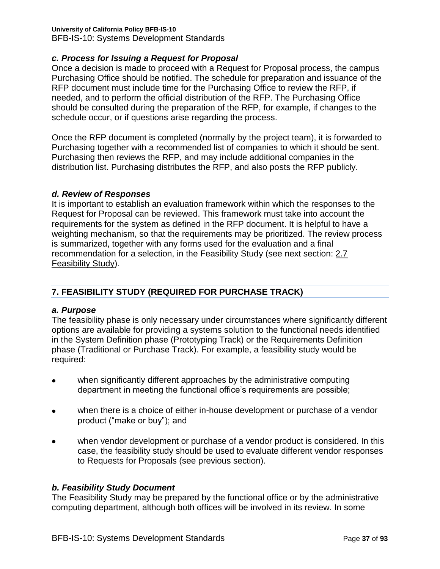## **University of California Policy BFB-IS-10**

BFB-IS-10: Systems Development Standards

## *c. Process for Issuing a Request for Proposal*

Once a decision is made to proceed with a Request for Proposal process, the campus Purchasing Office should be notified. The schedule for preparation and issuance of the RFP document must include time for the Purchasing Office to review the RFP, if needed, and to perform the official distribution of the RFP. The Purchasing Office should be consulted during the preparation of the RFP, for example, if changes to the schedule occur, or if questions arise regarding the process.

Once the RFP document is completed (normally by the project team), it is forwarded to Purchasing together with a recommended list of companies to which it should be sent. Purchasing then reviews the RFP, and may include additional companies in the distribution list. Purchasing distributes the RFP, and also posts the RFP publicly.

### *d. Review of Responses*

It is important to establish an evaluation framework within which the responses to the Request for Proposal can be reviewed. This framework must take into account the requirements for the system as defined in the RFP document. It is helpful to have a weighting mechanism, so that the requirements may be prioritized. The review process is summarized, together with any forms used for the evaluation and a final recommendation for a selection, in the Feasibility Study (see next section: 2.7 Feasibility Study).

## **7. FEASIBILITY STUDY (REQUIRED FOR PURCHASE TRACK)**

## *a. Purpose*

The feasibility phase is only necessary under circumstances where significantly different options are available for providing a systems solution to the functional needs identified in the System Definition phase (Prototyping Track) or the Requirements Definition phase (Traditional or Purchase Track). For example, a feasibility study would be required:

- when significantly different approaches by the administrative computing department in meeting the functional office's requirements are possible;
- when there is a choice of either in-house development or purchase of a vendor  $\bullet$ product ("make or buy"); and
- when vendor development or purchase of a vendor product is considered. In this  $\bullet$ case, the feasibility study should be used to evaluate different vendor responses to Requests for Proposals (see previous section).

## *b. Feasibility Study Document*

The Feasibility Study may be prepared by the functional office or by the administrative computing department, although both offices will be involved in its review. In some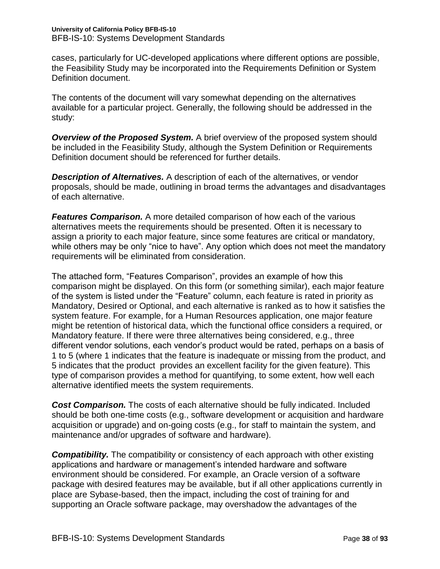cases, particularly for UC-developed applications where different options are possible, the Feasibility Study may be incorporated into the Requirements Definition or System Definition document.

The contents of the document will vary somewhat depending on the alternatives available for a particular project. Generally, the following should be addressed in the study:

*Overview of the Proposed System.* A brief overview of the proposed system should be included in the Feasibility Study, although the System Definition or Requirements Definition document should be referenced for further details.

*Description of Alternatives.* A description of each of the alternatives, or vendor proposals, should be made, outlining in broad terms the advantages and disadvantages of each alternative.

*Features Comparison.* A more detailed comparison of how each of the various alternatives meets the requirements should be presented. Often it is necessary to assign a priority to each major feature, since some features are critical or mandatory, while others may be only "nice to have". Any option which does not meet the mandatory requirements will be eliminated from consideration.

The attached form, "Features Comparison", provides an example of how this comparison might be displayed. On this form (or something similar), each major feature of the system is listed under the "Feature" column, each feature is rated in priority as Mandatory, Desired or Optional, and each alternative is ranked as to how it satisfies the system feature. For example, for a Human Resources application, one major feature might be retention of historical data, which the functional office considers a required, or Mandatory feature. If there were three alternatives being considered, e.g., three different vendor solutions, each vendor's product would be rated, perhaps on a basis of 1 to 5 (where 1 indicates that the feature is inadequate or missing from the product, and 5 indicates that the product provides an excellent facility for the given feature). This type of comparison provides a method for quantifying, to some extent, how well each alternative identified meets the system requirements.

*Cost Comparison.* The costs of each alternative should be fully indicated. Included should be both one-time costs (e.g., software development or acquisition and hardware acquisition or upgrade) and on-going costs (e.g., for staff to maintain the system, and maintenance and/or upgrades of software and hardware).

*Compatibility.* The compatibility or consistency of each approach with other existing applications and hardware or management's intended hardware and software environment should be considered. For example, an Oracle version of a software package with desired features may be available, but if all other applications currently in place are Sybase-based, then the impact, including the cost of training for and supporting an Oracle software package, may overshadow the advantages of the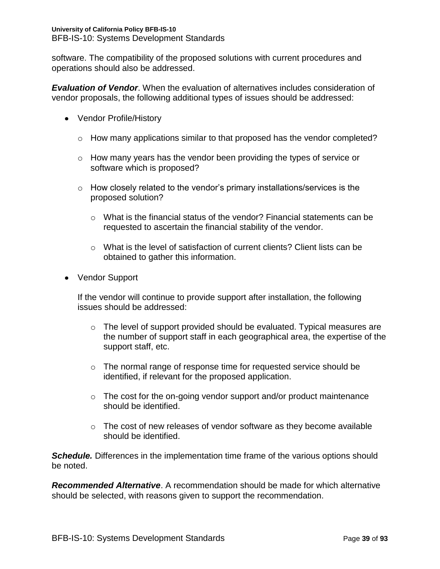software. The compatibility of the proposed solutions with current procedures and operations should also be addressed.

*Evaluation of Vendor*. When the evaluation of alternatives includes consideration of vendor proposals, the following additional types of issues should be addressed:

- Vendor Profile/History
	- o How many applications similar to that proposed has the vendor completed?
	- o How many years has the vendor been providing the types of service or software which is proposed?
	- $\circ$  How closely related to the vendor's primary installations/services is the proposed solution?
		- $\circ$  What is the financial status of the vendor? Financial statements can be requested to ascertain the financial stability of the vendor.
		- o What is the level of satisfaction of current clients? Client lists can be obtained to gather this information.
- Vendor Support

If the vendor will continue to provide support after installation, the following issues should be addressed:

- o The level of support provided should be evaluated. Typical measures are the number of support staff in each geographical area, the expertise of the support staff, etc.
- $\circ$  The normal range of response time for requested service should be identified, if relevant for the proposed application.
- $\circ$  The cost for the on-going vendor support and/or product maintenance should be identified.
- $\circ$  The cost of new releases of vendor software as they become available should be identified.

*Schedule.* Differences in the implementation time frame of the various options should be noted.

*Recommended Alternative*. A recommendation should be made for which alternative should be selected, with reasons given to support the recommendation.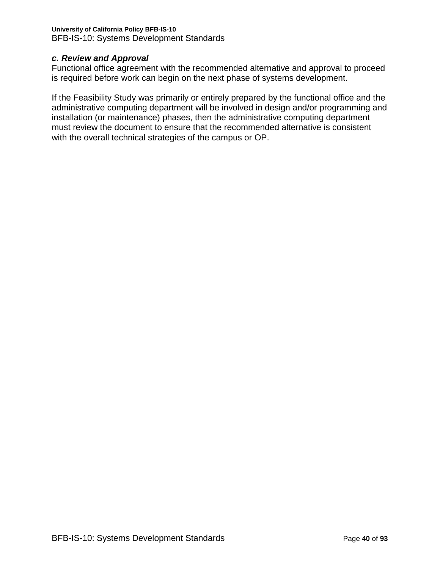### **University of California Policy BFB-IS-10** BFB-IS-10: Systems Development Standards

## *c. Review and Approval*

Functional office agreement with the recommended alternative and approval to proceed is required before work can begin on the next phase of systems development.

If the Feasibility Study was primarily or entirely prepared by the functional office and the administrative computing department will be involved in design and/or programming and installation (or maintenance) phases, then the administrative computing department must review the document to ensure that the recommended alternative is consistent with the overall technical strategies of the campus or OP.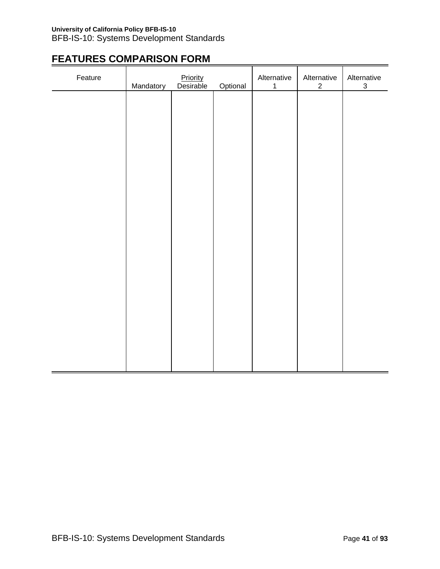# **FEATURES COMPARISON FORM**

| Feature | Mandatory | Priority<br>Desirable | Optional | Alternative<br>$\mathbf 1$ | Alternative<br>$\overline{c}$ | Alternative<br>$\ensuremath{\mathsf{3}}$ |
|---------|-----------|-----------------------|----------|----------------------------|-------------------------------|------------------------------------------|
|         |           |                       |          |                            |                               |                                          |
|         |           |                       |          |                            |                               |                                          |
|         |           |                       |          |                            |                               |                                          |
|         |           |                       |          |                            |                               |                                          |
|         |           |                       |          |                            |                               |                                          |
|         |           |                       |          |                            |                               |                                          |
|         |           |                       |          |                            |                               |                                          |
|         |           |                       |          |                            |                               |                                          |
|         |           |                       |          |                            |                               |                                          |
|         |           |                       |          |                            |                               |                                          |
|         |           |                       |          |                            |                               |                                          |
|         |           |                       |          |                            |                               |                                          |
|         |           |                       |          |                            |                               |                                          |
|         |           |                       |          |                            |                               |                                          |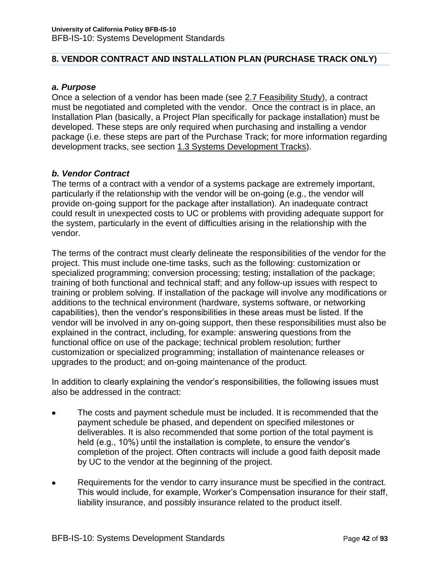## **8. VENDOR CONTRACT AND INSTALLATION PLAN (PURCHASE TRACK ONLY)**

### *a. Purpose*

Once a selection of a vendor has been made (see 2.7 Feasibility Study), a contract must be negotiated and completed with the vendor. Once the contract is in place, an Installation Plan (basically, a Project Plan specifically for package installation) must be developed. These steps are only required when purchasing and installing a vendor package (i.e. these steps are part of the Purchase Track; for more information regarding development tracks, see section 1.3 Systems Development Tracks).

## *b. Vendor Contract*

The terms of a contract with a vendor of a systems package are extremely important, particularly if the relationship with the vendor will be on-going (e.g., the vendor will provide on-going support for the package after installation). An inadequate contract could result in unexpected costs to UC or problems with providing adequate support for the system, particularly in the event of difficulties arising in the relationship with the vendor.

The terms of the contract must clearly delineate the responsibilities of the vendor for the project. This must include one-time tasks, such as the following: customization or specialized programming; conversion processing; testing; installation of the package; training of both functional and technical staff; and any follow-up issues with respect to training or problem solving. If installation of the package will involve any modifications or additions to the technical environment (hardware, systems software, or networking capabilities), then the vendor's responsibilities in these areas must be listed. If the vendor will be involved in any on-going support, then these responsibilities must also be explained in the contract, including, for example: answering questions from the functional office on use of the package; technical problem resolution; further customization or specialized programming; installation of maintenance releases or upgrades to the product; and on-going maintenance of the product.

In addition to clearly explaining the vendor's responsibilities, the following issues must also be addressed in the contract:

- The costs and payment schedule must be included. It is recommended that the payment schedule be phased, and dependent on specified milestones or deliverables. It is also recommended that some portion of the total payment is held (e.g., 10%) until the installation is complete, to ensure the vendor's completion of the project. Often contracts will include a good faith deposit made by UC to the vendor at the beginning of the project.
- Requirements for the vendor to carry insurance must be specified in the contract.  $\bullet$ This would include, for example, Worker's Compensation insurance for their staff, liability insurance, and possibly insurance related to the product itself.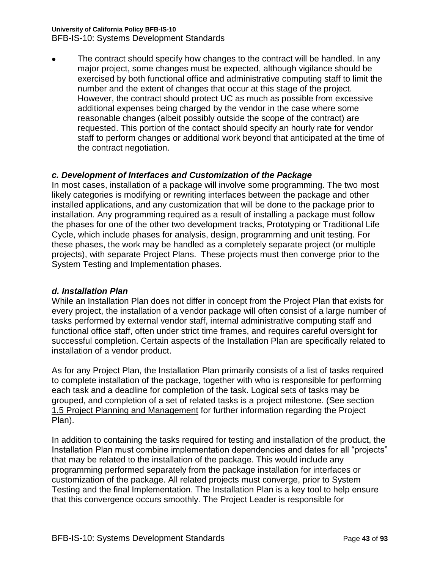### **University of California Policy BFB-IS-10**

BFB-IS-10: Systems Development Standards

The contract should specify how changes to the contract will be handled. In any major project, some changes must be expected, although vigilance should be exercised by both functional office and administrative computing staff to limit the number and the extent of changes that occur at this stage of the project. However, the contract should protect UC as much as possible from excessive additional expenses being charged by the vendor in the case where some reasonable changes (albeit possibly outside the scope of the contract) are requested. This portion of the contact should specify an hourly rate for vendor staff to perform changes or additional work beyond that anticipated at the time of the contract negotiation.

## *c. Development of Interfaces and Customization of the Package*

In most cases, installation of a package will involve some programming. The two most likely categories is modifying or rewriting interfaces between the package and other installed applications, and any customization that will be done to the package prior to installation. Any programming required as a result of installing a package must follow the phases for one of the other two development tracks, Prototyping or Traditional Life Cycle, which include phases for analysis, design, programming and unit testing. For these phases, the work may be handled as a completely separate project (or multiple projects), with separate Project Plans. These projects must then converge prior to the System Testing and Implementation phases.

### *d. Installation Plan*

While an Installation Plan does not differ in concept from the Project Plan that exists for every project, the installation of a vendor package will often consist of a large number of tasks performed by external vendor staff, internal administrative computing staff and functional office staff, often under strict time frames, and requires careful oversight for successful completion. Certain aspects of the Installation Plan are specifically related to installation of a vendor product.

As for any Project Plan, the Installation Plan primarily consists of a list of tasks required to complete installation of the package, together with who is responsible for performing each task and a deadline for completion of the task. Logical sets of tasks may be grouped, and completion of a set of related tasks is a project milestone. (See section 1.5 Project Planning and Management for further information regarding the Project Plan).

In addition to containing the tasks required for testing and installation of the product, the Installation Plan must combine implementation dependencies and dates for all "projects" that may be related to the installation of the package. This would include any programming performed separately from the package installation for interfaces or customization of the package. All related projects must converge, prior to System Testing and the final Implementation. The Installation Plan is a key tool to help ensure that this convergence occurs smoothly. The Project Leader is responsible for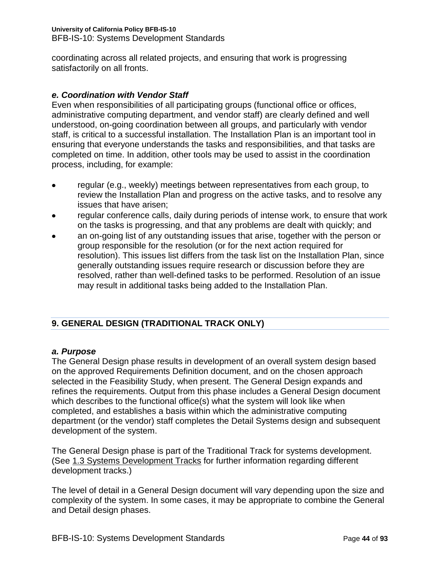coordinating across all related projects, and ensuring that work is progressing satisfactorily on all fronts.

## *e. Coordination with Vendor Staff*

Even when responsibilities of all participating groups (functional office or offices, administrative computing department, and vendor staff) are clearly defined and well understood, on-going coordination between all groups, and particularly with vendor staff, is critical to a successful installation. The Installation Plan is an important tool in ensuring that everyone understands the tasks and responsibilities, and that tasks are completed on time. In addition, other tools may be used to assist in the coordination process, including, for example:

- regular (e.g., weekly) meetings between representatives from each group, to review the Installation Plan and progress on the active tasks, and to resolve any issues that have arisen;
- regular conference calls, daily during periods of intense work, to ensure that work on the tasks is progressing, and that any problems are dealt with quickly; and
- an on-going list of any outstanding issues that arise, together with the person or group responsible for the resolution (or for the next action required for resolution). This issues list differs from the task list on the Installation Plan, since generally outstanding issues require research or discussion before they are resolved, rather than well-defined tasks to be performed. Resolution of an issue may result in additional tasks being added to the Installation Plan.

## **9. GENERAL DESIGN (TRADITIONAL TRACK ONLY)**

## *a. Purpose*

The General Design phase results in development of an overall system design based on the approved Requirements Definition document, and on the chosen approach selected in the Feasibility Study, when present. The General Design expands and refines the requirements. Output from this phase includes a General Design document which describes to the functional office(s) what the system will look like when completed, and establishes a basis within which the administrative computing department (or the vendor) staff completes the Detail Systems design and subsequent development of the system.

The General Design phase is part of the Traditional Track for systems development. (See 1.3 Systems Development Tracks for further information regarding different development tracks.)

The level of detail in a General Design document will vary depending upon the size and complexity of the system. In some cases, it may be appropriate to combine the General and Detail design phases.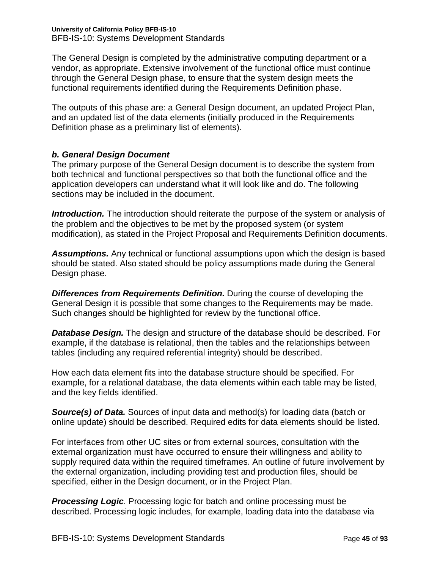The General Design is completed by the administrative computing department or a vendor, as appropriate. Extensive involvement of the functional office must continue through the General Design phase, to ensure that the system design meets the functional requirements identified during the Requirements Definition phase.

The outputs of this phase are: a General Design document, an updated Project Plan, and an updated list of the data elements (initially produced in the Requirements Definition phase as a preliminary list of elements).

## *b. General Design Document*

The primary purpose of the General Design document is to describe the system from both technical and functional perspectives so that both the functional office and the application developers can understand what it will look like and do. The following sections may be included in the document.

*Introduction.* The introduction should reiterate the purpose of the system or analysis of the problem and the objectives to be met by the proposed system (or system modification), as stated in the Project Proposal and Requirements Definition documents.

*Assumptions.* Any technical or functional assumptions upon which the design is based should be stated. Also stated should be policy assumptions made during the General Design phase.

*Differences from Requirements Definition.* During the course of developing the General Design it is possible that some changes to the Requirements may be made. Such changes should be highlighted for review by the functional office.

*Database Design.* The design and structure of the database should be described. For example, if the database is relational, then the tables and the relationships between tables (including any required referential integrity) should be described.

How each data element fits into the database structure should be specified. For example, for a relational database, the data elements within each table may be listed, and the key fields identified.

**Source(s) of Data.** Sources of input data and method(s) for loading data (batch or online update) should be described. Required edits for data elements should be listed.

For interfaces from other UC sites or from external sources, consultation with the external organization must have occurred to ensure their willingness and ability to supply required data within the required timeframes. An outline of future involvement by the external organization, including providing test and production files, should be specified, either in the Design document, or in the Project Plan.

**Processing Logic.** Processing logic for batch and online processing must be described. Processing logic includes, for example, loading data into the database via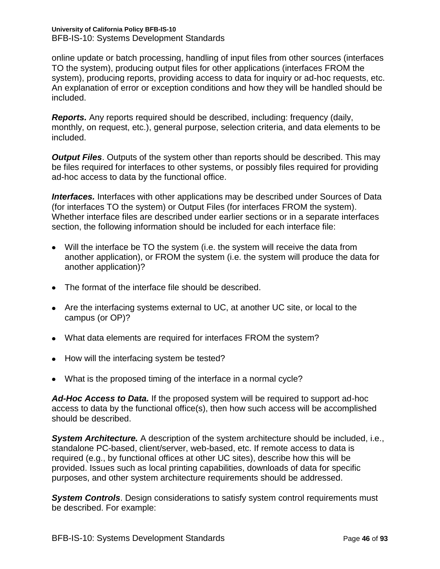online update or batch processing, handling of input files from other sources (interfaces TO the system), producing output files for other applications (interfaces FROM the system), producing reports, providing access to data for inquiry or ad-hoc requests, etc. An explanation of error or exception conditions and how they will be handled should be included.

*Reports.* Any reports required should be described, including: frequency (daily, monthly, on request, etc.), general purpose, selection criteria, and data elements to be included.

*Output Files.* Outputs of the system other than reports should be described. This may be files required for interfaces to other systems, or possibly files required for providing ad-hoc access to data by the functional office.

*Interfaces.* Interfaces with other applications may be described under Sources of Data (for interfaces TO the system) or Output Files (for interfaces FROM the system). Whether interface files are described under earlier sections or in a separate interfaces section, the following information should be included for each interface file:

- Will the interface be TO the system (i.e. the system will receive the data from another application), or FROM the system (i.e. the system will produce the data for another application)?
- The format of the interface file should be described.
- Are the interfacing systems external to UC, at another UC site, or local to the campus (or OP)?
- What data elements are required for interfaces FROM the system?
- How will the interfacing system be tested?
- What is the proposed timing of the interface in a normal cycle?

*Ad-Hoc Access to Data.* If the proposed system will be required to support ad-hoc access to data by the functional office(s), then how such access will be accomplished should be described.

*System Architecture.* A description of the system architecture should be included, i.e., standalone PC-based, client/server, web-based, etc. If remote access to data is required (e.g., by functional offices at other UC sites), describe how this will be provided. Issues such as local printing capabilities, downloads of data for specific purposes, and other system architecture requirements should be addressed.

**System Controls**. Design considerations to satisfy system control requirements must be described. For example: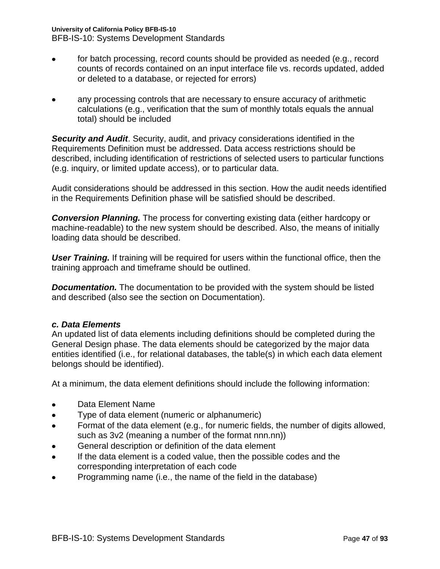## **University of California Policy BFB-IS-10**

BFB-IS-10: Systems Development Standards

- for batch processing, record counts should be provided as needed (e.g., record counts of records contained on an input interface file vs. records updated, added or deleted to a database, or rejected for errors)
- any processing controls that are necessary to ensure accuracy of arithmetic calculations (e.g., verification that the sum of monthly totals equals the annual total) should be included

*Security and Audit*. Security, audit, and privacy considerations identified in the Requirements Definition must be addressed. Data access restrictions should be described, including identification of restrictions of selected users to particular functions (e.g. inquiry, or limited update access), or to particular data.

Audit considerations should be addressed in this section. How the audit needs identified in the Requirements Definition phase will be satisfied should be described.

*Conversion Planning.* The process for converting existing data (either hardcopy or machine-readable) to the new system should be described. Also, the means of initially loading data should be described.

*User Training.* If training will be required for users within the functional office, then the training approach and timeframe should be outlined.

*Documentation.* The documentation to be provided with the system should be listed and described (also see the section on Documentation).

## *c. Data Elements*

An updated list of data elements including definitions should be completed during the General Design phase. The data elements should be categorized by the major data entities identified (i.e., for relational databases, the table(s) in which each data element belongs should be identified).

At a minimum, the data element definitions should include the following information:

- Data Element Name
- Type of data element (numeric or alphanumeric)  $\bullet$
- Format of the data element (e.g., for numeric fields, the number of digits allowed,  $\bullet$ such as 3v2 (meaning a number of the format nnn.nn))
- General description or definition of the data element
- If the data element is a coded value, then the possible codes and the  $\bullet$ corresponding interpretation of each code
- $\bullet$ Programming name (i.e., the name of the field in the database)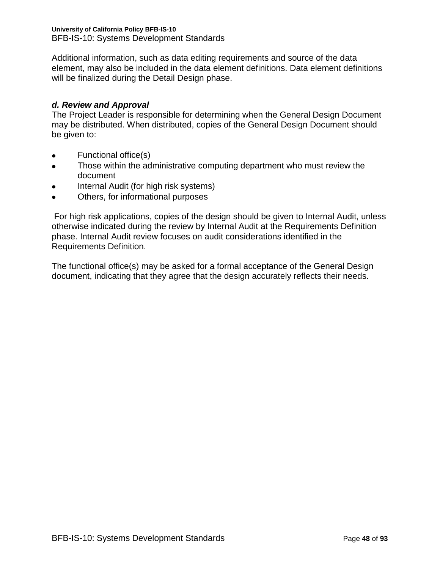Additional information, such as data editing requirements and source of the data element, may also be included in the data element definitions. Data element definitions will be finalized during the Detail Design phase.

## *d. Review and Approval*

The Project Leader is responsible for determining when the General Design Document may be distributed. When distributed, copies of the General Design Document should be given to:

- Functional office(s)  $\bullet$
- Those within the administrative computing department who must review the  $\bullet$ document
- Internal Audit (for high risk systems)
- Others, for informational purposes  $\bullet$

For high risk applications, copies of the design should be given to Internal Audit, unless otherwise indicated during the review by Internal Audit at the Requirements Definition phase. Internal Audit review focuses on audit considerations identified in the Requirements Definition.

The functional office(s) may be asked for a formal acceptance of the General Design document, indicating that they agree that the design accurately reflects their needs.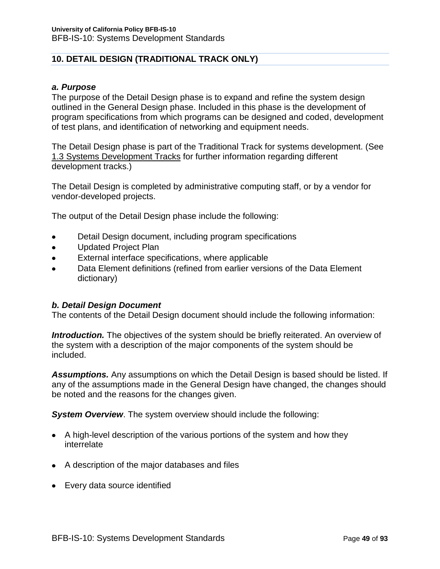## **10. DETAIL DESIGN (TRADITIONAL TRACK ONLY)**

### *a. Purpose*

The purpose of the Detail Design phase is to expand and refine the system design outlined in the General Design phase. Included in this phase is the development of program specifications from which programs can be designed and coded, development of test plans, and identification of networking and equipment needs.

The Detail Design phase is part of the Traditional Track for systems development. (See 1.3 Systems Development Tracks for further information regarding different development tracks.)

The Detail Design is completed by administrative computing staff, or by a vendor for vendor-developed projects.

The output of the Detail Design phase include the following:

- Detail Design document, including program specifications
- Updated Project Plan  $\bullet$
- External interface specifications, where applicable  $\bullet$
- Data Element definitions (refined from earlier versions of the Data Element  $\bullet$ dictionary)

### *b. Detail Design Document*

The contents of the Detail Design document should include the following information:

**Introduction.** The objectives of the system should be briefly reiterated. An overview of the system with a description of the major components of the system should be included.

*Assumptions.* Any assumptions on which the Detail Design is based should be listed. If any of the assumptions made in the General Design have changed, the changes should be noted and the reasons for the changes given.

**System Overview**. The system overview should include the following:

- A high-level description of the various portions of the system and how they interrelate
- A description of the major databases and files
- Every data source identified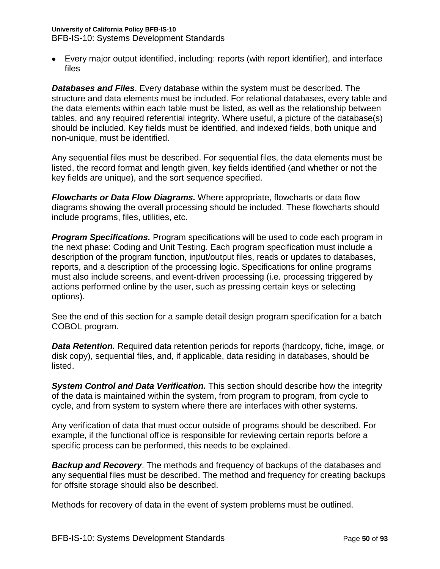## **University of California Policy BFB-IS-10**

BFB-IS-10: Systems Development Standards

Every major output identified, including: reports (with report identifier), and interface files

*Databases and Files*. Every database within the system must be described. The structure and data elements must be included. For relational databases, every table and the data elements within each table must be listed, as well as the relationship between tables, and any required referential integrity. Where useful, a picture of the database(s) should be included. Key fields must be identified, and indexed fields, both unique and non-unique, must be identified.

Any sequential files must be described. For sequential files, the data elements must be listed, the record format and length given, key fields identified (and whether or not the key fields are unique), and the sort sequence specified.

*Flowcharts or Data Flow Diagrams.* Where appropriate, flowcharts or data flow diagrams showing the overall processing should be included. These flowcharts should include programs, files, utilities, etc.

**Program Specifications.** Program specifications will be used to code each program in the next phase: Coding and Unit Testing. Each program specification must include a description of the program function, input/output files, reads or updates to databases, reports, and a description of the processing logic. Specifications for online programs must also include screens, and event-driven processing (i.e. processing triggered by actions performed online by the user, such as pressing certain keys or selecting options).

See the end of this section for a sample detail design program specification for a batch COBOL program.

*Data Retention.* Required data retention periods for reports (hardcopy, fiche, image, or disk copy), sequential files, and, if applicable, data residing in databases, should be listed.

*System Control and Data Verification.* This section should describe how the integrity of the data is maintained within the system, from program to program, from cycle to cycle, and from system to system where there are interfaces with other systems.

Any verification of data that must occur outside of programs should be described. For example, if the functional office is responsible for reviewing certain reports before a specific process can be performed, this needs to be explained.

*Backup and Recovery*. The methods and frequency of backups of the databases and any sequential files must be described. The method and frequency for creating backups for offsite storage should also be described.

Methods for recovery of data in the event of system problems must be outlined.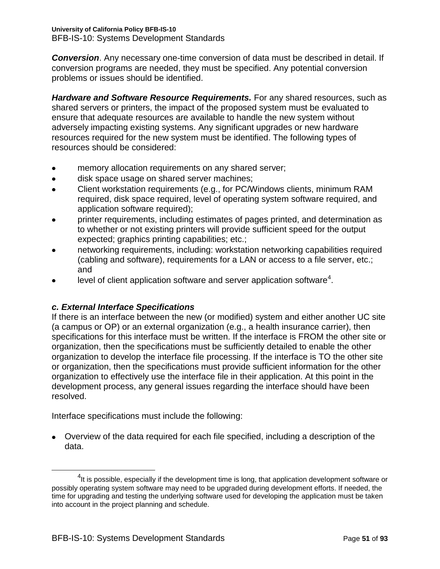### **University of California Policy BFB-IS-10** BFB-IS-10: Systems Development Standards

*Conversion*. Any necessary one-time conversion of data must be described in detail. If conversion programs are needed, they must be specified. Any potential conversion problems or issues should be identified.

*Hardware and Software Resource Requirements.* For any shared resources, such as shared servers or printers, the impact of the proposed system must be evaluated to ensure that adequate resources are available to handle the new system without adversely impacting existing systems. Any significant upgrades or new hardware resources required for the new system must be identified. The following types of resources should be considered:

- memory allocation requirements on any shared server;
- disk space usage on shared server machines;  $\bullet$
- Client workstation requirements (e.g., for PC/Windows clients, minimum RAM required, disk space required, level of operating system software required, and application software required);
- printer requirements, including estimates of pages printed, and determination as to whether or not existing printers will provide sufficient speed for the output expected; graphics printing capabilities; etc.;
- networking requirements, including: workstation networking capabilities required (cabling and software), requirements for a LAN or access to a file server, etc.; and
- level of client application software and server application software $^4$ .

## *c. External Interface Specifications*

If there is an interface between the new (or modified) system and either another UC site (a campus or OP) or an external organization (e.g., a health insurance carrier), then specifications for this interface must be written. If the interface is FROM the other site or organization, then the specifications must be sufficiently detailed to enable the other organization to develop the interface file processing. If the interface is TO the other site or organization, then the specifications must provide sufficient information for the other organization to effectively use the interface file in their application. At this point in the development process, any general issues regarding the interface should have been resolved.

Interface specifications must include the following:

Overview of the data required for each file specified, including a description of the data.

 $\overline{a}$ 

 $^{4}$ It is possible, especially if the development time is long, that application development software or possibly operating system software may need to be upgraded during development efforts. If needed, the time for upgrading and testing the underlying software used for developing the application must be taken into account in the project planning and schedule.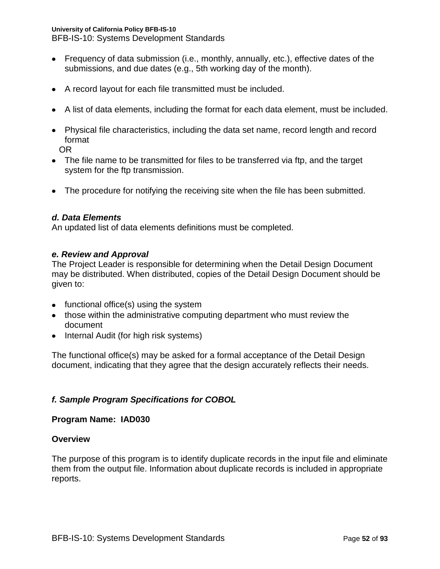BFB-IS-10: Systems Development Standards

- Frequency of data submission (i.e., monthly, annually, etc.), effective dates of the submissions, and due dates (e.g., 5th working day of the month).
- A record layout for each file transmitted must be included.
- A list of data elements, including the format for each data element, must be included.
- Physical file characteristics, including the data set name, record length and record format

OR

- The file name to be transmitted for files to be transferred via ftp, and the target system for the ftp transmission.
- The procedure for notifying the receiving site when the file has been submitted.

## *d. Data Elements*

An updated list of data elements definitions must be completed.

### *e. Review and Approval*

The Project Leader is responsible for determining when the Detail Design Document may be distributed. When distributed, copies of the Detail Design Document should be given to:

- functional office(s) using the system
- those within the administrative computing department who must review the document
- Internal Audit (for high risk systems)

The functional office(s) may be asked for a formal acceptance of the Detail Design document, indicating that they agree that the design accurately reflects their needs.

## *f. Sample Program Specifications for COBOL*

## **Program Name: IAD030**

### **Overview**

The purpose of this program is to identify duplicate records in the input file and eliminate them from the output file. Information about duplicate records is included in appropriate reports.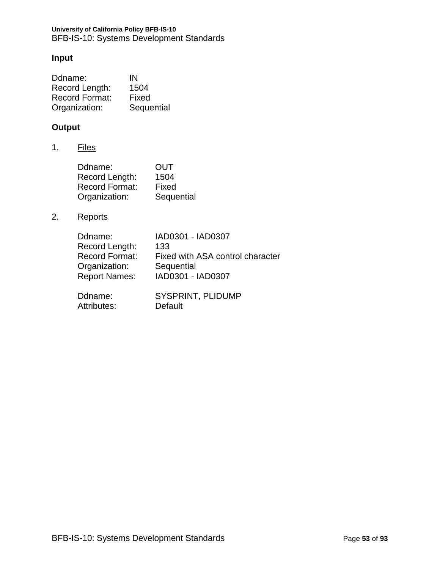### **University of California Policy BFB-IS-10** BFB-IS-10: Systems Development Standards

## **Input**

| Ddname:               | IN         |
|-----------------------|------------|
| Record Length:        | 1504       |
| <b>Record Format:</b> | Fixed      |
| Organization:         | Sequential |

## **Output**

1. Files

| Ddname:               | OUT        |
|-----------------------|------------|
| Record Length:        | 1504       |
| <b>Record Format:</b> | Fixed      |
| Organization:         | Sequential |

2. Reports

| Ddname:               | IAD0301 - IAD0307                |
|-----------------------|----------------------------------|
| Record Length:        | 133                              |
| <b>Record Format:</b> | Fixed with ASA control character |
| Organization:         | Sequential                       |
| <b>Report Names:</b>  | IAD0301 - IAD0307                |
|                       |                                  |
| Ddname:               | <b>SYSPRINT, PLIDUMP</b>         |
| Attributes:           | Default                          |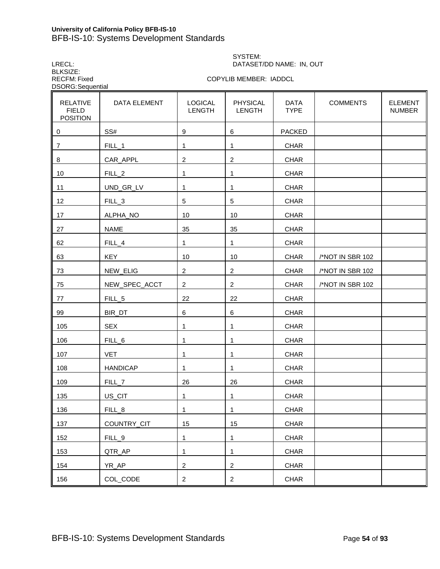### **University of California Policy BFB-IS-10** BFB-IS-10: Systems Development Standards

LRECL: DATASET/DD NAME: IN, OUT BLKSIZE:<br>RECFM: Fixed DSORG:Sequential

# SYSTEM:

COPYLIB MEMBER: IADDCL

| <b>RELATIVE</b><br><b>FIELD</b><br><b>POSITION</b> | DATA ELEMENT      | <b>LOGICAL</b><br><b>LENGTH</b> | <b>PHYSICAL</b><br><b>LENGTH</b> | <b>DATA</b><br><b>TYPE</b> | <b>COMMENTS</b>  | <b>ELEMENT</b><br><b>NUMBER</b> |
|----------------------------------------------------|-------------------|---------------------------------|----------------------------------|----------------------------|------------------|---------------------------------|
| 0                                                  | SS#               | $\boldsymbol{9}$                | 6                                | <b>PACKED</b>              |                  |                                 |
| $\overline{7}$                                     | FILL_1            | 1                               | 1                                | <b>CHAR</b>                |                  |                                 |
| 8                                                  | CAR_APPL          | $\overline{c}$                  | $\overline{c}$                   | <b>CHAR</b>                |                  |                                 |
| 10                                                 | FILL_2            | 1                               | 1                                | <b>CHAR</b>                |                  |                                 |
| 11                                                 | UND_GR_LV         | 1                               | $\mathbf{1}$                     | <b>CHAR</b>                |                  |                                 |
| 12                                                 | FILL_3            | 5                               | 5                                | <b>CHAR</b>                |                  |                                 |
| 17                                                 | ALPHA_NO          | 10                              | 10                               | <b>CHAR</b>                |                  |                                 |
| 27                                                 | <b>NAME</b>       | 35                              | 35                               | <b>CHAR</b>                |                  |                                 |
| 62                                                 | $FILL_4$          | 1                               | 1                                | <b>CHAR</b>                |                  |                                 |
| 63                                                 | <b>KEY</b>        | 10                              | 10                               | <b>CHAR</b>                | /*NOT IN SBR 102 |                                 |
| 73                                                 | NEW_ELIG          | 2                               | $\overline{c}$                   | <b>CHAR</b>                | /*NOT IN SBR 102 |                                 |
| 75                                                 | NEW_SPEC_ACCT     | 2                               | 2                                | <b>CHAR</b>                | /*NOT IN SBR 102 |                                 |
| 77                                                 | FILL_5            | 22                              | 22                               | <b>CHAR</b>                |                  |                                 |
| 99                                                 | BIR_DT            | 6                               | $\,6$                            | <b>CHAR</b>                |                  |                                 |
| 105                                                | <b>SEX</b>        | 1                               | 1                                | <b>CHAR</b>                |                  |                                 |
| 106                                                | FILL_6            | 1                               | 1                                | <b>CHAR</b>                |                  |                                 |
| 107                                                | <b>VET</b>        | 1                               | 1                                | <b>CHAR</b>                |                  |                                 |
| 108                                                | <b>HANDICAP</b>   | 1                               | 1                                | <b>CHAR</b>                |                  |                                 |
| 109                                                | FILL <sub>7</sub> | 26                              | 26                               | <b>CHAR</b>                |                  |                                 |
| 135                                                | US_CIT            | 1                               | 1                                | <b>CHAR</b>                |                  |                                 |
| 136                                                | FILL_8            | 1                               | 1                                | <b>CHAR</b>                |                  |                                 |
| 137                                                | COUNTRY_CIT       | 15                              | 15                               | <b>CHAR</b>                |                  |                                 |
| 152                                                | FILL_9            | 1                               | 1                                | <b>CHAR</b>                |                  |                                 |
| 153                                                | QTR_AP            | 1                               | 1                                | CHAR                       |                  |                                 |
| 154                                                | YR_AP             | $\overline{c}$                  | $\overline{a}$                   | <b>CHAR</b>                |                  |                                 |
| 156                                                | COL_CODE          | $\overline{a}$                  | $\overline{2}$                   | CHAR                       |                  |                                 |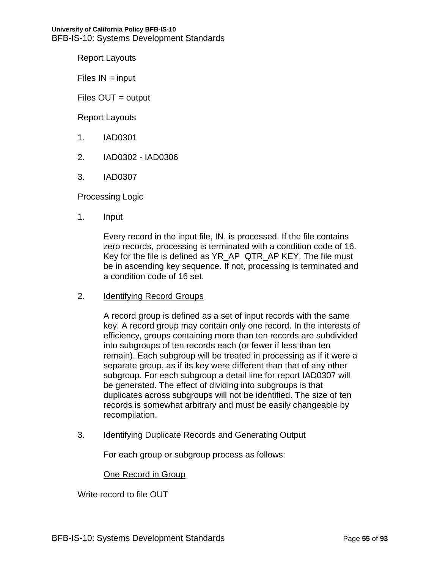Report Layouts

 $Files IN = input$ 

Files OUT = output

Report Layouts

- 1. IAD0301
- 2. IAD0302 IAD0306
- 3. IAD0307

Processing Logic

1. **Input** 

Every record in the input file, IN, is processed. If the file contains zero records, processing is terminated with a condition code of 16. Key for the file is defined as YR\_AP QTR\_AP KEY. The file must be in ascending key sequence. If not, processing is terminated and a condition code of 16 set.

2. Identifying Record Groups

A record group is defined as a set of input records with the same key. A record group may contain only one record. In the interests of efficiency, groups containing more than ten records are subdivided into subgroups of ten records each (or fewer if less than ten remain). Each subgroup will be treated in processing as if it were a separate group, as if its key were different than that of any other subgroup. For each subgroup a detail line for report IAD0307 will be generated. The effect of dividing into subgroups is that duplicates across subgroups will not be identified. The size of ten records is somewhat arbitrary and must be easily changeable by recompilation.

3. Identifying Duplicate Records and Generating Output

For each group or subgroup process as follows:

### One Record in Group

Write record to file OUT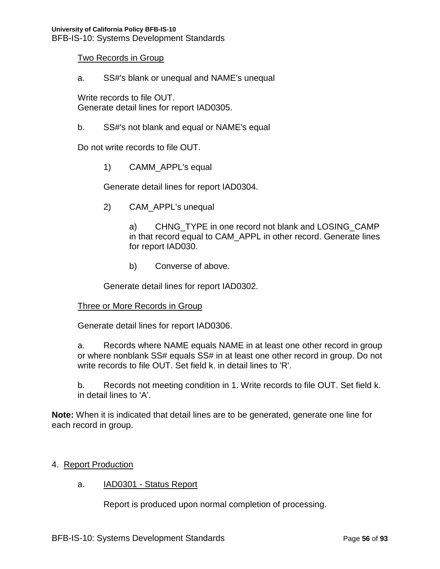### Two Records in Group

a. SS#'s blank or unequal and NAME's unequal

Write records to file OUT. Generate detail lines for report IAD0305.

b. SS#'s not blank and equal or NAME's equal

Do not write records to file OUT.

1) CAMM\_APPL's equal

Generate detail lines for report IAD0304.

2) CAM\_APPL's unequal

a) CHNG TYPE in one record not blank and LOSING CAMP in that record equal to CAM\_APPL in other record. Generate lines for report IAD030.

b) Converse of above.

Generate detail lines for report IAD0302.

### Three or More Records in Group

Generate detail lines for report IAD0306.

a. Records where NAME equals NAME in at least one other record in group or where nonblank SS# equals SS# in at least one other record in group. Do not write records to file OUT. Set field k. in detail lines to 'R'.

b. Records not meeting condition in 1. Write records to file OUT. Set field k. in detail lines to 'A'.

**Note:** When it is indicated that detail lines are to be generated, generate one line for each record in group.

### 4. Report Production

a. **IAD0301 - Status Report** 

Report is produced upon normal completion of processing.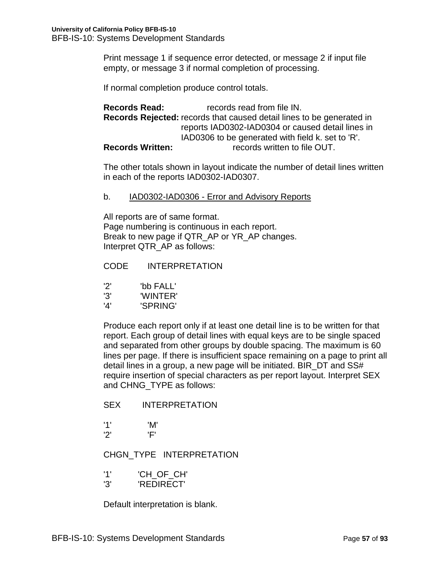Print message 1 if sequence error detected, or message 2 if input file empty, or message 3 if normal completion of processing.

If normal completion produce control totals.

**Records Read:** records read from file IN. **Records Rejected:** records that caused detail lines to be generated in reports IAD0302-IAD0304 or caused detail lines in IAD0306 to be generated with field k. set to 'R'. **Records Written:** records written to file OUT.

The other totals shown in layout indicate the number of detail lines written in each of the reports IAD0302-IAD0307.

### b. IAD0302-IAD0306 - Error and Advisory Reports

All reports are of same format. Page numbering is continuous in each report. Break to new page if QTR\_AP or YR\_AP changes. Interpret QTR\_AP as follows:

### CODE INTERPRETATION

- '2' 'bb FALL'
- '3' 'WINTER'
- '4' 'SPRING'

Produce each report only if at least one detail line is to be written for that report. Each group of detail lines with equal keys are to be single spaced and separated from other groups by double spacing. The maximum is 60 lines per page. If there is insufficient space remaining on a page to print all detail lines in a group, a new page will be initiated. BIR DT and SS# require insertion of special characters as per report layout. Interpret SEX and CHNG\_TYPE as follows:

### SEX INTERPRETATION

'1' 'M' '2' 'F'

## CHGN\_TYPE INTERPRETATION

- '1' 'CH\_OF\_CH'
- '3' 'REDIRECT'

Default interpretation is blank.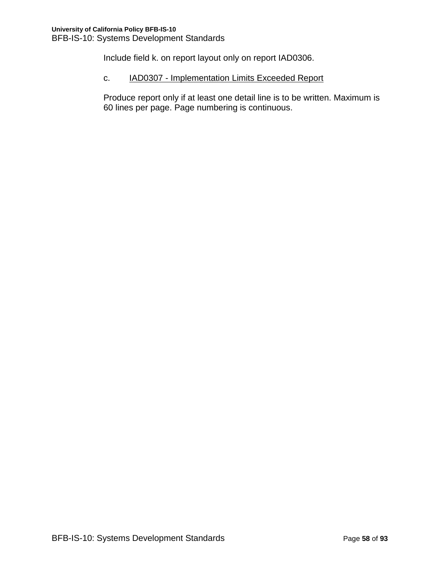Include field k. on report layout only on report IAD0306.

## c. **IAD0307 - Implementation Limits Exceeded Report**

Produce report only if at least one detail line is to be written. Maximum is 60 lines per page. Page numbering is continuous.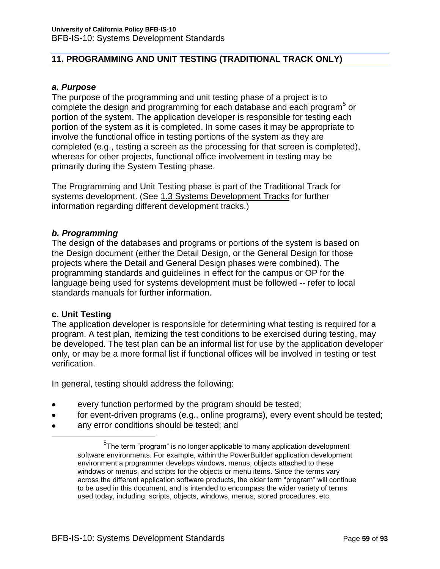## **11. PROGRAMMING AND UNIT TESTING (TRADITIONAL TRACK ONLY)**

### *a. Purpose*

The purpose of the programming and unit testing phase of a project is to complete the design and programming for each database and each program<sup>5</sup> or portion of the system. The application developer is responsible for testing each portion of the system as it is completed. In some cases it may be appropriate to involve the functional office in testing portions of the system as they are completed (e.g., testing a screen as the processing for that screen is completed), whereas for other projects, functional office involvement in testing may be primarily during the System Testing phase.

The Programming and Unit Testing phase is part of the Traditional Track for systems development. (See 1.3 Systems Development Tracks for further information regarding different development tracks.)

### *b. Programming*

The design of the databases and programs or portions of the system is based on the Design document (either the Detail Design, or the General Design for those projects where the Detail and General Design phases were combined). The programming standards and guidelines in effect for the campus or OP for the language being used for systems development must be followed -- refer to local standards manuals for further information.

### **c. Unit Testing**

 $\overline{a}$ 

The application developer is responsible for determining what testing is required for a program. A test plan, itemizing the test conditions to be exercised during testing, may be developed. The test plan can be an informal list for use by the application developer only, or may be a more formal list if functional offices will be involved in testing or test verification.

In general, testing should address the following:

- every function performed by the program should be tested;
- for event-driven programs (e.g., online programs), every event should be tested;  $\bullet$
- any error conditions should be tested; and

<sup>&</sup>lt;sup>5</sup>The term "program" is no longer applicable to many application development software environments. For example, within the PowerBuilder application development environment a programmer develops windows, menus, objects attached to these windows or menus, and scripts for the objects or menu items. Since the terms vary across the different application software products, the older term "program" will continue to be used in this document, and is intended to encompass the wider variety of terms used today, including: scripts, objects, windows, menus, stored procedures, etc.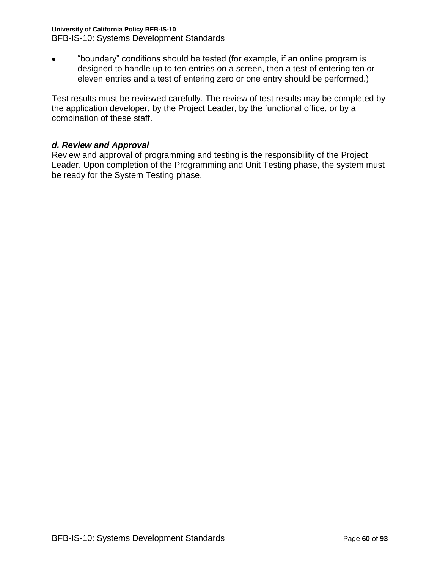## **University of California Policy BFB-IS-10**

BFB-IS-10: Systems Development Standards

"boundary" conditions should be tested (for example, if an online program is  $\bullet$ designed to handle up to ten entries on a screen, then a test of entering ten or eleven entries and a test of entering zero or one entry should be performed.)

Test results must be reviewed carefully. The review of test results may be completed by the application developer, by the Project Leader, by the functional office, or by a combination of these staff.

## *d. Review and Approval*

Review and approval of programming and testing is the responsibility of the Project Leader. Upon completion of the Programming and Unit Testing phase, the system must be ready for the System Testing phase.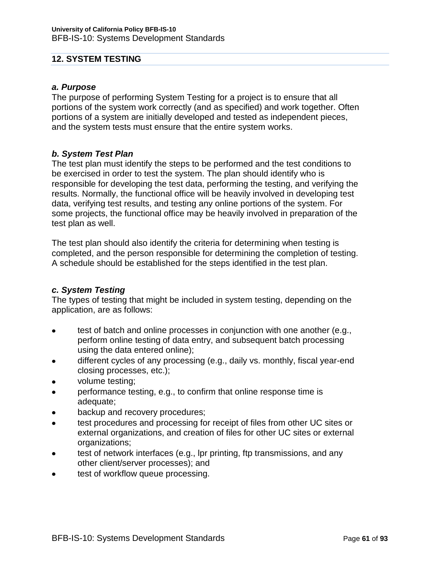### **12. SYSTEM TESTING**

### *a. Purpose*

The purpose of performing System Testing for a project is to ensure that all portions of the system work correctly (and as specified) and work together. Often portions of a system are initially developed and tested as independent pieces, and the system tests must ensure that the entire system works.

### *b. System Test Plan*

The test plan must identify the steps to be performed and the test conditions to be exercised in order to test the system. The plan should identify who is responsible for developing the test data, performing the testing, and verifying the results. Normally, the functional office will be heavily involved in developing test data, verifying test results, and testing any online portions of the system. For some projects, the functional office may be heavily involved in preparation of the test plan as well.

The test plan should also identify the criteria for determining when testing is completed, and the person responsible for determining the completion of testing. A schedule should be established for the steps identified in the test plan.

### *c. System Testing*

The types of testing that might be included in system testing, depending on the application, are as follows:

- $\bullet$ test of batch and online processes in conjunction with one another (e.g., perform online testing of data entry, and subsequent batch processing using the data entered online);
- different cycles of any processing (e.g., daily vs. monthly, fiscal year-end closing processes, etc.);
- volume testing;
- performance testing, e.g., to confirm that online response time is  $\bullet$ adequate;
- backup and recovery procedures;
- test procedures and processing for receipt of files from other UC sites or  $\bullet$ external organizations, and creation of files for other UC sites or external organizations;
- test of network interfaces (e.g., lpr printing, ftp transmissions, and any other client/server processes); and
- test of workflow queue processing.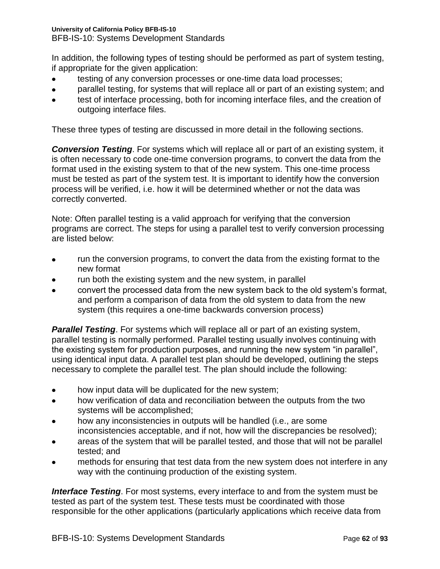BFB-IS-10: Systems Development Standards

In addition, the following types of testing should be performed as part of system testing, if appropriate for the given application:

- testing of any conversion processes or one-time data load processes;
- parallel testing, for systems that will replace all or part of an existing system; and
- test of interface processing, both for incoming interface files, and the creation of outgoing interface files.

These three types of testing are discussed in more detail in the following sections.

*Conversion Testing*. For systems which will replace all or part of an existing system, it is often necessary to code one-time conversion programs, to convert the data from the format used in the existing system to that of the new system. This one-time process must be tested as part of the system test. It is important to identify how the conversion process will be verified, i.e. how it will be determined whether or not the data was correctly converted.

Note: Often parallel testing is a valid approach for verifying that the conversion programs are correct. The steps for using a parallel test to verify conversion processing are listed below:

- run the conversion programs, to convert the data from the existing format to the  $\bullet$ new format
- run both the existing system and the new system, in parallel
- convert the processed data from the new system back to the old system's format, and perform a comparison of data from the old system to data from the new system (this requires a one-time backwards conversion process)

*Parallel Testing.* For systems which will replace all or part of an existing system, parallel testing is normally performed. Parallel testing usually involves continuing with the existing system for production purposes, and running the new system "in parallel", using identical input data. A parallel test plan should be developed, outlining the steps necessary to complete the parallel test. The plan should include the following:

- how input data will be duplicated for the new system;
- how verification of data and reconciliation between the outputs from the two systems will be accomplished;
- how any inconsistencies in outputs will be handled (i.e., are some inconsistencies acceptable, and if not, how will the discrepancies be resolved);
- areas of the system that will be parallel tested, and those that will not be parallel tested; and
- methods for ensuring that test data from the new system does not interfere in any way with the continuing production of the existing system.

*Interface Testing*. For most systems, every interface to and from the system must be tested as part of the system test. These tests must be coordinated with those responsible for the other applications (particularly applications which receive data from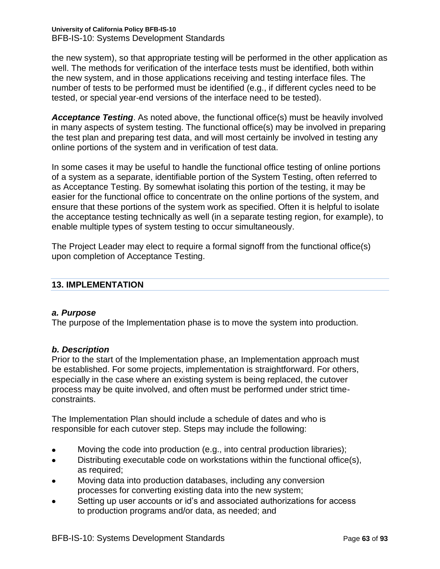**University of California Policy BFB-IS-10** BFB-IS-10: Systems Development Standards

the new system), so that appropriate testing will be performed in the other application as well. The methods for verification of the interface tests must be identified, both within the new system, and in those applications receiving and testing interface files. The number of tests to be performed must be identified (e.g., if different cycles need to be tested, or special year-end versions of the interface need to be tested).

*Acceptance Testing*. As noted above, the functional office(s) must be heavily involved in many aspects of system testing. The functional office(s) may be involved in preparing the test plan and preparing test data, and will most certainly be involved in testing any online portions of the system and in verification of test data.

In some cases it may be useful to handle the functional office testing of online portions of a system as a separate, identifiable portion of the System Testing, often referred to as Acceptance Testing. By somewhat isolating this portion of the testing, it may be easier for the functional office to concentrate on the online portions of the system, and ensure that these portions of the system work as specified. Often it is helpful to isolate the acceptance testing technically as well (in a separate testing region, for example), to enable multiple types of system testing to occur simultaneously.

The Project Leader may elect to require a formal signoff from the functional office(s) upon completion of Acceptance Testing.

## **13. IMPLEMENTATION**

### *a. Purpose*

The purpose of the Implementation phase is to move the system into production.

## *b. Description*

Prior to the start of the Implementation phase, an Implementation approach must be established. For some projects, implementation is straightforward. For others, especially in the case where an existing system is being replaced, the cutover process may be quite involved, and often must be performed under strict timeconstraints.

The Implementation Plan should include a schedule of dates and who is responsible for each cutover step. Steps may include the following:

- Moving the code into production (e.g., into central production libraries);
- Distributing executable code on workstations within the functional office(s),  $\bullet$ as required;
- Moving data into production databases, including any conversion processes for converting existing data into the new system;
- Setting up user accounts or id's and associated authorizations for access to production programs and/or data, as needed; and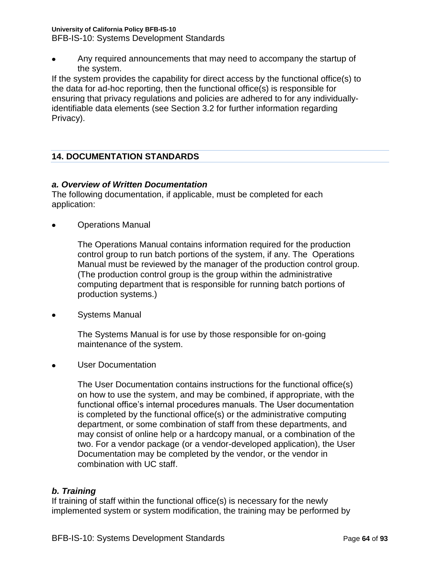BFB-IS-10: Systems Development Standards

Any required announcements that may need to accompany the startup of the system.

If the system provides the capability for direct access by the functional office(s) to the data for ad-hoc reporting, then the functional office(s) is responsible for ensuring that privacy regulations and policies are adhered to for any individuallyidentifiable data elements (see Section 3.2 for further information regarding Privacy).

## **14. DOCUMENTATION STANDARDS**

## *a. Overview of Written Documentation*

The following documentation, if applicable, must be completed for each application:

Operations Manual  $\bullet$ 

> The Operations Manual contains information required for the production control group to run batch portions of the system, if any. The Operations Manual must be reviewed by the manager of the production control group. (The production control group is the group within the administrative computing department that is responsible for running batch portions of production systems.)

Systems Manual  $\bullet$ 

> The Systems Manual is for use by those responsible for on-going maintenance of the system.

User Documentation

The User Documentation contains instructions for the functional office(s) on how to use the system, and may be combined, if appropriate, with the functional office's internal procedures manuals. The User documentation is completed by the functional office(s) or the administrative computing department, or some combination of staff from these departments, and may consist of online help or a hardcopy manual, or a combination of the two. For a vendor package (or a vendor-developed application), the User Documentation may be completed by the vendor, or the vendor in combination with UC staff.

## *b. Training*

If training of staff within the functional office(s) is necessary for the newly implemented system or system modification, the training may be performed by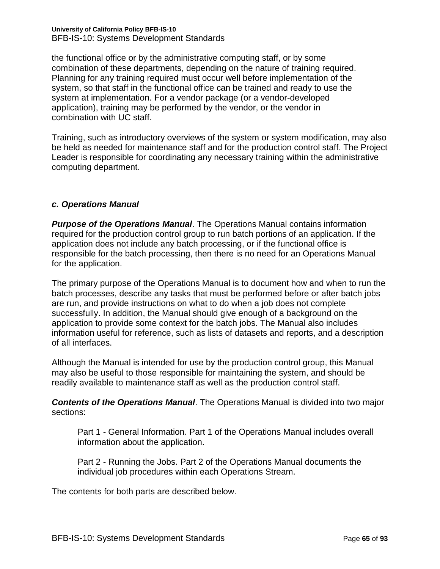#### **University of California Policy BFB-IS-10** BFB-IS-10: Systems Development Standards

the functional office or by the administrative computing staff, or by some combination of these departments, depending on the nature of training required. Planning for any training required must occur well before implementation of the system, so that staff in the functional office can be trained and ready to use the system at implementation. For a vendor package (or a vendor-developed application), training may be performed by the vendor, or the vendor in combination with UC staff.

Training, such as introductory overviews of the system or system modification, may also be held as needed for maintenance staff and for the production control staff. The Project Leader is responsible for coordinating any necessary training within the administrative computing department.

## *c. Operations Manual*

*Purpose of the Operations Manual*. The Operations Manual contains information required for the production control group to run batch portions of an application. If the application does not include any batch processing, or if the functional office is responsible for the batch processing, then there is no need for an Operations Manual for the application.

The primary purpose of the Operations Manual is to document how and when to run the batch processes, describe any tasks that must be performed before or after batch jobs are run, and provide instructions on what to do when a job does not complete successfully. In addition, the Manual should give enough of a background on the application to provide some context for the batch jobs. The Manual also includes information useful for reference, such as lists of datasets and reports, and a description of all interfaces.

Although the Manual is intended for use by the production control group, this Manual may also be useful to those responsible for maintaining the system, and should be readily available to maintenance staff as well as the production control staff.

*Contents of the Operations Manual*. The Operations Manual is divided into two major sections:

Part 1 - General Information. Part 1 of the Operations Manual includes overall information about the application.

Part 2 - Running the Jobs. Part 2 of the Operations Manual documents the individual job procedures within each Operations Stream.

The contents for both parts are described below.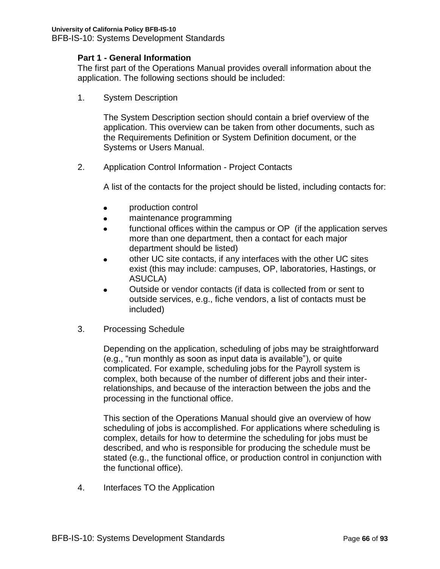## **Part 1 - General Information**

The first part of the Operations Manual provides overall information about the application. The following sections should be included:

1. System Description

The System Description section should contain a brief overview of the application. This overview can be taken from other documents, such as the Requirements Definition or System Definition document, or the Systems or Users Manual.

2. Application Control Information - Project Contacts

A list of the contacts for the project should be listed, including contacts for:

- production control
- maintenance programming  $\bullet$
- functional offices within the campus or OP (if the application serves  $\blacksquare$ more than one department, then a contact for each major department should be listed)
- other UC site contacts, if any interfaces with the other UC sites  $\bullet$ exist (this may include: campuses, OP, laboratories, Hastings, or ASUCLA)
- Outside or vendor contacts (if data is collected from or sent to  $\bullet$ outside services, e.g., fiche vendors, a list of contacts must be included)
- 3. Processing Schedule

Depending on the application, scheduling of jobs may be straightforward (e.g., "run monthly as soon as input data is available"), or quite complicated. For example, scheduling jobs for the Payroll system is complex, both because of the number of different jobs and their interrelationships, and because of the interaction between the jobs and the processing in the functional office.

This section of the Operations Manual should give an overview of how scheduling of jobs is accomplished. For applications where scheduling is complex, details for how to determine the scheduling for jobs must be described, and who is responsible for producing the schedule must be stated (e.g., the functional office, or production control in conjunction with the functional office).

4. Interfaces TO the Application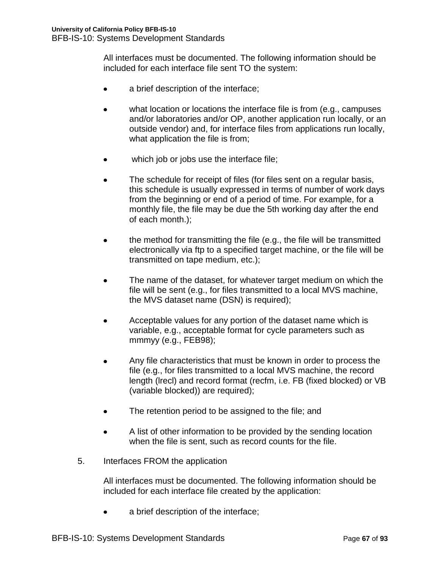All interfaces must be documented. The following information should be included for each interface file sent TO the system:

- a brief description of the interface;  $\bullet$
- what location or locations the interface file is from (e.g., campuses and/or laboratories and/or OP, another application run locally, or an outside vendor) and, for interface files from applications run locally, what application the file is from;
- which job or jobs use the interface file;  $\bullet$
- The schedule for receipt of files (for files sent on a regular basis, this schedule is usually expressed in terms of number of work days from the beginning or end of a period of time. For example, for a monthly file, the file may be due the 5th working day after the end of each month.);
- the method for transmitting the file (e.g., the file will be transmitted  $\bullet$ electronically via ftp to a specified target machine, or the file will be transmitted on tape medium, etc.);
- The name of the dataset, for whatever target medium on which the  $\bullet$ file will be sent (e.g., for files transmitted to a local MVS machine, the MVS dataset name (DSN) is required);
- Acceptable values for any portion of the dataset name which is variable, e.g., acceptable format for cycle parameters such as mmmyy (e.g., FEB98);
- Any file characteristics that must be known in order to process the file (e.g., for files transmitted to a local MVS machine, the record length (lrecl) and record format (recfm, i.e. FB (fixed blocked) or VB (variable blocked)) are required);
- The retention period to be assigned to the file; and
- A list of other information to be provided by the sending location  $\bullet$ when the file is sent, such as record counts for the file.
- 5. Interfaces FROM the application

All interfaces must be documented. The following information should be included for each interface file created by the application:

a brief description of the interface;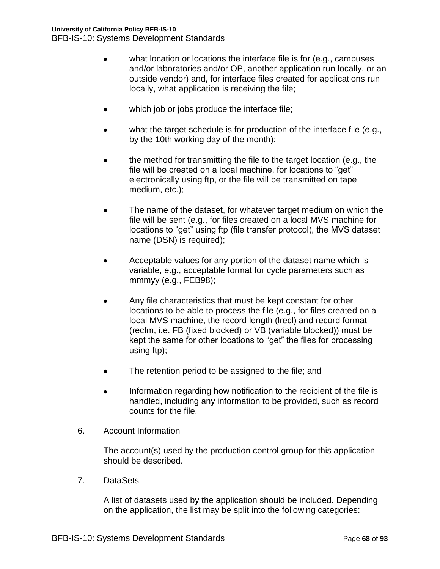- what location or locations the interface file is for (e.g., campuses and/or laboratories and/or OP, another application run locally, or an outside vendor) and, for interface files created for applications run locally, what application is receiving the file;
- which job or jobs produce the interface file;
- $\bullet$ what the target schedule is for production of the interface file (e.g., by the 10th working day of the month);
- the method for transmitting the file to the target location (e.g., the file will be created on a local machine, for locations to "get" electronically using ftp, or the file will be transmitted on tape medium, etc.);
- The name of the dataset, for whatever target medium on which the  $\bullet$ file will be sent (e.g., for files created on a local MVS machine for locations to "get" using ftp (file transfer protocol), the MVS dataset name (DSN) is required);
- Acceptable values for any portion of the dataset name which is variable, e.g., acceptable format for cycle parameters such as mmmyy (e.g., FEB98);
- Any file characteristics that must be kept constant for other  $\bullet$ locations to be able to process the file (e.g., for files created on a local MVS machine, the record length (lrecl) and record format (recfm, i.e. FB (fixed blocked) or VB (variable blocked)) must be kept the same for other locations to "get" the files for processing using ftp);
- $\bullet$ The retention period to be assigned to the file; and
- Information regarding how notification to the recipient of the file is handled, including any information to be provided, such as record counts for the file.
- 6. Account Information

The account(s) used by the production control group for this application should be described.

7. DataSets

A list of datasets used by the application should be included. Depending on the application, the list may be split into the following categories: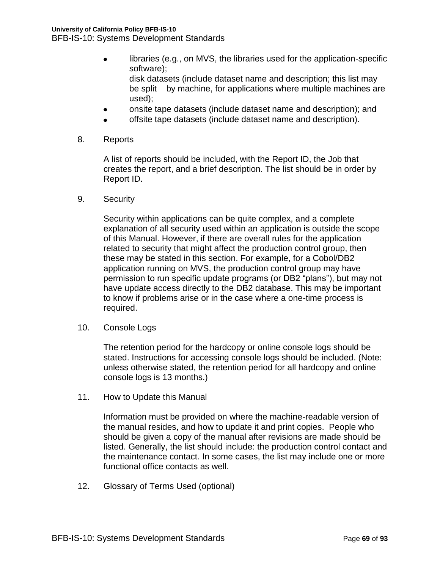- libraries (e.g., on MVS, the libraries used for the application-specific software); disk datasets (include dataset name and description; this list may be split by machine, for applications where multiple machines are used);
- onsite tape datasets (include dataset name and description); and
- offsite tape datasets (include dataset name and description).
- 8. Reports

A list of reports should be included, with the Report ID, the Job that creates the report, and a brief description. The list should be in order by Report ID.

9. Security

Security within applications can be quite complex, and a complete explanation of all security used within an application is outside the scope of this Manual. However, if there are overall rules for the application related to security that might affect the production control group, then these may be stated in this section. For example, for a Cobol/DB2 application running on MVS, the production control group may have permission to run specific update programs (or DB2 "plans"), but may not have update access directly to the DB2 database. This may be important to know if problems arise or in the case where a one-time process is required.

10. Console Logs

The retention period for the hardcopy or online console logs should be stated. Instructions for accessing console logs should be included. (Note: unless otherwise stated, the retention period for all hardcopy and online console logs is 13 months.)

11. How to Update this Manual

Information must be provided on where the machine-readable version of the manual resides, and how to update it and print copies. People who should be given a copy of the manual after revisions are made should be listed. Generally, the list should include: the production control contact and the maintenance contact. In some cases, the list may include one or more functional office contacts as well.

12. Glossary of Terms Used (optional)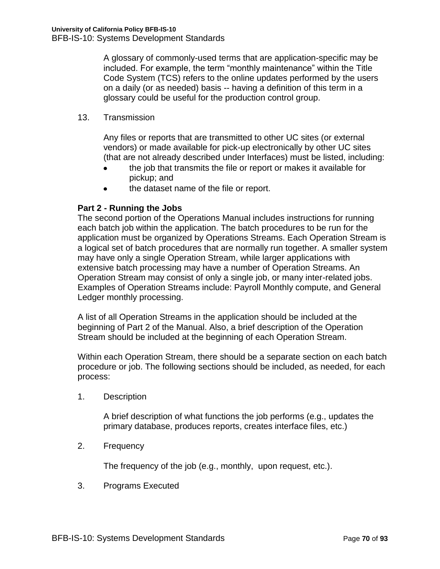A glossary of commonly-used terms that are application-specific may be included. For example, the term "monthly maintenance" within the Title Code System (TCS) refers to the online updates performed by the users on a daily (or as needed) basis -- having a definition of this term in a glossary could be useful for the production control group.

13. Transmission

Any files or reports that are transmitted to other UC sites (or external vendors) or made available for pick-up electronically by other UC sites (that are not already described under Interfaces) must be listed, including:

- the job that transmits the file or report or makes it available for  $\bullet$ pickup; and
- the dataset name of the file or report.

## **Part 2 - Running the Jobs**

The second portion of the Operations Manual includes instructions for running each batch job within the application. The batch procedures to be run for the application must be organized by Operations Streams. Each Operation Stream is a logical set of batch procedures that are normally run together. A smaller system may have only a single Operation Stream, while larger applications with extensive batch processing may have a number of Operation Streams. An Operation Stream may consist of only a single job, or many inter-related jobs. Examples of Operation Streams include: Payroll Monthly compute, and General Ledger monthly processing.

A list of all Operation Streams in the application should be included at the beginning of Part 2 of the Manual. Also, a brief description of the Operation Stream should be included at the beginning of each Operation Stream.

Within each Operation Stream, there should be a separate section on each batch procedure or job. The following sections should be included, as needed, for each process:

1. Description

A brief description of what functions the job performs (e.g., updates the primary database, produces reports, creates interface files, etc.)

2. Frequency

The frequency of the job (e.g., monthly, upon request, etc.).

3. Programs Executed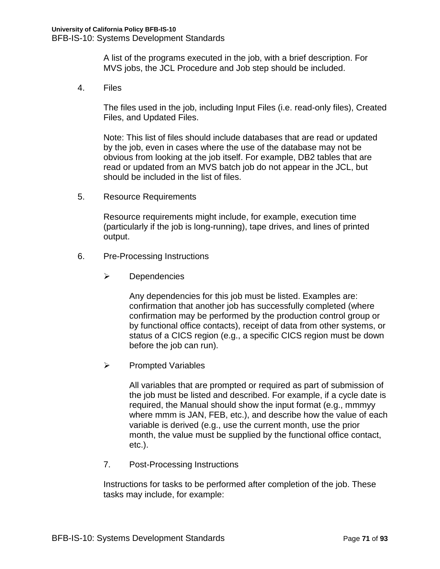A list of the programs executed in the job, with a brief description. For MVS jobs, the JCL Procedure and Job step should be included.

4. Files

The files used in the job, including Input Files (i.e. read-only files), Created Files, and Updated Files.

Note: This list of files should include databases that are read or updated by the job, even in cases where the use of the database may not be obvious from looking at the job itself. For example, DB2 tables that are read or updated from an MVS batch job do not appear in the JCL, but should be included in the list of files.

5. Resource Requirements

Resource requirements might include, for example, execution time (particularly if the job is long-running), tape drives, and lines of printed output.

- 6. Pre-Processing Instructions
	- $\triangleright$  Dependencies

Any dependencies for this job must be listed. Examples are: confirmation that another job has successfully completed (where confirmation may be performed by the production control group or by functional office contacts), receipt of data from other systems, or status of a CICS region (e.g., a specific CICS region must be down before the job can run).

 $\triangleright$  Prompted Variables

All variables that are prompted or required as part of submission of the job must be listed and described. For example, if a cycle date is required, the Manual should show the input format (e.g., mmmyy where mmm is JAN, FEB, etc.), and describe how the value of each variable is derived (e.g., use the current month, use the prior month, the value must be supplied by the functional office contact, etc.).

7. Post-Processing Instructions

Instructions for tasks to be performed after completion of the job. These tasks may include, for example: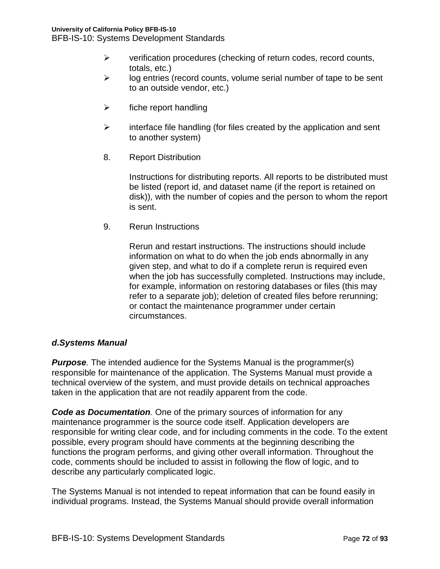BFB-IS-10: Systems Development Standards

- $\triangleright$  verification procedures (checking of return codes, record counts, totals, etc.)
- $\triangleright$  log entries (record counts, volume serial number of tape to be sent to an outside vendor, etc.)
- $\triangleright$  fiche report handling
- $\triangleright$  interface file handling (for files created by the application and sent to another system)
- 8. Report Distribution

Instructions for distributing reports. All reports to be distributed must be listed (report id, and dataset name (if the report is retained on disk)), with the number of copies and the person to whom the report is sent.

9. Rerun Instructions

Rerun and restart instructions. The instructions should include information on what to do when the job ends abnormally in any given step, and what to do if a complete rerun is required even when the job has successfully completed. Instructions may include, for example, information on restoring databases or files (this may refer to a separate job); deletion of created files before rerunning; or contact the maintenance programmer under certain circumstances.

# *d.Systems Manual*

*Purpose.* The intended audience for the Systems Manual is the programmer(s) responsible for maintenance of the application. The Systems Manual must provide a technical overview of the system, and must provide details on technical approaches taken in the application that are not readily apparent from the code.

*Code as Documentation.* One of the primary sources of information for any maintenance programmer is the source code itself. Application developers are responsible for writing clear code, and for including comments in the code. To the extent possible, every program should have comments at the beginning describing the functions the program performs, and giving other overall information. Throughout the code, comments should be included to assist in following the flow of logic, and to describe any particularly complicated logic.

The Systems Manual is not intended to repeat information that can be found easily in individual programs. Instead, the Systems Manual should provide overall information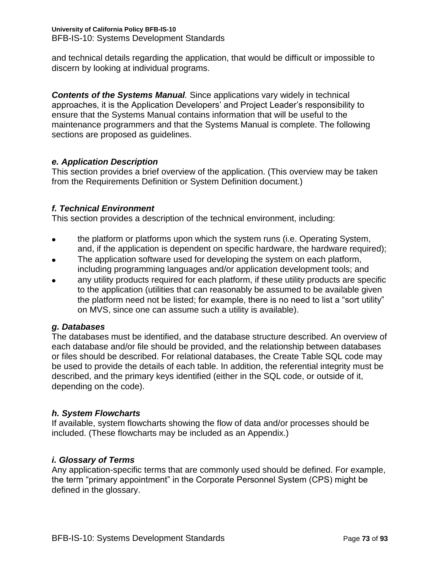and technical details regarding the application, that would be difficult or impossible to discern by looking at individual programs.

**Contents of the Systems Manual**. Since applications vary widely in technical approaches, it is the Application Developers' and Project Leader's responsibility to ensure that the Systems Manual contains information that will be useful to the maintenance programmers and that the Systems Manual is complete. The following sections are proposed as guidelines.

# *e. Application Description*

This section provides a brief overview of the application. (This overview may be taken from the Requirements Definition or System Definition document.)

# *f. Technical Environment*

This section provides a description of the technical environment, including:

- the platform or platforms upon which the system runs (i.e. Operating System, and, if the application is dependent on specific hardware, the hardware required);
- The application software used for developing the system on each platform, including programming languages and/or application development tools; and
- any utility products required for each platform, if these utility products are specific to the application (utilities that can reasonably be assumed to be available given the platform need not be listed; for example, there is no need to list a "sort utility" on MVS, since one can assume such a utility is available).

# *g. Databases*

The databases must be identified, and the database structure described. An overview of each database and/or file should be provided, and the relationship between databases or files should be described. For relational databases, the Create Table SQL code may be used to provide the details of each table. In addition, the referential integrity must be described, and the primary keys identified (either in the SQL code, or outside of it, depending on the code).

# *h. System Flowcharts*

If available, system flowcharts showing the flow of data and/or processes should be included. (These flowcharts may be included as an Appendix.)

# *i. Glossary of Terms*

Any application-specific terms that are commonly used should be defined. For example, the term "primary appointment" in the Corporate Personnel System (CPS) might be defined in the glossary.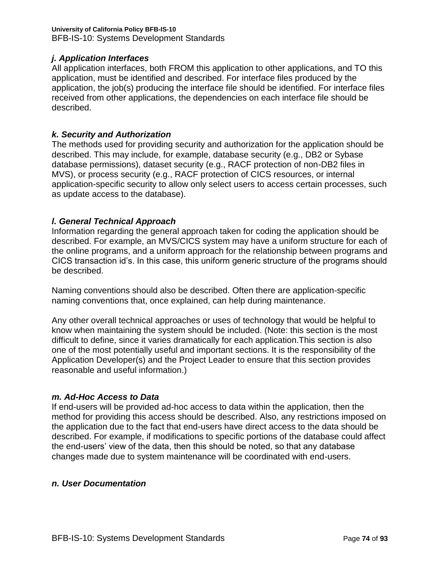# *j. Application Interfaces*

All application interfaces, both FROM this application to other applications, and TO this application, must be identified and described. For interface files produced by the application, the job(s) producing the interface file should be identified. For interface files received from other applications, the dependencies on each interface file should be described.

### *k. Security and Authorization*

The methods used for providing security and authorization for the application should be described. This may include, for example, database security (e.g., DB2 or Sybase database permissions), dataset security (e.g., RACF protection of non-DB2 files in MVS), or process security (e.g., RACF protection of CICS resources, or internal application-specific security to allow only select users to access certain processes, such as update access to the database).

### *l. General Technical Approach*

Information regarding the general approach taken for coding the application should be described. For example, an MVS/CICS system may have a uniform structure for each of the online programs, and a uniform approach for the relationship between programs and CICS transaction id's. In this case, this uniform generic structure of the programs should be described.

Naming conventions should also be described. Often there are application-specific naming conventions that, once explained, can help during maintenance.

Any other overall technical approaches or uses of technology that would be helpful to know when maintaining the system should be included. (Note: this section is the most difficult to define, since it varies dramatically for each application.This section is also one of the most potentially useful and important sections. It is the responsibility of the Application Developer(s) and the Project Leader to ensure that this section provides reasonable and useful information.)

# *m. Ad-Hoc Access to Data*

If end-users will be provided ad-hoc access to data within the application, then the method for providing this access should be described. Also, any restrictions imposed on the application due to the fact that end-users have direct access to the data should be described. For example, if modifications to specific portions of the database could affect the end-users' view of the data, then this should be noted, so that any database changes made due to system maintenance will be coordinated with end-users.

### *n. User Documentation*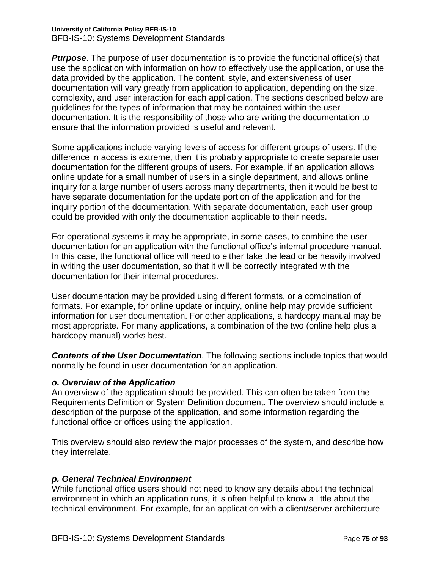*Purpose*. The purpose of user documentation is to provide the functional office(s) that use the application with information on how to effectively use the application, or use the data provided by the application. The content, style, and extensiveness of user documentation will vary greatly from application to application, depending on the size, complexity, and user interaction for each application. The sections described below are guidelines for the types of information that may be contained within the user documentation. It is the responsibility of those who are writing the documentation to ensure that the information provided is useful and relevant.

Some applications include varying levels of access for different groups of users. If the difference in access is extreme, then it is probably appropriate to create separate user documentation for the different groups of users. For example, if an application allows online update for a small number of users in a single department, and allows online inquiry for a large number of users across many departments, then it would be best to have separate documentation for the update portion of the application and for the inquiry portion of the documentation. With separate documentation, each user group could be provided with only the documentation applicable to their needs.

For operational systems it may be appropriate, in some cases, to combine the user documentation for an application with the functional office's internal procedure manual. In this case, the functional office will need to either take the lead or be heavily involved in writing the user documentation, so that it will be correctly integrated with the documentation for their internal procedures.

User documentation may be provided using different formats, or a combination of formats. For example, for online update or inquiry, online help may provide sufficient information for user documentation. For other applications, a hardcopy manual may be most appropriate. For many applications, a combination of the two (online help plus a hardcopy manual) works best.

*Contents of the User Documentation*. The following sections include topics that would normally be found in user documentation for an application.

# *o. Overview of the Application*

An overview of the application should be provided. This can often be taken from the Requirements Definition or System Definition document. The overview should include a description of the purpose of the application, and some information regarding the functional office or offices using the application.

This overview should also review the major processes of the system, and describe how they interrelate.

# *p. General Technical Environment*

While functional office users should not need to know any details about the technical environment in which an application runs, it is often helpful to know a little about the technical environment. For example, for an application with a client/server architecture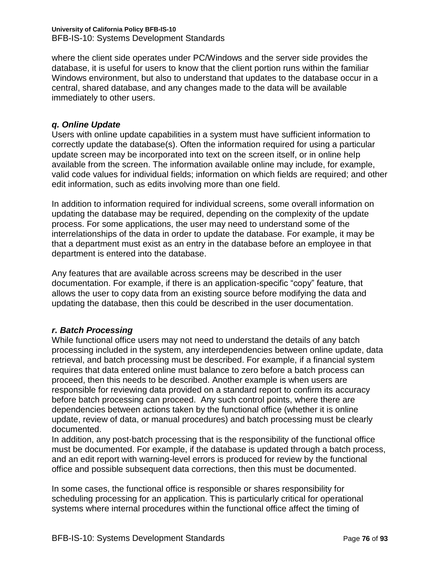where the client side operates under PC/Windows and the server side provides the database, it is useful for users to know that the client portion runs within the familiar Windows environment, but also to understand that updates to the database occur in a central, shared database, and any changes made to the data will be available immediately to other users.

# *q. Online Update*

Users with online update capabilities in a system must have sufficient information to correctly update the database(s). Often the information required for using a particular update screen may be incorporated into text on the screen itself, or in online help available from the screen. The information available online may include, for example, valid code values for individual fields; information on which fields are required; and other edit information, such as edits involving more than one field.

In addition to information required for individual screens, some overall information on updating the database may be required, depending on the complexity of the update process. For some applications, the user may need to understand some of the interrelationships of the data in order to update the database. For example, it may be that a department must exist as an entry in the database before an employee in that department is entered into the database.

Any features that are available across screens may be described in the user documentation. For example, if there is an application-specific "copy" feature, that allows the user to copy data from an existing source before modifying the data and updating the database, then this could be described in the user documentation.

# *r. Batch Processing*

While functional office users may not need to understand the details of any batch processing included in the system, any interdependencies between online update, data retrieval, and batch processing must be described. For example, if a financial system requires that data entered online must balance to zero before a batch process can proceed, then this needs to be described. Another example is when users are responsible for reviewing data provided on a standard report to confirm its accuracy before batch processing can proceed. Any such control points, where there are dependencies between actions taken by the functional office (whether it is online update, review of data, or manual procedures) and batch processing must be clearly documented.

In addition, any post-batch processing that is the responsibility of the functional office must be documented. For example, if the database is updated through a batch process, and an edit report with warning-level errors is produced for review by the functional office and possible subsequent data corrections, then this must be documented.

In some cases, the functional office is responsible or shares responsibility for scheduling processing for an application. This is particularly critical for operational systems where internal procedures within the functional office affect the timing of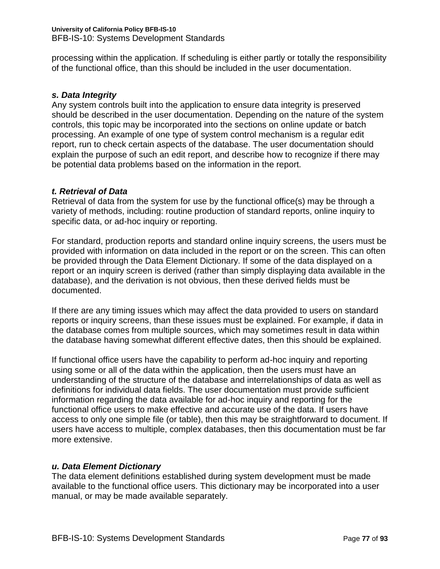processing within the application. If scheduling is either partly or totally the responsibility of the functional office, than this should be included in the user documentation.

# *s. Data Integrity*

Any system controls built into the application to ensure data integrity is preserved should be described in the user documentation. Depending on the nature of the system controls, this topic may be incorporated into the sections on online update or batch processing. An example of one type of system control mechanism is a regular edit report, run to check certain aspects of the database. The user documentation should explain the purpose of such an edit report, and describe how to recognize if there may be potential data problems based on the information in the report.

# *t. Retrieval of Data*

Retrieval of data from the system for use by the functional office(s) may be through a variety of methods, including: routine production of standard reports, online inquiry to specific data, or ad-hoc inquiry or reporting.

For standard, production reports and standard online inquiry screens, the users must be provided with information on data included in the report or on the screen. This can often be provided through the Data Element Dictionary. If some of the data displayed on a report or an inquiry screen is derived (rather than simply displaying data available in the database), and the derivation is not obvious, then these derived fields must be documented.

If there are any timing issues which may affect the data provided to users on standard reports or inquiry screens, than these issues must be explained. For example, if data in the database comes from multiple sources, which may sometimes result in data within the database having somewhat different effective dates, then this should be explained.

If functional office users have the capability to perform ad-hoc inquiry and reporting using some or all of the data within the application, then the users must have an understanding of the structure of the database and interrelationships of data as well as definitions for individual data fields. The user documentation must provide sufficient information regarding the data available for ad-hoc inquiry and reporting for the functional office users to make effective and accurate use of the data. If users have access to only one simple file (or table), then this may be straightforward to document. If users have access to multiple, complex databases, then this documentation must be far more extensive.

# *u. Data Element Dictionary*

The data element definitions established during system development must be made available to the functional office users. This dictionary may be incorporated into a user manual, or may be made available separately.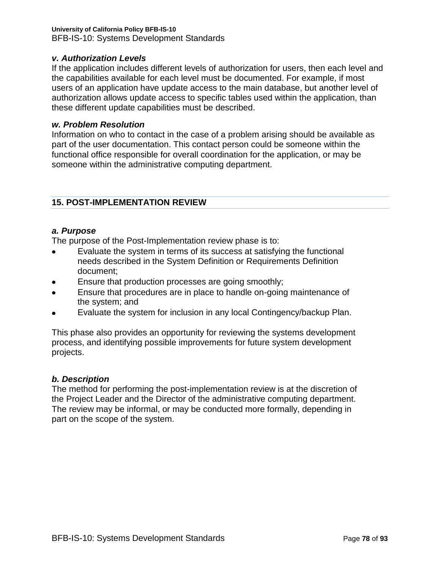# *v. Authorization Levels*

If the application includes different levels of authorization for users, then each level and the capabilities available for each level must be documented. For example, if most users of an application have update access to the main database, but another level of authorization allows update access to specific tables used within the application, than these different update capabilities must be described.

# *w. Problem Resolution*

Information on who to contact in the case of a problem arising should be available as part of the user documentation. This contact person could be someone within the functional office responsible for overall coordination for the application, or may be someone within the administrative computing department.

# **15. POST-IMPLEMENTATION REVIEW**

### *a. Purpose*

The purpose of the Post-Implementation review phase is to:

- Evaluate the system in terms of its success at satisfying the functional needs described in the System Definition or Requirements Definition document;
- Ensure that production processes are going smoothly;
- Ensure that procedures are in place to handle on-going maintenance of the system; and
- Evaluate the system for inclusion in any local Contingency/backup Plan.

This phase also provides an opportunity for reviewing the systems development process, and identifying possible improvements for future system development projects.

# *b. Description*

The method for performing the post-implementation review is at the discretion of the Project Leader and the Director of the administrative computing department. The review may be informal, or may be conducted more formally, depending in part on the scope of the system.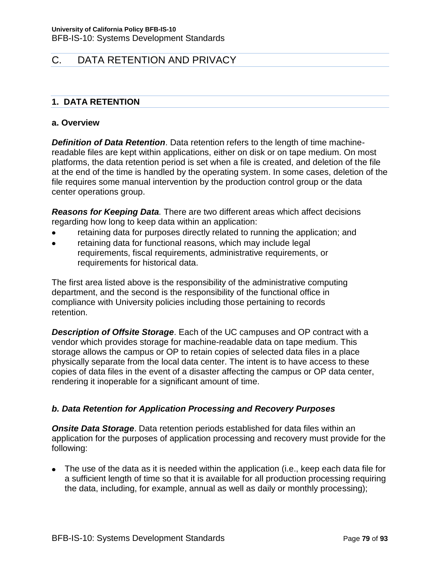# C. DATA RETENTION AND PRIVACY

# **1. DATA RETENTION**

### **a. Overview**

*Definition of Data Retention*. Data retention refers to the length of time machinereadable files are kept within applications, either on disk or on tape medium. On most platforms, the data retention period is set when a file is created, and deletion of the file at the end of the time is handled by the operating system. In some cases, deletion of the file requires some manual intervention by the production control group or the data center operations group.

*Reasons for Keeping Data.* There are two different areas which affect decisions regarding how long to keep data within an application:

- retaining data for purposes directly related to running the application; and
- retaining data for functional reasons, which may include legal requirements, fiscal requirements, administrative requirements, or requirements for historical data.

The first area listed above is the responsibility of the administrative computing department, and the second is the responsibility of the functional office in compliance with University policies including those pertaining to records retention.

*Description of Offsite Storage*. Each of the UC campuses and OP contract with a vendor which provides storage for machine-readable data on tape medium. This storage allows the campus or OP to retain copies of selected data files in a place physically separate from the local data center. The intent is to have access to these copies of data files in the event of a disaster affecting the campus or OP data center, rendering it inoperable for a significant amount of time.

# *b. Data Retention for Application Processing and Recovery Purposes*

*Onsite Data Storage*. Data retention periods established for data files within an application for the purposes of application processing and recovery must provide for the following:

The use of the data as it is needed within the application (i.e., keep each data file for a sufficient length of time so that it is available for all production processing requiring the data, including, for example, annual as well as daily or monthly processing);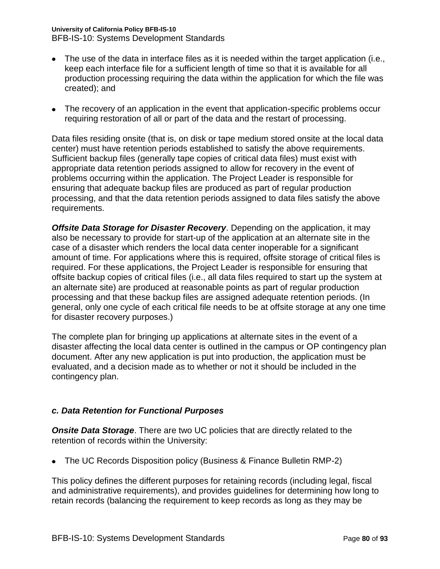### **University of California Policy BFB-IS-10**

BFB-IS-10: Systems Development Standards

- The use of the data in interface files as it is needed within the target application (i.e., keep each interface file for a sufficient length of time so that it is available for all production processing requiring the data within the application for which the file was created); and
- The recovery of an application in the event that application-specific problems occur requiring restoration of all or part of the data and the restart of processing.

Data files residing onsite (that is, on disk or tape medium stored onsite at the local data center) must have retention periods established to satisfy the above requirements. Sufficient backup files (generally tape copies of critical data files) must exist with appropriate data retention periods assigned to allow for recovery in the event of problems occurring within the application. The Project Leader is responsible for ensuring that adequate backup files are produced as part of regular production processing, and that the data retention periods assigned to data files satisfy the above requirements.

*Offsite Data Storage for Disaster Recovery*. Depending on the application, it may also be necessary to provide for start-up of the application at an alternate site in the case of a disaster which renders the local data center inoperable for a significant amount of time. For applications where this is required, offsite storage of critical files is required. For these applications, the Project Leader is responsible for ensuring that offsite backup copies of critical files (i.e., all data files required to start up the system at an alternate site) are produced at reasonable points as part of regular production processing and that these backup files are assigned adequate retention periods. (In general, only one cycle of each critical file needs to be at offsite storage at any one time for disaster recovery purposes.)

The complete plan for bringing up applications at alternate sites in the event of a disaster affecting the local data center is outlined in the campus or OP contingency plan document. After any new application is put into production, the application must be evaluated, and a decision made as to whether or not it should be included in the contingency plan.

# *c. Data Retention for Functional Purposes*

**Onsite Data Storage**. There are two UC policies that are directly related to the retention of records within the University:

• The UC Records Disposition policy (Business & Finance Bulletin RMP-2)

This policy defines the different purposes for retaining records (including legal, fiscal and administrative requirements), and provides guidelines for determining how long to retain records (balancing the requirement to keep records as long as they may be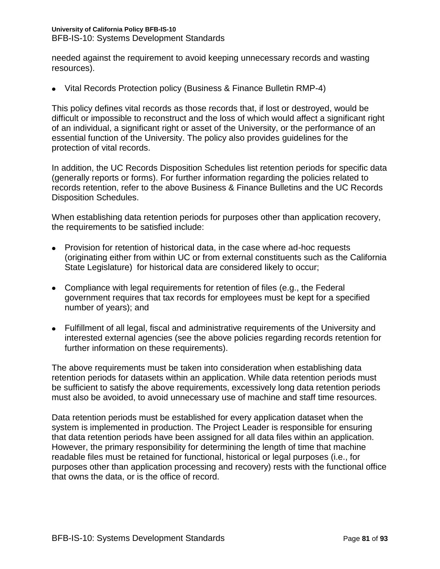needed against the requirement to avoid keeping unnecessary records and wasting resources).

Vital Records Protection policy (Business & Finance Bulletin RMP-4)

This policy defines vital records as those records that, if lost or destroyed, would be difficult or impossible to reconstruct and the loss of which would affect a significant right of an individual, a significant right or asset of the University, or the performance of an essential function of the University. The policy also provides guidelines for the protection of vital records.

In addition, the UC Records Disposition Schedules list retention periods for specific data (generally reports or forms). For further information regarding the policies related to records retention, refer to the above Business & Finance Bulletins and the UC Records Disposition Schedules.

When establishing data retention periods for purposes other than application recovery, the requirements to be satisfied include:

- Provision for retention of historical data, in the case where ad-hoc requests (originating either from within UC or from external constituents such as the California State Legislature) for historical data are considered likely to occur;
- Compliance with legal requirements for retention of files (e.g., the Federal government requires that tax records for employees must be kept for a specified number of years); and
- Fulfillment of all legal, fiscal and administrative requirements of the University and interested external agencies (see the above policies regarding records retention for further information on these requirements).

The above requirements must be taken into consideration when establishing data retention periods for datasets within an application. While data retention periods must be sufficient to satisfy the above requirements, excessively long data retention periods must also be avoided, to avoid unnecessary use of machine and staff time resources.

Data retention periods must be established for every application dataset when the system is implemented in production. The Project Leader is responsible for ensuring that data retention periods have been assigned for all data files within an application. However, the primary responsibility for determining the length of time that machine readable files must be retained for functional, historical or legal purposes (i.e., for purposes other than application processing and recovery) rests with the functional office that owns the data, or is the office of record.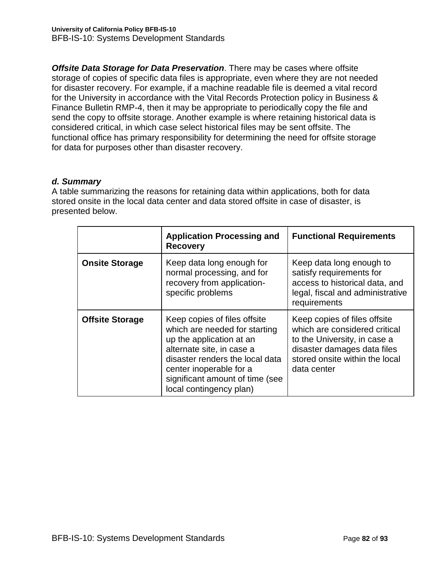*Offsite Data Storage for Data Preservation*. There may be cases where offsite storage of copies of specific data files is appropriate, even where they are not needed for disaster recovery. For example, if a machine readable file is deemed a vital record for the University in accordance with the Vital Records Protection policy in Business & Finance Bulletin RMP-4, then it may be appropriate to periodically copy the file and send the copy to offsite storage. Another example is where retaining historical data is considered critical, in which case select historical files may be sent offsite. The functional office has primary responsibility for determining the need for offsite storage for data for purposes other than disaster recovery.

# *d. Summary*

A table summarizing the reasons for retaining data within applications, both for data stored onsite in the local data center and data stored offsite in case of disaster, is presented below.

|                        | <b>Application Processing and</b><br><b>Recovery</b>                                                                                                                                                                                               | <b>Functional Requirements</b>                                                                                                                                                |
|------------------------|----------------------------------------------------------------------------------------------------------------------------------------------------------------------------------------------------------------------------------------------------|-------------------------------------------------------------------------------------------------------------------------------------------------------------------------------|
| <b>Onsite Storage</b>  | Keep data long enough for<br>normal processing, and for<br>recovery from application-<br>specific problems                                                                                                                                         | Keep data long enough to<br>satisfy requirements for<br>access to historical data, and<br>legal, fiscal and administrative<br>requirements                                    |
| <b>Offsite Storage</b> | Keep copies of files offsite<br>which are needed for starting<br>up the application at an<br>alternate site, in case a<br>disaster renders the local data<br>center inoperable for a<br>significant amount of time (see<br>local contingency plan) | Keep copies of files offsite<br>which are considered critical<br>to the University, in case a<br>disaster damages data files<br>stored onsite within the local<br>data center |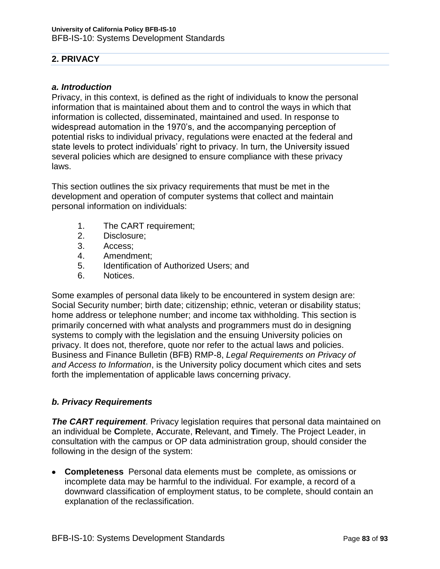# **2. PRIVACY**

# *a. Introduction*

Privacy, in this context, is defined as the right of individuals to know the personal information that is maintained about them and to control the ways in which that information is collected, disseminated, maintained and used. In response to widespread automation in the 1970's, and the accompanying perception of potential risks to individual privacy, regulations were enacted at the federal and state levels to protect individuals' right to privacy. In turn, the University issued several policies which are designed to ensure compliance with these privacy laws.

This section outlines the six privacy requirements that must be met in the development and operation of computer systems that collect and maintain personal information on individuals:

- 1. The CART requirement;
- 2. Disclosure;
- 3. Access;
- 4. Amendment;
- 5. Identification of Authorized Users; and
- 6. Notices.

Some examples of personal data likely to be encountered in system design are: Social Security number; birth date; citizenship; ethnic, veteran or disability status; home address or telephone number; and income tax withholding. This section is primarily concerned with what analysts and programmers must do in designing systems to comply with the legislation and the ensuing University policies on privacy. It does not, therefore, quote nor refer to the actual laws and policies. Business and Finance Bulletin (BFB) RMP-8, *Legal Requirements on Privacy of and Access to Information*, is the University policy document which cites and sets forth the implementation of applicable laws concerning privacy.

# *b. Privacy Requirements*

*The CART requirement*. Privacy legislation requires that personal data maintained on an individual be **C**omplete, **A**ccurate, **R**elevant, and **T**imely. The Project Leader, in consultation with the campus or OP data administration group, should consider the following in the design of the system:

**Completeness** Personal data elements must be complete, as omissions or incomplete data may be harmful to the individual. For example, a record of a downward classification of employment status, to be complete, should contain an explanation of the reclassification.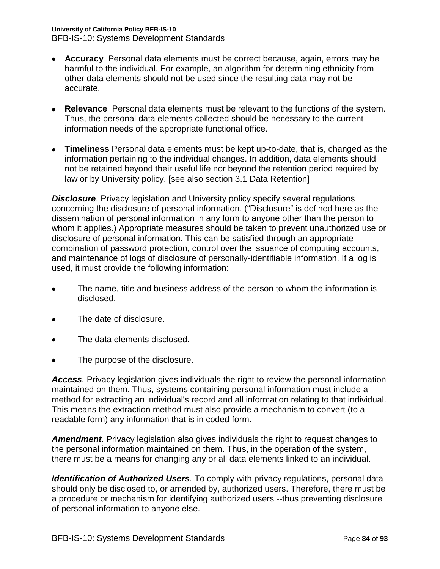### **University of California Policy BFB-IS-10**

BFB-IS-10: Systems Development Standards

- **Accuracy** Personal data elements must be correct because, again, errors may be harmful to the individual. For example, an algorithm for determining ethnicity from other data elements should not be used since the resulting data may not be accurate.
- **Relevance** Personal data elements must be relevant to the functions of the system. Thus, the personal data elements collected should be necessary to the current information needs of the appropriate functional office.
- **Timeliness** Personal data elements must be kept up-to-date, that is, changed as the information pertaining to the individual changes. In addition, data elements should not be retained beyond their useful life nor beyond the retention period required by law or by University policy. [see also section 3.1 Data Retention]

*Disclosure.* Privacy legislation and University policy specify several regulations concerning the disclosure of personal information. ("Disclosure" is defined here as the dissemination of personal information in any form to anyone other than the person to whom it applies.) Appropriate measures should be taken to prevent unauthorized use or disclosure of personal information. This can be satisfied through an appropriate combination of password protection, control over the issuance of computing accounts, and maintenance of logs of disclosure of personally-identifiable information. If a log is used, it must provide the following information:

- The name, title and business address of the person to whom the information is disclosed.
- The date of disclosure.
- The data elements disclosed.
- The purpose of the disclosure.

*Access.* Privacy legislation gives individuals the right to review the personal information maintained on them. Thus, systems containing personal information must include a method for extracting an individual's record and all information relating to that individual. This means the extraction method must also provide a mechanism to convert (to a readable form) any information that is in coded form.

*Amendment*. Privacy legislation also gives individuals the right to request changes to the personal information maintained on them. Thus, in the operation of the system, there must be a means for changing any or all data elements linked to an individual.

*Identification of Authorized Users.* To comply with privacy regulations, personal data should only be disclosed to, or amended by, authorized users. Therefore, there must be a procedure or mechanism for identifying authorized users --thus preventing disclosure of personal information to anyone else.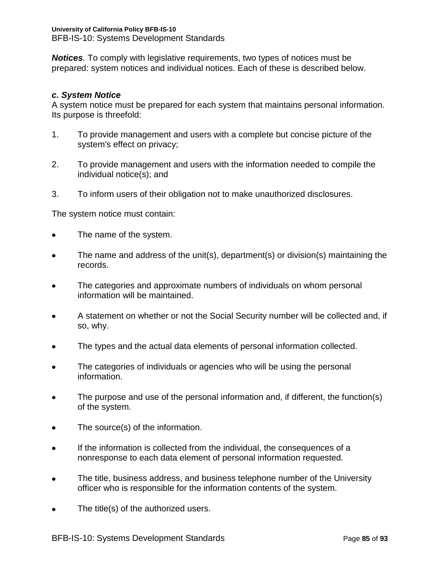*Notices.* To comply with legislative requirements, two types of notices must be prepared: system notices and individual notices. Each of these is described below.

# *c. System Notice*

A system notice must be prepared for each system that maintains personal information. Its purpose is threefold:

- 1. To provide management and users with a complete but concise picture of the system's effect on privacy;
- 2. To provide management and users with the information needed to compile the individual notice(s); and
- 3. To inform users of their obligation not to make unauthorized disclosures.

The system notice must contain:

- The name of the system.  $\bullet$
- The name and address of the unit(s), department(s) or division(s) maintaining the  $\bullet$ records.
- The categories and approximate numbers of individuals on whom personal  $\bullet$ information will be maintained.
- A statement on whether or not the Social Security number will be collected and, if  $\bullet$ so, why.
- The types and the actual data elements of personal information collected.  $\bullet$
- The categories of individuals or agencies who will be using the personal information.
- The purpose and use of the personal information and, if different, the function(s) of the system.
- The source(s) of the information.  $\bullet$
- If the information is collected from the individual, the consequences of a nonresponse to each data element of personal information requested.
- The title, business address, and business telephone number of the University officer who is responsible for the information contents of the system.
- The title(s) of the authorized users.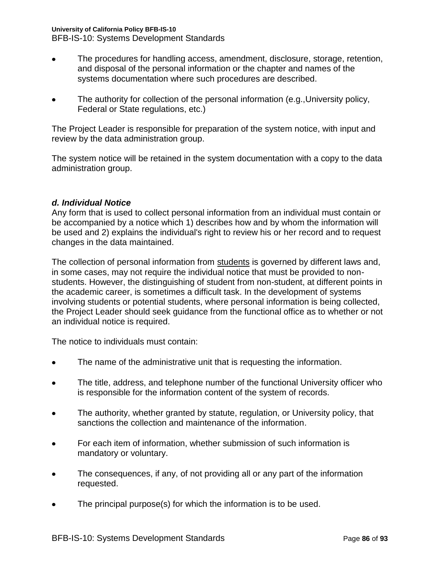### **University of California Policy BFB-IS-10**

BFB-IS-10: Systems Development Standards

- The procedures for handling access, amendment, disclosure, storage, retention, and disposal of the personal information or the chapter and names of the systems documentation where such procedures are described.
- The authority for collection of the personal information (e.g.,University policy, Federal or State regulations, etc.)

The Project Leader is responsible for preparation of the system notice, with input and review by the data administration group.

The system notice will be retained in the system documentation with a copy to the data administration group.

# *d. Individual Notice*

Any form that is used to collect personal information from an individual must contain or be accompanied by a notice which 1) describes how and by whom the information will be used and 2) explains the individual's right to review his or her record and to request changes in the data maintained.

The collection of personal information from students is governed by different laws and, in some cases, may not require the individual notice that must be provided to nonstudents. However, the distinguishing of student from non-student, at different points in the academic career, is sometimes a difficult task. In the development of systems involving students or potential students, where personal information is being collected, the Project Leader should seek guidance from the functional office as to whether or not an individual notice is required.

The notice to individuals must contain:

- The name of the administrative unit that is requesting the information.  $\bullet$
- The title, address, and telephone number of the functional University officer who is responsible for the information content of the system of records.
- The authority, whether granted by statute, regulation, or University policy, that sanctions the collection and maintenance of the information.
- For each item of information, whether submission of such information is  $\bullet$ mandatory or voluntary.
- The consequences, if any, of not providing all or any part of the information requested.
- The principal purpose(s) for which the information is to be used.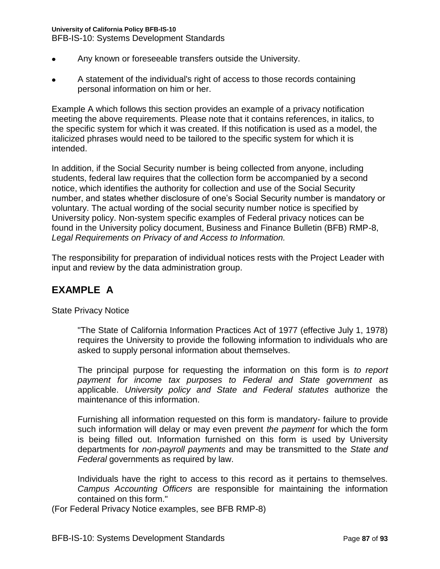### **University of California Policy BFB-IS-10**

BFB-IS-10: Systems Development Standards

- Any known or foreseeable transfers outside the University.  $\bullet$
- A statement of the individual's right of access to those records containing personal information on him or her.

Example A which follows this section provides an example of a privacy notification meeting the above requirements. Please note that it contains references, in italics, to the specific system for which it was created. If this notification is used as a model, the italicized phrases would need to be tailored to the specific system for which it is intended.

In addition, if the Social Security number is being collected from anyone, including students, federal law requires that the collection form be accompanied by a second notice, which identifies the authority for collection and use of the Social Security number, and states whether disclosure of one's Social Security number is mandatory or voluntary. The actual wording of the social security number notice is specified by University policy. Non-system specific examples of Federal privacy notices can be found in the University policy document, Business and Finance Bulletin (BFB) RMP-8, *Legal Requirements on Privacy of and Access to Information.* 

The responsibility for preparation of individual notices rests with the Project Leader with input and review by the data administration group.

# **EXAMPLE A**

State Privacy Notice

"The State of California Information Practices Act of 1977 (effective July 1, 1978) requires the University to provide the following information to individuals who are asked to supply personal information about themselves.

The principal purpose for requesting the information on this form is *to report payment for income tax purposes to Federal and State government* as applicable. *University policy and State and Federal statutes* authorize the maintenance of this information.

Furnishing all information requested on this form is mandatory- failure to provide such information will delay or may even prevent *the payment* for which the form is being filled out. Information furnished on this form is used by University departments for *non-payroll payments* and may be transmitted to the *State and Federal* governments as required by law.

Individuals have the right to access to this record as it pertains to themselves. *Campus Accounting Officers* are responsible for maintaining the information contained on this form."

(For Federal Privacy Notice examples, see BFB RMP-8)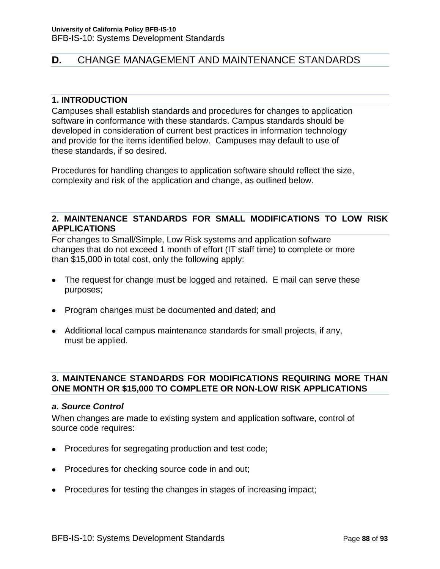# **D.** CHANGE MANAGEMENT AND MAINTENANCE STANDARDS

### **1. INTRODUCTION**

Campuses shall establish standards and procedures for changes to application software in conformance with these standards. Campus standards should be developed in consideration of current best practices in information technology and provide for the items identified below. Campuses may default to use of these standards, if so desired.

Procedures for handling changes to application software should reflect the size, complexity and risk of the application and change, as outlined below.

# **2. MAINTENANCE STANDARDS FOR SMALL MODIFICATIONS TO LOW RISK APPLICATIONS**

For changes to Small/Simple, Low Risk systems and application software changes that do not exceed 1 month of effort (IT staff time) to complete or more than \$15,000 in total cost, only the following apply:

- The request for change must be logged and retained. E mail can serve these purposes;
- Program changes must be documented and dated; and
- Additional local campus maintenance standards for small projects, if any, must be applied.

# **3. MAINTENANCE STANDARDS FOR MODIFICATIONS REQUIRING MORE THAN ONE MONTH OR \$15,000 TO COMPLETE OR NON-LOW RISK APPLICATIONS**

### *a. Source Control*

When changes are made to existing system and application software, control of source code requires:

- Procedures for segregating production and test code;
- Procedures for checking source code in and out;
- Procedures for testing the changes in stages of increasing impact;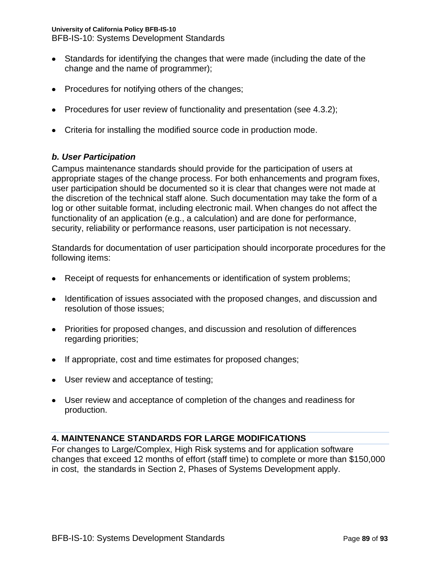BFB-IS-10: Systems Development Standards

- Standards for identifying the changes that were made (including the date of the change and the name of programmer);
- Procedures for notifying others of the changes;
- Procedures for user review of functionality and presentation (see 4.3.2);
- Criteria for installing the modified source code in production mode.

# *b. User Participation*

Campus maintenance standards should provide for the participation of users at appropriate stages of the change process. For both enhancements and program fixes, user participation should be documented so it is clear that changes were not made at the discretion of the technical staff alone. Such documentation may take the form of a log or other suitable format, including electronic mail. When changes do not affect the functionality of an application (e.g., a calculation) and are done for performance, security, reliability or performance reasons, user participation is not necessary.

Standards for documentation of user participation should incorporate procedures for the following items:

- Receipt of requests for enhancements or identification of system problems;
- Identification of issues associated with the proposed changes, and discussion and resolution of those issues;
- Priorities for proposed changes, and discussion and resolution of differences regarding priorities;
- If appropriate, cost and time estimates for proposed changes;
- User review and acceptance of testing;
- User review and acceptance of completion of the changes and readiness for production.

# **4. MAINTENANCE STANDARDS FOR LARGE MODIFICATIONS**

For changes to Large/Complex, High Risk systems and for application software changes that exceed 12 months of effort (staff time) to complete or more than \$150,000 in cost, the standards in Section 2, Phases of Systems Development apply.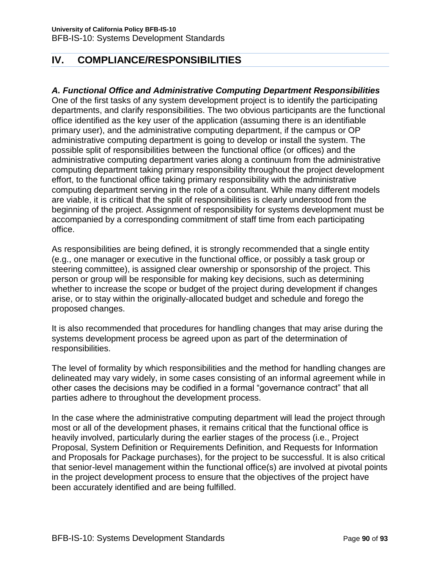# **IV. COMPLIANCE/RESPONSIBILITIES**

# *A. Functional Office and Administrative Computing Department Responsibilities*

One of the first tasks of any system development project is to identify the participating departments, and clarify responsibilities. The two obvious participants are the functional office identified as the key user of the application (assuming there is an identifiable primary user), and the administrative computing department, if the campus or OP administrative computing department is going to develop or install the system. The possible split of responsibilities between the functional office (or offices) and the administrative computing department varies along a continuum from the administrative computing department taking primary responsibility throughout the project development effort, to the functional office taking primary responsibility with the administrative computing department serving in the role of a consultant. While many different models are viable, it is critical that the split of responsibilities is clearly understood from the beginning of the project. Assignment of responsibility for systems development must be accompanied by a corresponding commitment of staff time from each participating office.

As responsibilities are being defined, it is strongly recommended that a single entity (e.g., one manager or executive in the functional office, or possibly a task group or steering committee), is assigned clear ownership or sponsorship of the project. This person or group will be responsible for making key decisions, such as determining whether to increase the scope or budget of the project during development if changes arise, or to stay within the originally-allocated budget and schedule and forego the proposed changes.

It is also recommended that procedures for handling changes that may arise during the systems development process be agreed upon as part of the determination of responsibilities.

The level of formality by which responsibilities and the method for handling changes are delineated may vary widely, in some cases consisting of an informal agreement while in other cases the decisions may be codified in a formal "governance contract" that all parties adhere to throughout the development process.

In the case where the administrative computing department will lead the project through most or all of the development phases, it remains critical that the functional office is heavily involved, particularly during the earlier stages of the process (i.e., Project Proposal, System Definition or Requirements Definition, and Requests for Information and Proposals for Package purchases), for the project to be successful. It is also critical that senior-level management within the functional office(s) are involved at pivotal points in the project development process to ensure that the objectives of the project have been accurately identified and are being fulfilled.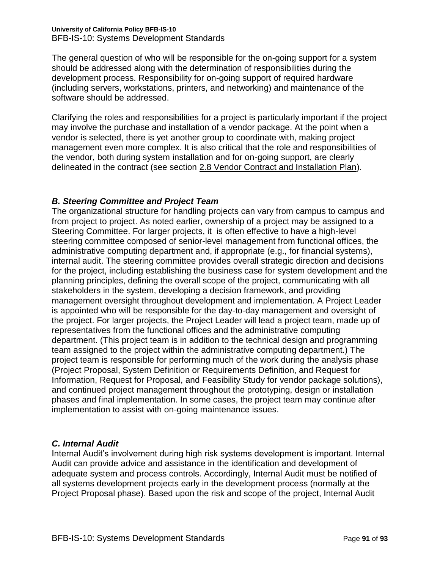The general question of who will be responsible for the on-going support for a system should be addressed along with the determination of responsibilities during the development process. Responsibility for on-going support of required hardware (including servers, workstations, printers, and networking) and maintenance of the software should be addressed.

Clarifying the roles and responsibilities for a project is particularly important if the project may involve the purchase and installation of a vendor package. At the point when a vendor is selected, there is yet another group to coordinate with, making project management even more complex. It is also critical that the role and responsibilities of the vendor, both during system installation and for on-going support, are clearly delineated in the contract (see section 2.8 Vendor Contract and Installation Plan).

# *B. Steering Committee and Project Team*

The organizational structure for handling projects can vary from campus to campus and from project to project. As noted earlier, ownership of a project may be assigned to a Steering Committee. For larger projects, it is often effective to have a high-level steering committee composed of senior-level management from functional offices, the administrative computing department and, if appropriate (e.g., for financial systems), internal audit. The steering committee provides overall strategic direction and decisions for the project, including establishing the business case for system development and the planning principles, defining the overall scope of the project, communicating with all stakeholders in the system, developing a decision framework, and providing management oversight throughout development and implementation. A Project Leader is appointed who will be responsible for the day-to-day management and oversight of the project. For larger projects, the Project Leader will lead a project team, made up of representatives from the functional offices and the administrative computing department. (This project team is in addition to the technical design and programming team assigned to the project within the administrative computing department.) The project team is responsible for performing much of the work during the analysis phase (Project Proposal, System Definition or Requirements Definition, and Request for Information, Request for Proposal, and Feasibility Study for vendor package solutions), and continued project management throughout the prototyping, design or installation phases and final implementation. In some cases, the project team may continue after implementation to assist with on-going maintenance issues.

# *C. Internal Audit*

Internal Audit's involvement during high risk systems development is important. Internal Audit can provide advice and assistance in the identification and development of adequate system and process controls. Accordingly, Internal Audit must be notified of all systems development projects early in the development process (normally at the Project Proposal phase). Based upon the risk and scope of the project, Internal Audit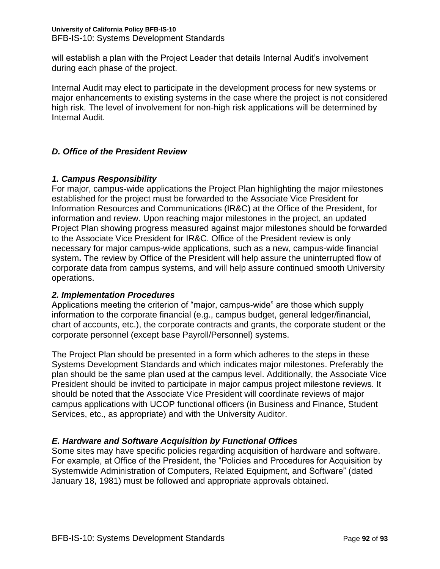will establish a plan with the Project Leader that details Internal Audit's involvement during each phase of the project.

Internal Audit may elect to participate in the development process for new systems or major enhancements to existing systems in the case where the project is not considered high risk. The level of involvement for non-high risk applications will be determined by Internal Audit.

# *D. Office of the President Review*

# *1. Campus Responsibility*

For major, campus-wide applications the Project Plan highlighting the major milestones established for the project must be forwarded to the Associate Vice President for Information Resources and Communications (IR&C) at the Office of the President, for information and review. Upon reaching major milestones in the project, an updated Project Plan showing progress measured against major milestones should be forwarded to the Associate Vice President for IR&C. Office of the President review is only necessary for major campus-wide applications, such as a new, campus-wide financial system**.** The review by Office of the President will help assure the uninterrupted flow of corporate data from campus systems, and will help assure continued smooth University operations.

# *2. Implementation Procedures*

Applications meeting the criterion of "major, campus-wide" are those which supply information to the corporate financial (e.g., campus budget, general ledger/financial, chart of accounts, etc.), the corporate contracts and grants, the corporate student or the corporate personnel (except base Payroll/Personnel) systems.

The Project Plan should be presented in a form which adheres to the steps in these Systems Development Standards and which indicates major milestones. Preferably the plan should be the same plan used at the campus level. Additionally, the Associate Vice President should be invited to participate in major campus project milestone reviews. It should be noted that the Associate Vice President will coordinate reviews of major campus applications with UCOP functional officers (in Business and Finance, Student Services, etc., as appropriate) and with the University Auditor.

# *E. Hardware and Software Acquisition by Functional Offices*

Some sites may have specific policies regarding acquisition of hardware and software. For example, at Office of the President, the "Policies and Procedures for Acquisition by Systemwide Administration of Computers, Related Equipment, and Software" (dated January 18, 1981) must be followed and appropriate approvals obtained.